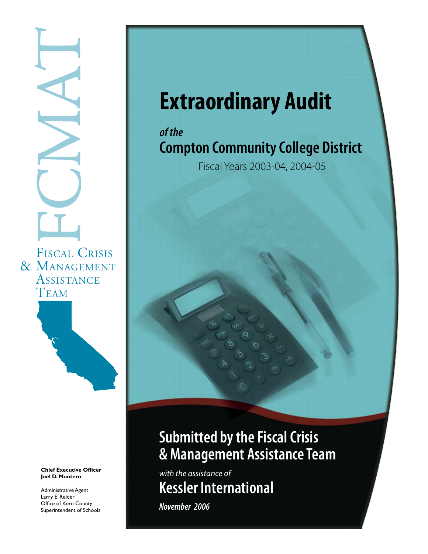# FISCAL C FISCAL CRISIS & Management **ASSISTANCE TEAM**



**Chief Executive Officer Joel D. Montero**

Administrative Agent Larry E. Reider Office of Kern County Superintendent of Schools

# **Extraordinary Audit**

# *of the* **Compton Community College District**

Fiscal Years 2003-04, 2004-05

# **Submitted by the Fiscal Crisis & Management Assistance Team**

*with the assistance of* **Kessler International**

*November 2006*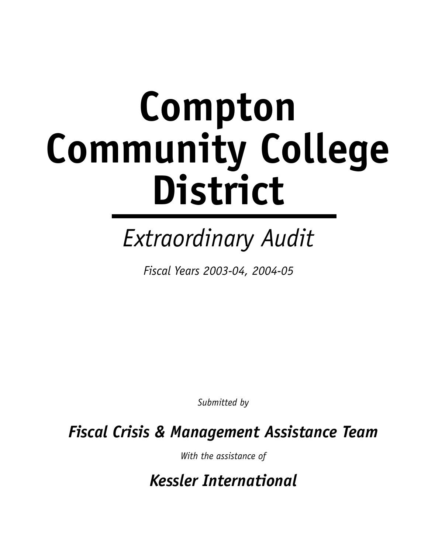# **Compton Community College District**

# *Extraordinary Audit*

*Fiscal Years 2003-04, 2004-05*

*Submitted by*

*Fiscal Crisis & Management Assistance Team*

*With the assistance of*

*Kessler International*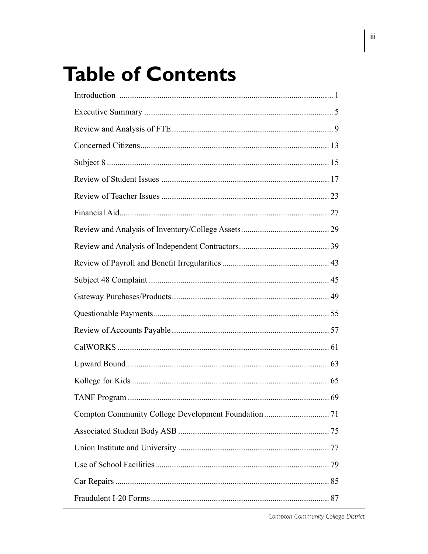# **Table of Contents**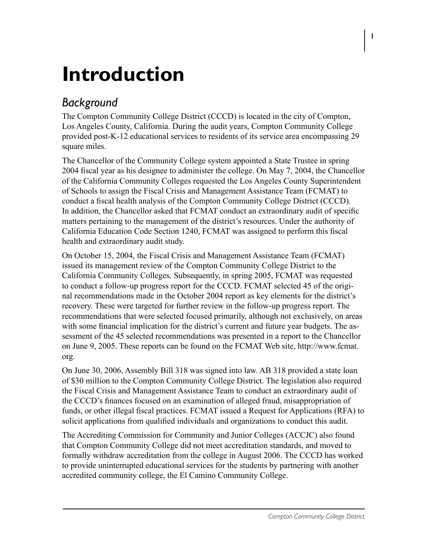# **Introduction**

# *Background*

The Compton Community College District (CCCD) is located in the city of Compton, Los Angeles County, California. During the audit years, Compton Community College provided post-K-12 educational services to residents of its service area encompassing 29 square miles.

The Chancellor of the Community College system appointed a State Trustee in spring 2004 fiscal year as his designee to administer the college. On May 7, 2004, the Chancellor of the California Community Colleges requested the Los Angeles County Superintendent of Schools to assign the Fiscal Crisis and Management Assistance Team (FCMAT) to conduct a fiscal health analysis of the Compton Community College District (CCCD). In addition, the Chancellor asked that FCMAT conduct an extraordinary audit of specific matters pertaining to the management of the district's resources. Under the authority of California Education Code Section 1240, FCMAT was assigned to perform this fiscal health and extraordinary audit study.

On October 15, 2004, the Fiscal Crisis and Management Assistance Team (FCMAT) issued its management review of the Compton Community College District to the California Community Colleges. Subsequently, in spring 2005, FCMAT was requested to conduct a follow-up progress report for the CCCD. FCMAT selected 45 of the original recommendations made in the October 2004 report as key elements for the district's recovery. These were targeted for further review in the follow-up progress report. The recommendations that were selected focused primarily, although not exclusively, on areas with some financial implication for the district's current and future year budgets. The assessment of the 45 selected recommendations was presented in a report to the Chancellor on June 9, 2005. These reports can be found on the FCMAT Web site, http://www.fcmat. org.

On June 30, 2006, Assembly Bill 318 was signed into law. AB 318 provided a state loan of \$30 million to the Compton Community College District. The legislation also required the Fiscal Crisis and Management Assistance Team to conduct an extraordinary audit of the CCCD's finances focused on an examination of alleged fraud, misappropriation of funds, or other illegal fiscal practices. FCMAT issued a Request for Applications (RFA) to solicit applications from qualified individuals and organizations to conduct this audit.

The Accrediting Commission for Community and Junior Colleges (ACCJC) also found that Compton Community College did not meet accreditation standards, and moved to formally withdraw accreditation from the college in August 2006. The CCCD has worked to provide uninterrupted educational services for the students by partnering with another accredited community college, the El Camino Community College.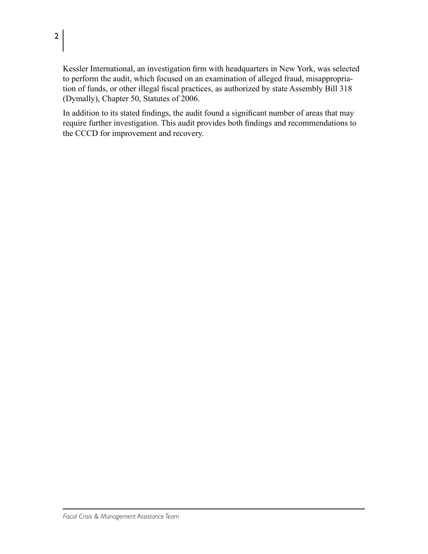Kessler International, an investigation firm with headquarters in New York, was selected to perform the audit, which focused on an examination of alleged fraud, misappropriation of funds, or other illegal fiscal practices, as authorized by state Assembly Bill 318 (Dymally), Chapter 50, Statutes of 2006.

In addition to its stated findings, the audit found a significant number of areas that may require further investigation. This audit provides both findings and recommendations to the CCCD for improvement and recovery.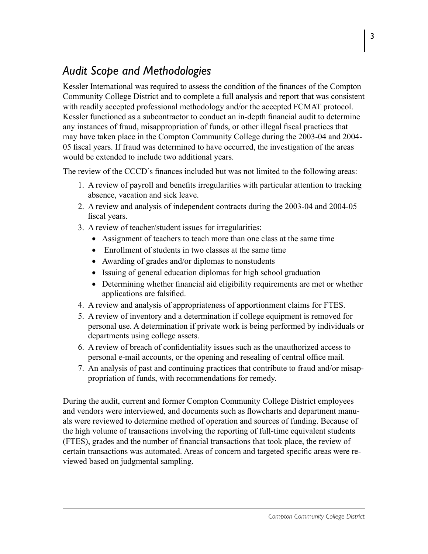# *Audit Scope and Methodologies*

Kessler International was required to assess the condition of the finances of the Compton Community College District and to complete a full analysis and report that was consistent with readily accepted professional methodology and/or the accepted FCMAT protocol. Kessler functioned as a subcontractor to conduct an in-depth financial audit to determine any instances of fraud, misappropriation of funds, or other illegal fiscal practices that may have taken place in the Compton Community College during the 2003-04 and 2004- 05 fiscal years. If fraud was determined to have occurred, the investigation of the areas would be extended to include two additional years.

The review of the CCCD's finances included but was not limited to the following areas:

- 1. A review of payroll and benefits irregularities with particular attention to tracking absence, vacation and sick leave.
- 2. A review and analysis of independent contracts during the 2003-04 and 2004-05 fiscal years.
- 3. A review of teacher/student issues for irregularities:
	- Assignment of teachers to teach more than one class at the same time
	- Enrollment of students in two classes at the same time
	- Awarding of grades and/or diplomas to nonstudents
	- Issuing of general education diplomas for high school graduation
	- Determining whether financial aid eligibility requirements are met or whether applications are falsified.
- 4. A review and analysis of appropriateness of apportionment claims for FTES.
- 5. A review of inventory and a determination if college equipment is removed for personal use. A determination if private work is being performed by individuals or departments using college assets.
- 6. A review of breach of confidentiality issues such as the unauthorized access to personal e-mail accounts, or the opening and resealing of central office mail.
- 7. An analysis of past and continuing practices that contribute to fraud and/or misappropriation of funds, with recommendations for remedy.

During the audit, current and former Compton Community College District employees and vendors were interviewed, and documents such as flowcharts and department manuals were reviewed to determine method of operation and sources of funding. Because of the high volume of transactions involving the reporting of full-time equivalent students (FTES), grades and the number of financial transactions that took place, the review of certain transactions was automated. Areas of concern and targeted specific areas were reviewed based on judgmental sampling.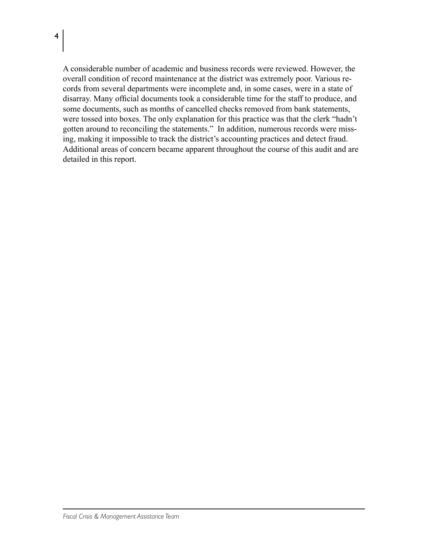$\overline{4}$ 

A considerable number of academic and business records were reviewed. However, the overall condition of record maintenance at the district was extremely poor. Various records from several departments were incomplete and, in some cases, were in a state of disarray. Many official documents took a considerable time for the staff to produce, and some documents, such as months of cancelled checks removed from bank statements, were tossed into boxes. The only explanation for this practice was that the clerk "hadn't gotten around to reconciling the statements." In addition, numerous records were missing, making it impossible to track the district's accounting practices and detect fraud. Additional areas of concern became apparent throughout the course of this audit and are detailed in this report.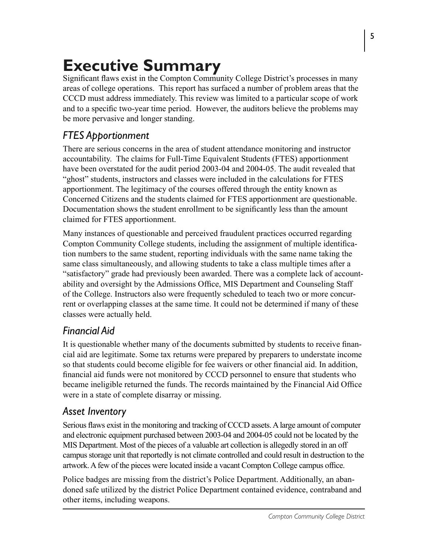# **Executive Summary**

Significant flaws exist in the Compton Community College District's processes in many areas of college operations. This report has surfaced a number of problem areas that the CCCD must address immediately. This review was limited to a particular scope of work and to a specific two-year time period. However, the auditors believe the problems may be more pervasive and longer standing.

# *FTES Apportionment*

There are serious concerns in the area of student attendance monitoring and instructor accountability. The claims for Full-Time Equivalent Students (FTES) apportionment have been overstated for the audit period 2003-04 and 2004-05. The audit revealed that "ghost" students, instructors and classes were included in the calculations for FTES apportionment. The legitimacy of the courses offered through the entity known as Concerned Citizens and the students claimed for FTES apportionment are questionable. Documentation shows the student enrollment to be significantly less than the amount claimed for FTES apportionment.

Many instances of questionable and perceived fraudulent practices occurred regarding Compton Community College students, including the assignment of multiple identification numbers to the same student, reporting individuals with the same name taking the same class simultaneously, and allowing students to take a class multiple times after a "satisfactory" grade had previously been awarded. There was a complete lack of accountability and oversight by the Admissions Office, MIS Department and Counseling Staff of the College. Instructors also were frequently scheduled to teach two or more concurrent or overlapping classes at the same time. It could not be determined if many of these classes were actually held.

# *Financial Aid*

It is questionable whether many of the documents submitted by students to receive financial aid are legitimate. Some tax returns were prepared by preparers to understate income so that students could become eligible for fee waivers or other financial aid. In addition, financial aid funds were not monitored by CCCD personnel to ensure that students who became ineligible returned the funds. The records maintained by the Financial Aid Office were in a state of complete disarray or missing.

# *Asset Inventory*

Serious flaws exist in the monitoring and tracking of CCCD assets. A large amount of computer and electronic equipment purchased between 2003-04 and 2004-05 could not be located by the MIS Department. Most of the pieces of a valuable art collection is allegedly stored in an off campus storage unit that reportedly is not climate controlled and could result in destruction to the artwork. A few of the pieces were located inside a vacant Compton College campus office.

Police badges are missing from the district's Police Department. Additionally, an abandoned safe utilized by the district Police Department contained evidence, contraband and other items, including weapons.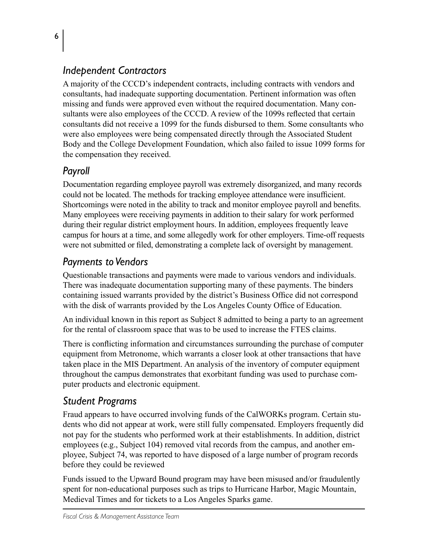# *Independent Contractors*

A majority of the CCCD's independent contracts, including contracts with vendors and consultants, had inadequate supporting documentation. Pertinent information was often missing and funds were approved even without the required documentation. Many consultants were also employees of the CCCD. A review of the 1099s reflected that certain consultants did not receive a 1099 for the funds disbursed to them. Some consultants who were also employees were being compensated directly through the Associated Student Body and the College Development Foundation, which also failed to issue 1099 forms for the compensation they received.

# *Payroll*

Documentation regarding employee payroll was extremely disorganized, and many records could not be located. The methods for tracking employee attendance were insufficient. Shortcomings were noted in the ability to track and monitor employee payroll and benefits. Many employees were receiving payments in addition to their salary for work performed during their regular district employment hours. In addition, employees frequently leave campus for hours at a time, and some allegedly work for other employers. Time-off requests were not submitted or filed, demonstrating a complete lack of oversight by management.

# *Payments to Vendors*

Questionable transactions and payments were made to various vendors and individuals. There was inadequate documentation supporting many of these payments. The binders containing issued warrants provided by the district's Business Office did not correspond with the disk of warrants provided by the Los Angeles County Office of Education.

An individual known in this report as Subject 8 admitted to being a party to an agreement for the rental of classroom space that was to be used to increase the FTES claims.

There is conflicting information and circumstances surrounding the purchase of computer equipment from Metronome, which warrants a closer look at other transactions that have taken place in the MIS Department. An analysis of the inventory of computer equipment throughout the campus demonstrates that exorbitant funding was used to purchase computer products and electronic equipment.

# *Student Programs*

Fraud appears to have occurred involving funds of the CalWORKs program. Certain students who did not appear at work, were still fully compensated. Employers frequently did not pay for the students who performed work at their establishments. In addition, district employees (e.g., Subject 104) removed vital records from the campus, and another employee, Subject 74, was reported to have disposed of a large number of program records before they could be reviewed

Funds issued to the Upward Bound program may have been misused and/or fraudulently spent for non-educational purposes such as trips to Hurricane Harbor, Magic Mountain, Medieval Times and for tickets to a Los Angeles Sparks game.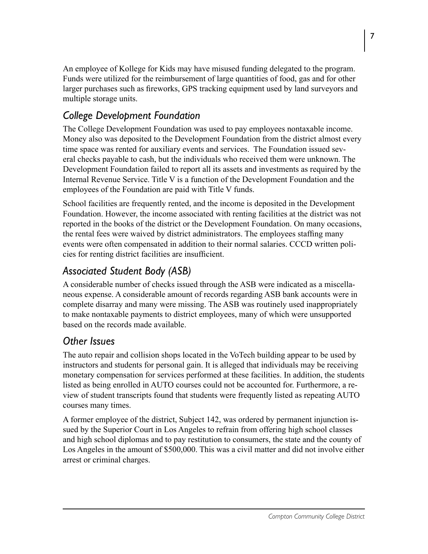An employee of Kollege for Kids may have misused funding delegated to the program. Funds were utilized for the reimbursement of large quantities of food, gas and for other larger purchases such as fireworks, GPS tracking equipment used by land surveyors and multiple storage units.

# *College Development Foundation*

The College Development Foundation was used to pay employees nontaxable income. Money also was deposited to the Development Foundation from the district almost every time space was rented for auxiliary events and services. The Foundation issued several checks payable to cash, but the individuals who received them were unknown. The Development Foundation failed to report all its assets and investments as required by the Internal Revenue Service. Title V is a function of the Development Foundation and the employees of the Foundation are paid with Title V funds.

School facilities are frequently rented, and the income is deposited in the Development Foundation. However, the income associated with renting facilities at the district was not reported in the books of the district or the Development Foundation. On many occasions, the rental fees were waived by district administrators. The employees staffing many events were often compensated in addition to their normal salaries. CCCD written policies for renting district facilities are insufficient.

# *Associated Student Body (ASB)*

A considerable number of checks issued through the ASB were indicated as a miscellaneous expense. A considerable amount of records regarding ASB bank accounts were in complete disarray and many were missing. The ASB was routinely used inappropriately to make nontaxable payments to district employees, many of which were unsupported based on the records made available.

# *Other Issues*

The auto repair and collision shops located in the VoTech building appear to be used by instructors and students for personal gain. It is alleged that individuals may be receiving monetary compensation for services performed at these facilities. In addition, the students listed as being enrolled in AUTO courses could not be accounted for. Furthermore, a review of student transcripts found that students were frequently listed as repeating AUTO courses many times.

A former employee of the district, Subject 142, was ordered by permanent injunction issued by the Superior Court in Los Angeles to refrain from offering high school classes and high school diplomas and to pay restitution to consumers, the state and the county of Los Angeles in the amount of \$500,000. This was a civil matter and did not involve either arrest or criminal charges.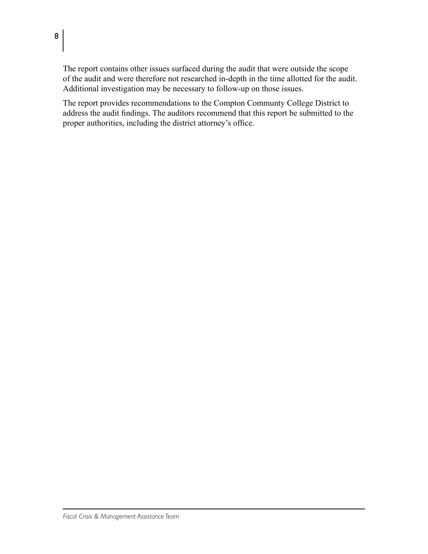The report contains other issues surfaced during the audit that were outside the scope of the audit and were therefore not researched in-depth in the time allotted for the audit. Additional investigation may be necessary to follow-up on those issues.

The report provides recommendations to the Compton Communty College District to address the audit findings. The auditors recommend that this report be submitted to the proper authorities, including the district attorney's office.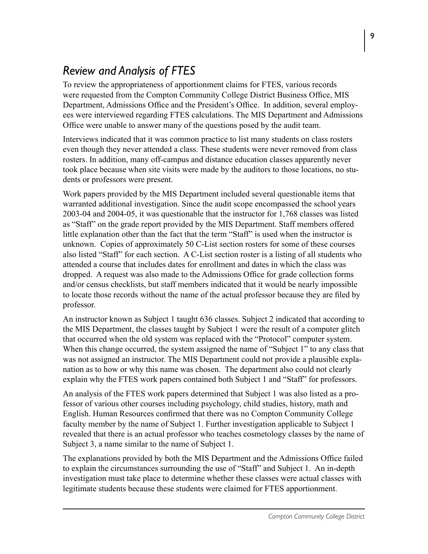# *Review and Analysis of FTES*

To review the appropriateness of apportionment claims for FTES, various records were requested from the Compton Community College District Business Office, MIS Department, Admissions Office and the President's Office. In addition, several employees were interviewed regarding FTES calculations. The MIS Department and Admissions Office were unable to answer many of the questions posed by the audit team.

Interviews indicated that it was common practice to list many students on class rosters even though they never attended a class. These students were never removed from class rosters. In addition, many off-campus and distance education classes apparently never took place because when site visits were made by the auditors to those locations, no students or professors were present.

Work papers provided by the MIS Department included several questionable items that warranted additional investigation. Since the audit scope encompassed the school years 2003-04 and 2004-05, it was questionable that the instructor for 1,768 classes was listed as "Staff" on the grade report provided by the MIS Department. Staff members offered little explanation other than the fact that the term "Staff" is used when the instructor is unknown. Copies of approximately 50 C-List section rosters for some of these courses also listed "Staff" for each section. A C-List section roster is a listing of all students who attended a course that includes dates for enrollment and dates in which the class was dropped. A request was also made to the Admissions Office for grade collection forms and/or census checklists, but staff members indicated that it would be nearly impossible to locate those records without the name of the actual professor because they are filed by professor.

An instructor known as Subject 1 taught 636 classes. Subject 2 indicated that according to the MIS Department, the classes taught by Subject 1 were the result of a computer glitch that occurred when the old system was replaced with the "Protocol" computer system. When this change occurred, the system assigned the name of "Subject 1" to any class that was not assigned an instructor. The MIS Department could not provide a plausible explanation as to how or why this name was chosen. The department also could not clearly explain why the FTES work papers contained both Subject 1 and "Staff" for professors.

An analysis of the FTES work papers determined that Subject 1 was also listed as a professor of various other courses including psychology, child studies, history, math and English. Human Resources confirmed that there was no Compton Community College faculty member by the name of Subject 1. Further investigation applicable to Subject 1 revealed that there is an actual professor who teaches cosmetology classes by the name of Subject 3, a name similar to the name of Subject 1.

The explanations provided by both the MIS Department and the Admissions Office failed to explain the circumstances surrounding the use of "Staff" and Subject 1. An in-depth investigation must take place to determine whether these classes were actual classes with legitimate students because these students were claimed for FTES apportionment.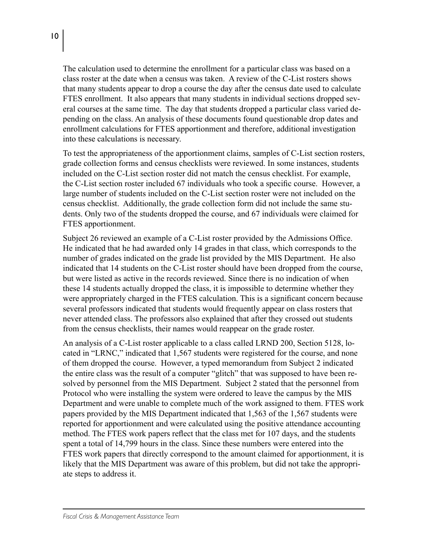The calculation used to determine the enrollment for a particular class was based on a class roster at the date when a census was taken. A review of the C-List rosters shows that many students appear to drop a course the day after the census date used to calculate FTES enrollment. It also appears that many students in individual sections dropped several courses at the same time. The day that students dropped a particular class varied depending on the class. An analysis of these documents found questionable drop dates and enrollment calculations for FTES apportionment and therefore, additional investigation into these calculations is necessary.

To test the appropriateness of the apportionment claims, samples of C-List section rosters, grade collection forms and census checklists were reviewed. In some instances, students included on the C-List section roster did not match the census checklist. For example, the C-List section roster included 67 individuals who took a specific course. However, a large number of students included on the C-List section roster were not included on the census checklist. Additionally, the grade collection form did not include the same students. Only two of the students dropped the course, and 67 individuals were claimed for FTES apportionment.

Subject 26 reviewed an example of a C-List roster provided by the Admissions Office. He indicated that he had awarded only 14 grades in that class, which corresponds to the number of grades indicated on the grade list provided by the MIS Department. He also indicated that 14 students on the C-List roster should have been dropped from the course, but were listed as active in the records reviewed. Since there is no indication of when these 14 students actually dropped the class, it is impossible to determine whether they were appropriately charged in the FTES calculation. This is a significant concern because several professors indicated that students would frequently appear on class rosters that never attended class. The professors also explained that after they crossed out students from the census checklists, their names would reappear on the grade roster.

An analysis of a C-List roster applicable to a class called LRND 200, Section 5128, located in "LRNC," indicated that 1,567 students were registered for the course, and none of them dropped the course. However, a typed memorandum from Subject 2 indicated the entire class was the result of a computer "glitch" that was supposed to have been resolved by personnel from the MIS Department. Subject 2 stated that the personnel from Protocol who were installing the system were ordered to leave the campus by the MIS Department and were unable to complete much of the work assigned to them. FTES work papers provided by the MIS Department indicated that 1,563 of the 1,567 students were reported for apportionment and were calculated using the positive attendance accounting method. The FTES work papers reflect that the class met for 107 days, and the students spent a total of 14,799 hours in the class. Since these numbers were entered into the FTES work papers that directly correspond to the amount claimed for apportionment, it is likely that the MIS Department was aware of this problem, but did not take the appropriate steps to address it.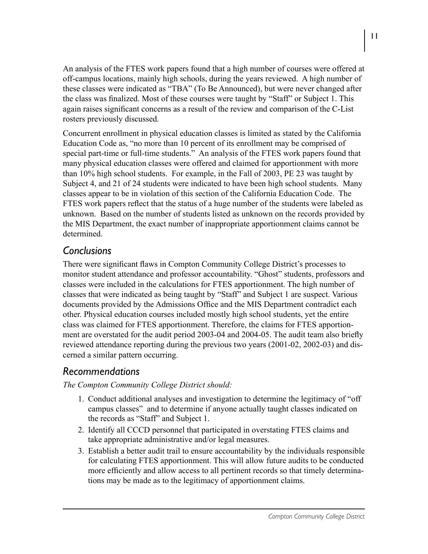An analysis of the FTES work papers found that a high number of courses were offered at off-campus locations, mainly high schools, during the years reviewed. A high number of these classes were indicated as "TBA" (To Be Announced), but were never changed after the class was finalized. Most of these courses were taught by "Staff" or Subject 1. This again raises significant concerns as a result of the review and comparison of the C-List rosters previously discussed.

Concurrent enrollment in physical education classes is limited as stated by the California Education Code as, "no more than 10 percent of its enrollment may be comprised of special part-time or full-time students." An analysis of the FTES work papers found that many physical education classes were offered and claimed for apportionment with more than 10% high school students. For example, in the Fall of 2003, PE 23 was taught by Subject 4, and 21 of 24 students were indicated to have been high school students. Many classes appear to be in violation of this section of the California Education Code. The FTES work papers reflect that the status of a huge number of the students were labeled as unknown. Based on the number of students listed as unknown on the records provided by the MIS Department, the exact number of inappropriate apportionment claims cannot be determined.

#### *Conclusions*

There were significant flaws in Compton Community College District's processes to monitor student attendance and professor accountability. "Ghost" students, professors and classes were included in the calculations for FTES apportionment. The high number of classes that were indicated as being taught by "Staff" and Subject 1 are suspect. Various documents provided by the Admissions Office and the MIS Department contradict each other. Physical education courses included mostly high school students, yet the entire class was claimed for FTES apportionment. Therefore, the claims for FTES apportionment are overstated for the audit period 2003-04 and 2004-05. The audit team also briefly reviewed attendance reporting during the previous two years (2001-02, 2002-03) and discerned a similar pattern occurring.

#### *Recommendations*

#### *The Compton Community College District should:*

- 1. Conduct additional analyses and investigation to determine the legitimacy of "off campus classes" and to determine if anyone actually taught classes indicated on the records as "Staff" and Subject 1.
- 2. Identify all CCCD personnel that participated in overstating FTES claims and take appropriate administrative and/or legal measures.
- 3. Establish a better audit trail to ensure accountability by the individuals responsible for calculating FTES apportionment. This will allow future audits to be conducted more efficiently and allow access to all pertinent records so that timely determinations may be made as to the legitimacy of apportionment claims.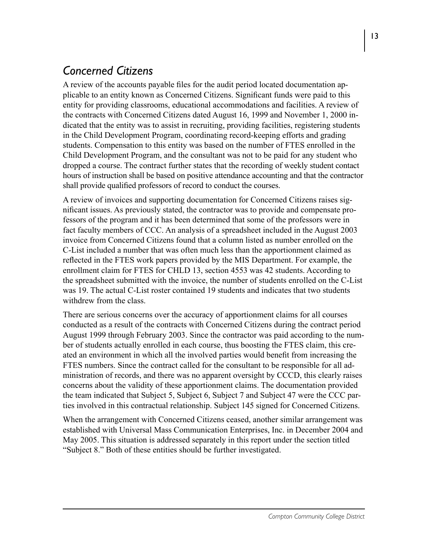# *Concerned Citizens*

A review of the accounts payable files for the audit period located documentation applicable to an entity known as Concerned Citizens. Significant funds were paid to this entity for providing classrooms, educational accommodations and facilities. A review of the contracts with Concerned Citizens dated August 16, 1999 and November 1, 2000 indicated that the entity was to assist in recruiting, providing facilities, registering students in the Child Development Program, coordinating record-keeping efforts and grading students. Compensation to this entity was based on the number of FTES enrolled in the Child Development Program, and the consultant was not to be paid for any student who dropped a course. The contract further states that the recording of weekly student contact hours of instruction shall be based on positive attendance accounting and that the contractor shall provide qualified professors of record to conduct the courses.

A review of invoices and supporting documentation for Concerned Citizens raises significant issues. As previously stated, the contractor was to provide and compensate professors of the program and it has been determined that some of the professors were in fact faculty members of CCC. An analysis of a spreadsheet included in the August 2003 invoice from Concerned Citizens found that a column listed as number enrolled on the C-List included a number that was often much less than the apportionment claimed as reflected in the FTES work papers provided by the MIS Department. For example, the enrollment claim for FTES for CHLD 13, section 4553 was 42 students. According to the spreadsheet submitted with the invoice, the number of students enrolled on the C-List was 19. The actual C-List roster contained 19 students and indicates that two students withdrew from the class.

There are serious concerns over the accuracy of apportionment claims for all courses conducted as a result of the contracts with Concerned Citizens during the contract period August 1999 through February 2003. Since the contractor was paid according to the number of students actually enrolled in each course, thus boosting the FTES claim, this created an environment in which all the involved parties would benefit from increasing the FTES numbers. Since the contract called for the consultant to be responsible for all administration of records, and there was no apparent oversight by CCCD, this clearly raises concerns about the validity of these apportionment claims. The documentation provided the team indicated that Subject 5, Subject 6, Subject 7 and Subject 47 were the CCC parties involved in this contractual relationship. Subject 145 signed for Concerned Citizens.

When the arrangement with Concerned Citizens ceased, another similar arrangement was established with Universal Mass Communication Enterprises, Inc. in December 2004 and May 2005. This situation is addressed separately in this report under the section titled "Subject 8." Both of these entities should be further investigated.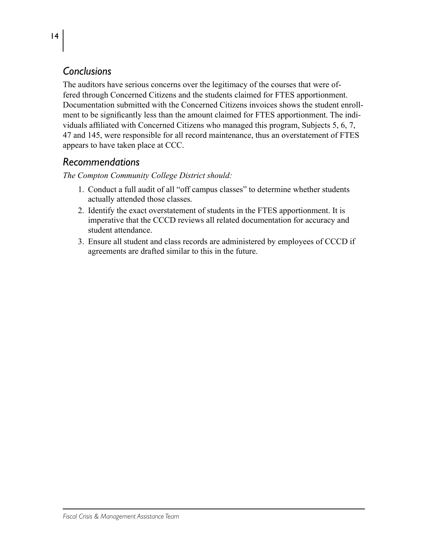# *Conclusions*

The auditors have serious concerns over the legitimacy of the courses that were offered through Concerned Citizens and the students claimed for FTES apportionment. Documentation submitted with the Concerned Citizens invoices shows the student enrollment to be significantly less than the amount claimed for FTES apportionment. The individuals affiliated with Concerned Citizens who managed this program, Subjects 5, 6, 7, 47 and 145, were responsible for all record maintenance, thus an overstatement of FTES appears to have taken place at CCC.

#### *Recommendations*

*The Compton Community College District should:*

- 1. Conduct a full audit of all "off campus classes" to determine whether students actually attended those classes.
- 2. Identify the exact overstatement of students in the FTES apportionment. It is imperative that the CCCD reviews all related documentation for accuracy and student attendance.
- 3. Ensure all student and class records are administered by employees of CCCD if agreements are drafted similar to this in the future.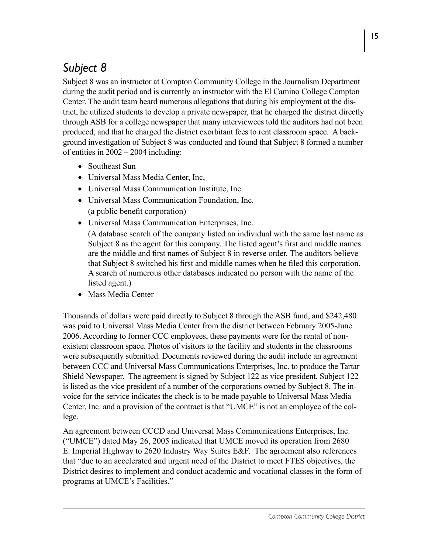# *Subject 8*

Subject 8 was an instructor at Compton Community College in the Journalism Department during the audit period and is currently an instructor with the El Camino College Compton Center. The audit team heard numerous allegations that during his employment at the district, he utilized students to develop a private newspaper, that he charged the district directly through ASB for a college newspaper that many interviewees told the auditors had not been produced, and that he charged the district exorbitant fees to rent classroom space. A background investigation of Subject 8 was conducted and found that Subject 8 formed a number of entities in 2002 – 2004 including:

- Southeast Sun
- Universal Mass Media Center, Inc,
- Universal Mass Communication Institute, Inc.
- • Universal Mass Communication Foundation, Inc. (a public benefit corporation)
- Universal Mass Communication Enterprises, Inc.

(A database search of the company listed an individual with the same last name as Subject 8 as the agent for this company. The listed agent's first and middle names are the middle and first names of Subject 8 in reverse order. The auditors believe that Subject 8 switched his first and middle names when he filed this corporation. A search of numerous other databases indicated no person with the name of the listed agent.)

• Mass Media Center

Thousands of dollars were paid directly to Subject 8 through the ASB fund, and \$242,480 was paid to Universal Mass Media Center from the district between February 2005-June 2006. According to former CCC employees, these payments were for the rental of nonexistent classroom space. Photos of visitors to the facility and students in the classrooms were subsequently submitted. Documents reviewed during the audit include an agreement between CCC and Universal Mass Communications Enterprises, Inc. to produce the Tartar Shield Newspaper. The agreement is signed by Subject 122 as vice president. Subject 122 is listed as the vice president of a number of the corporations owned by Subject 8. The invoice for the service indicates the check is to be made payable to Universal Mass Media Center, Inc. and a provision of the contract is that "UMCE" is not an employee of the college.

An agreement between CCCD and Universal Mass Communications Enterprises, Inc. ("UMCE") dated May 26, 2005 indicated that UMCE moved its operation from 2680 E. Imperial Highway to 2620 Industry Way Suites E&F. The agreement also references that "due to an accelerated and urgent need of the District to meet FTES objectives, the District desires to implement and conduct academic and vocational classes in the form of programs at UMCE's Facilities."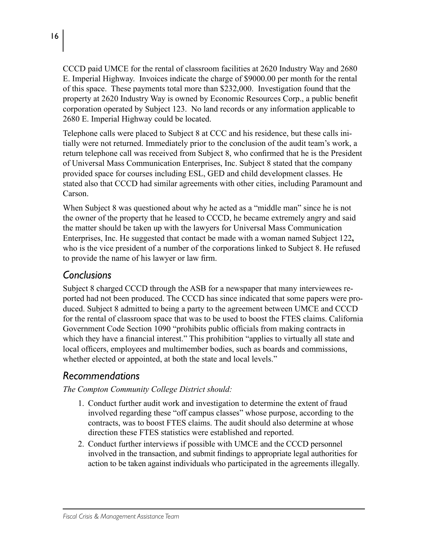CCCD paid UMCE for the rental of classroom facilities at 2620 Industry Way and 2680 E. Imperial Highway. Invoices indicate the charge of \$9000.00 per month for the rental of this space. These payments total more than \$232,000. Investigation found that the property at 2620 Industry Way is owned by Economic Resources Corp., a public benefit corporation operated by Subject 123. No land records or any information applicable to 2680 E. Imperial Highway could be located.

Telephone calls were placed to Subject 8 at CCC and his residence, but these calls initially were not returned. Immediately prior to the conclusion of the audit team's work, a return telephone call was received from Subject 8, who confirmed that he is the President of Universal Mass Communication Enterprises, Inc. Subject 8 stated that the company provided space for courses including ESL, GED and child development classes. He stated also that CCCD had similar agreements with other cities, including Paramount and Carson.

When Subject 8 was questioned about why he acted as a "middle man" since he is not the owner of the property that he leased to CCCD, he became extremely angry and said the matter should be taken up with the lawyers for Universal Mass Communication Enterprises, Inc. He suggested that contact be made with a woman named Subject 122**,**  who is the vice president of a number of the corporations linked to Subject 8. He refused to provide the name of his lawyer or law firm.

#### *Conclusions*

Subject 8 charged CCCD through the ASB for a newspaper that many interviewees reported had not been produced. The CCCD has since indicated that some papers were produced. Subject 8 admitted to being a party to the agreement between UMCE and CCCD for the rental of classroom space that was to be used to boost the FTES claims. California Government Code Section 1090 "prohibits public officials from making contracts in which they have a financial interest." This prohibition "applies to virtually all state and local officers, employees and multimember bodies, such as boards and commissions, whether elected or appointed, at both the state and local levels."

# *Recommendations*

#### *The Compton Community College District should:*

- 1. Conduct further audit work and investigation to determine the extent of fraud involved regarding these "off campus classes" whose purpose, according to the contracts, was to boost FTES claims. The audit should also determine at whose direction these FTES statistics were established and reported.
- 2. Conduct further interviews if possible with UMCE and the CCCD personnel involved in the transaction, and submit findings to appropriate legal authorities for action to be taken against individuals who participated in the agreements illegally.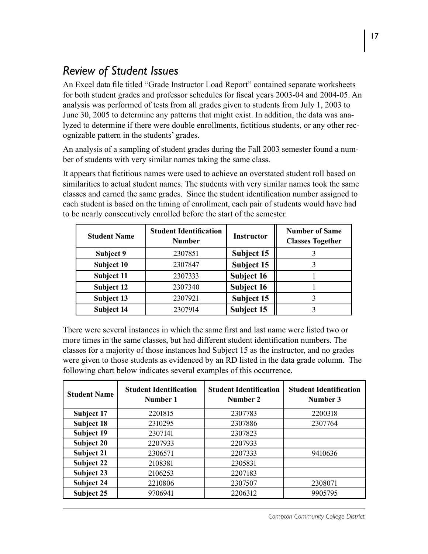# *Review of Student Issues*

An Excel data file titled "Grade Instructor Load Report" contained separate worksheets for both student grades and professor schedules for fiscal years 2003-04 and 2004-05. An analysis was performed of tests from all grades given to students from July 1, 2003 to June 30, 2005 to determine any patterns that might exist. In addition, the data was analyzed to determine if there were double enrollments, fictitious students, or any other recognizable pattern in the students' grades.

An analysis of a sampling of student grades during the Fall 2003 semester found a number of students with very similar names taking the same class.

It appears that fictitious names were used to achieve an overstated student roll based on similarities to actual student names. The students with very similar names took the same classes and earned the same grades. Since the student identification number assigned to each student is based on the timing of enrollment, each pair of students would have had to be nearly consecutively enrolled before the start of the semester.

| <b>Student Name</b> | <b>Student Identification</b><br><b>Number</b> | <b>Instructor</b> | <b>Number of Same</b><br><b>Classes Together</b> |
|---------------------|------------------------------------------------|-------------------|--------------------------------------------------|
| Subject 9           | 2307851                                        | Subject 15        |                                                  |
| Subject 10          | 2307847                                        | Subject 15        |                                                  |
| Subject 11          | 2307333                                        | Subject 16        |                                                  |
| Subject 12          | 2307340                                        | Subject 16        |                                                  |
| Subject 13          | 2307921                                        | Subject 15        |                                                  |
| <b>Subject 14</b>   | 2307914                                        | Subject 15        |                                                  |

There were several instances in which the same first and last name were listed two or more times in the same classes, but had different student identification numbers. The classes for a majority of those instances had Subject 15 as the instructor, and no grades were given to those students as evidenced by an RD listed in the data grade column. The following chart below indicates several examples of this occurrence.

| <b>Student Identification</b><br><b>Student Name</b><br>Number 1 |         | <b>Student Identification</b><br>Number 2 | <b>Student Identification</b><br>Number 3 |
|------------------------------------------------------------------|---------|-------------------------------------------|-------------------------------------------|
| Subject 17                                                       | 2201815 | 2307783                                   | 2200318                                   |
| Subject 18                                                       | 2310295 | 2307886                                   | 2307764                                   |
| Subject 19                                                       | 2307141 | 2307823                                   |                                           |
| <b>Subject 20</b>                                                | 2207933 | 2207933                                   |                                           |
| Subject 21                                                       | 2306571 | 2207333                                   | 9410636                                   |
| Subject 22                                                       | 2108381 | 2305831                                   |                                           |
| Subject 23                                                       | 2106253 | 2207183                                   |                                           |
| Subject 24                                                       | 2210806 | 2307507                                   | 2308071                                   |
| Subject 25                                                       | 9706941 | 2206312                                   | 9905795                                   |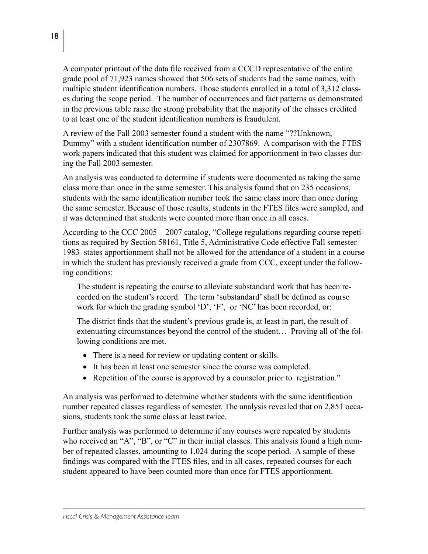A computer printout of the data file received from a CCCD representative of the entire grade pool of 71,923 names showed that 506 sets of students had the same names, with multiple student identification numbers. Those students enrolled in a total of 3,312 classes during the scope period. The number of occurrences and fact patterns as demonstrated in the previous table raise the strong probability that the majority of the classes credited to at least one of the student identification numbers is fraudulent.

A review of the Fall 2003 semester found a student with the name "??Unknown, Dummy" with a student identification number of 2307869. A comparison with the FTES work papers indicated that this student was claimed for apportionment in two classes during the Fall 2003 semester.

An analysis was conducted to determine if students were documented as taking the same class more than once in the same semester. This analysis found that on 235 occasions, students with the same identification number took the same class more than once during the same semester. Because of those results, students in the FTES files were sampled, and it was determined that students were counted more than once in all cases.

According to the CCC 2005 – 2007 catalog, "College regulations regarding course repetitions as required by Section 58161, Title 5, Administrative Code effective Fall semester 1983 states apportionment shall not be allowed for the attendance of a student in a course in which the student has previously received a grade from CCC, except under the following conditions:

The student is repeating the course to alleviate substandard work that has been recorded on the student's record. The term 'substandard' shall be defined as course work for which the grading symbol 'D', 'F', or 'NC' has been recorded, or:

The district finds that the student's previous grade is, at least in part, the result of extenuating circumstances beyond the control of the student… Proving all of the following conditions are met.

- There is a need for review or updating content or skills.
- It has been at least one semester since the course was completed.
- Repetition of the course is approved by a counselor prior to registration."

An analysis was performed to determine whether students with the same identification number repeated classes regardless of semester. The analysis revealed that on 2,851 occasions, students took the same class at least twice.

Further analysis was performed to determine if any courses were repeated by students who received an "A", "B", or "C" in their initial classes. This analysis found a high number of repeated classes, amounting to 1,024 during the scope period. A sample of these findings was compared with the FTES files, and in all cases, repeated courses for each student appeared to have been counted more than once for FTES apportionment.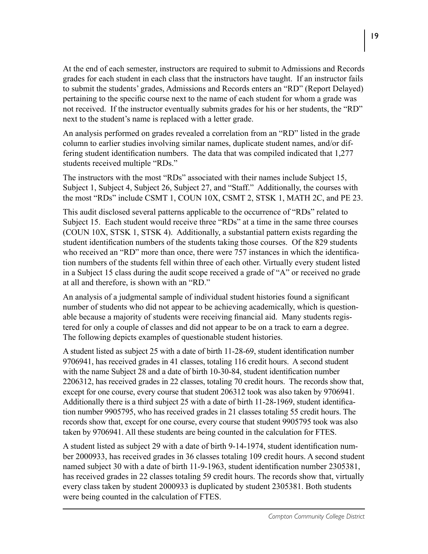At the end of each semester, instructors are required to submit to Admissions and Records grades for each student in each class that the instructors have taught. If an instructor fails to submit the students' grades, Admissions and Records enters an "RD" (Report Delayed) pertaining to the specific course next to the name of each student for whom a grade was not received. If the instructor eventually submits grades for his or her students, the "RD" next to the student's name is replaced with a letter grade.

An analysis performed on grades revealed a correlation from an "RD" listed in the grade column to earlier studies involving similar names, duplicate student names, and/or differing student identification numbers. The data that was compiled indicated that 1,277 students received multiple "RDs."

The instructors with the most "RDs" associated with their names include Subject 15, Subject 1, Subject 4, Subject 26, Subject 27, and "Staff." Additionally, the courses with the most "RDs" include CSMT 1, COUN 10X, CSMT 2, STSK 1, MATH 2C, and PE 23.

This audit disclosed several patterns applicable to the occurrence of "RDs" related to Subject 15. Each student would receive three "RDs" at a time in the same three courses (COUN 10X, STSK 1, STSK 4). Additionally, a substantial pattern exists regarding the student identification numbers of the students taking those courses. Of the 829 students who received an "RD" more than once, there were 757 instances in which the identification numbers of the students fell within three of each other. Virtually every student listed in a Subject 15 class during the audit scope received a grade of "A" or received no grade at all and therefore, is shown with an "RD."

An analysis of a judgmental sample of individual student histories found a significant number of students who did not appear to be achieving academically, which is questionable because a majority of students were receiving financial aid. Many students registered for only a couple of classes and did not appear to be on a track to earn a degree. The following depicts examples of questionable student histories.

A student listed as subject 25 with a date of birth 11-28-69, student identification number 9706941, has received grades in 41 classes, totaling 116 credit hours. A second student with the name Subject 28 and a date of birth 10-30-84, student identification number 2206312, has received grades in 22 classes, totaling 70 credit hours. The records show that, except for one course, every course that student 206312 took was also taken by 9706941. Additionally there is a third subject 25 with a date of birth 11-28-1969, student identification number 9905795, who has received grades in 21 classes totaling 55 credit hours. The records show that, except for one course, every course that student 9905795 took was also taken by 9706941. All these students are being counted in the calculation for FTES.

A student listed as subject 29 with a date of birth 9-14-1974, student identification number 2000933, has received grades in 36 classes totaling 109 credit hours. A second student named subject 30 with a date of birth 11-9-1963, student identification number 2305381, has received grades in 22 classes totaling 59 credit hours. The records show that, virtually every class taken by student 2000933 is duplicated by student 2305381. Both students were being counted in the calculation of FTES.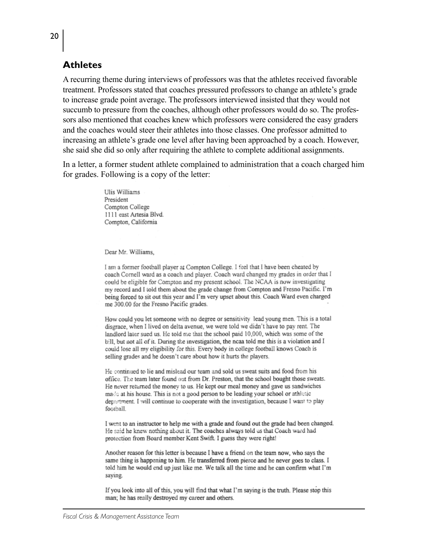#### **Athletes**

A recurring theme during interviews of professors was that the athletes received favorable treatment. Professors stated that coaches pressured professors to change an athlete's grade to increase grade point average. The professors interviewed insisted that they would not succumb to pressure from the coaches, although other professors would do so. The professors also mentioned that coaches knew which professors were considered the easy graders and the coaches would steer their athletes into those classes. One professor admitted to increasing an athlete's grade one level after having been approached by a coach. However, she said she did so only after requiring the athlete to complete additional assignments.

In a letter, a former student athlete complained to administration that a coach charged him for grades. Following is a copy of the letter:

> Ulis Williams President Compton College 1111 east Artesia Blvd. Compton, California

Dear Mr. Williams,

I am a former football player at Compton College. I feel that I have been cheated by coach Cornell ward as a coach and player. Coach ward changed my grades in order that I could be eligible for Compton and my present school. The NCAA is now investigating my record and I told them about the grade change from Compton and Fresno Pacific. I'm being forced to sit out this year and I'm very upset about this. Coach Ward even charged me 300.00 for the Fresno Pacific grades.

How could you let someone with no degree or sensitivity lead young men. This is a total disgrace, when I lived on delta avenue, we were told we didn't have to pay rent. The landlord later sued us. He told me that the school paid 10,000, which was some of the bill, but not all of it. During the investigation, the neaa told me this is a violation and I could lose all my eligibility for this. Every body in college football knows Coach is selling grades and he doesn't care about how it hurts the players.

He continued to lie and mislead our team and sold us sweat suits and food from his office. The team later found out from Dr. Preston, that the school bought those sweats. He never returned the money to us. He kept our meal money and gave us sandwiches made at his house. This is not a good person to be leading your school or athletic department. I will continue to cooperate with the investigation, because I want to play football.

I went to an instructor to help me with a grade and found out the grade had been changed. He said he knew nothing about it. The coaches always told us that Coach ward had protection from Board member Kent Swift. I guess they were right!

Another reason for this letter is because I have a friend on the team now, who says the same thing is happening to him. He transferred from pierce and he never goes to class. I told him he would end up just like me. We talk all the time and he can confirm what I'm saying.

If you look into all of this, you will find that what I'm saying is the truth. Please stop this man; he has really destroyed my career and others.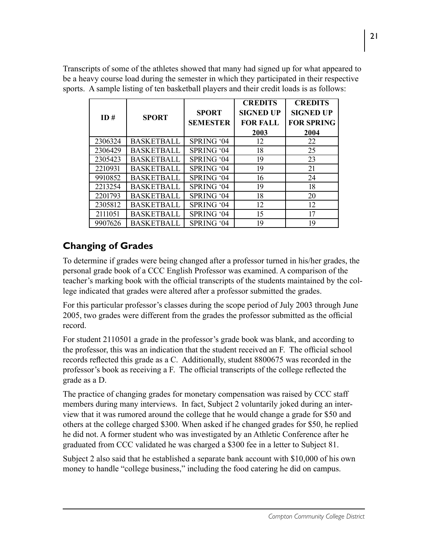Transcripts of some of the athletes showed that many had signed up for what appeared to be a heavy course load during the semester in which they participated in their respective sports. A sample listing of ten basketball players and their credit loads is as follows:

|         |                   |                 | <b>CREDITS</b>   | <b>CREDITS</b>    |
|---------|-------------------|-----------------|------------------|-------------------|
| ID#     | <b>SPORT</b>      | <b>SPORT</b>    | <b>SIGNED UP</b> | <b>SIGNED UP</b>  |
|         |                   | <b>SEMESTER</b> | <b>FOR FALL</b>  | <b>FOR SPRING</b> |
|         |                   |                 | 2003             | 2004              |
| 2306324 | <b>BASKETBALL</b> | SPRING '04      | 12               | 22                |
| 2306429 | <b>BASKETBALL</b> | SPRING '04      | 18               | 25                |
| 2305423 | <b>BASKETBALL</b> | SPRING '04      | 19               | 23                |
| 2210931 | <b>BASKETBALL</b> | SPRING '04      | 19               | 21                |
| 9910852 | <b>BASKETBALL</b> | SPRING '04      | 16               | 24                |
| 2213254 | <b>BASKETBALL</b> | SPRING '04      | 19               | 18                |
| 2201793 | <b>BASKETBALL</b> | SPRING '04      | 18               | 20                |
| 2305812 | <b>BASKETBALL</b> | SPRING '04      | 12               | 12                |
| 2111051 | <b>BASKETBALL</b> | SPRING '04      | 15               | 17                |
| 9907626 | <b>BASKETBALL</b> | SPRING '04      | 19               | 19                |

#### **Changing of Grades**

To determine if grades were being changed after a professor turned in his/her grades, the personal grade book of a CCC English Professor was examined. A comparison of the teacher's marking book with the official transcripts of the students maintained by the college indicated that grades were altered after a professor submitted the grades.

For this particular professor's classes during the scope period of July 2003 through June 2005, two grades were different from the grades the professor submitted as the official record.

For student 2110501 a grade in the professor's grade book was blank, and according to the professor, this was an indication that the student received an F. The official school records reflected this grade as a C. Additionally, student 8800675 was recorded in the professor's book as receiving a F. The official transcripts of the college reflected the grade as a D.

The practice of changing grades for monetary compensation was raised by CCC staff members during many interviews. In fact, Subject 2 voluntarily joked during an interview that it was rumored around the college that he would change a grade for \$50 and others at the college charged \$300. When asked if he changed grades for \$50, he replied he did not. A former student who was investigated by an Athletic Conference after he graduated from CCC validated he was charged a \$300 fee in a letter to Subject 81.

Subject 2 also said that he established a separate bank account with \$10,000 of his own money to handle "college business," including the food catering he did on campus.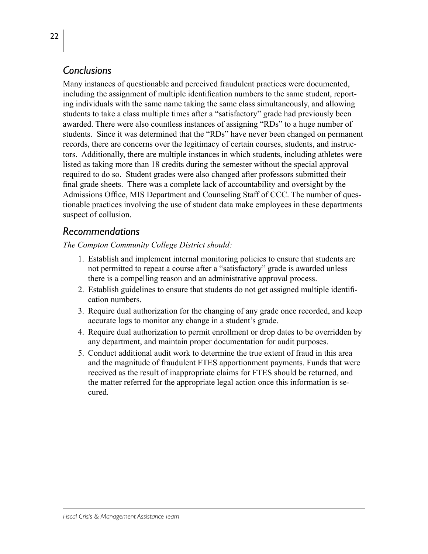### *Conclusions*

Many instances of questionable and perceived fraudulent practices were documented, including the assignment of multiple identification numbers to the same student, reporting individuals with the same name taking the same class simultaneously, and allowing students to take a class multiple times after a "satisfactory" grade had previously been awarded. There were also countless instances of assigning "RDs" to a huge number of students. Since it was determined that the "RDs" have never been changed on permanent records, there are concerns over the legitimacy of certain courses, students, and instructors. Additionally, there are multiple instances in which students, including athletes were listed as taking more than 18 credits during the semester without the special approval required to do so. Student grades were also changed after professors submitted their final grade sheets. There was a complete lack of accountability and oversight by the Admissions Office, MIS Department and Counseling Staff of CCC. The number of questionable practices involving the use of student data make employees in these departments suspect of collusion.

#### *Recommendations*

*The Compton Community College District should:*

- 1. Establish and implement internal monitoring policies to ensure that students are not permitted to repeat a course after a "satisfactory" grade is awarded unless there is a compelling reason and an administrative approval process.
- 2. Establish guidelines to ensure that students do not get assigned multiple identification numbers.
- 3. Require dual authorization for the changing of any grade once recorded, and keep accurate logs to monitor any change in a student's grade.
- 4. Require dual authorization to permit enrollment or drop dates to be overridden by any department, and maintain proper documentation for audit purposes.
- 5. Conduct additional audit work to determine the true extent of fraud in this area and the magnitude of fraudulent FTES apportionment payments. Funds that were received as the result of inappropriate claims for FTES should be returned, and the matter referred for the appropriate legal action once this information is secured.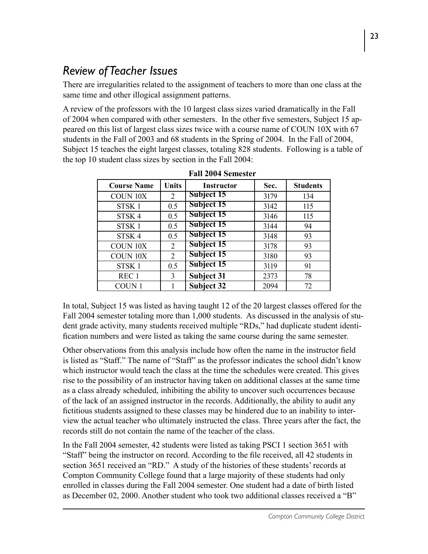# *Review of Teacher Issues*

There are irregularities related to the assignment of teachers to more than one class at the same time and other illogical assignment patterns.

A review of the professors with the 10 largest class sizes varied dramatically in the Fall of 2004 when compared with other semesters. In the other five semesters, Subject 15 appeared on this list of largest class sizes twice with a course name of COUN 10X with 67 students in the Fall of 2003 and 68 students in the Spring of 2004. In the Fall of 2004, Subject 15 teaches the eight largest classes, totaling 828 students. Following is a table of the top 10 student class sizes by section in the Fall 2004:

| <b>Course Name</b> | <b>Units</b>   | <b>Instructor</b> | Sec. | <b>Students</b> |
|--------------------|----------------|-------------------|------|-----------------|
| <b>COUN 10X</b>    | $\overline{2}$ | Subject 15        | 3179 | 134             |
| STSK <sub>1</sub>  | 0.5            | Subject 15        | 3142 | 115             |
| STSK <sub>4</sub>  | 0.5            | Subject 15        | 3146 | 115             |
| STSK <sub>1</sub>  | 0.5            | Subject 15        | 3144 | 94              |
| STSK <sub>4</sub>  | 0.5            | Subject 15        | 3148 | 93              |
| <b>COUN 10X</b>    | $\overline{2}$ | Subject 15        | 3178 | 93              |
| <b>COUN 10X</b>    | $\overline{2}$ | Subject 15        | 3180 | 93              |
| STSK <sub>1</sub>  | 0.5            | Subject 15        | 3119 | 91              |
| REC <sub>1</sub>   | 3              | <b>Subject 31</b> | 2373 | 78              |
| COUN <sub>1</sub>  |                | <b>Subject 32</b> | 2094 | 72              |

In total, Subject 15 was listed as having taught 12 of the 20 largest classes offered for the Fall 2004 semester totaling more than 1,000 students. As discussed in the analysis of student grade activity, many students received multiple "RDs," had duplicate student identification numbers and were listed as taking the same course during the same semester.

Other observations from this analysis include how often the name in the instructor field is listed as "Staff." The name of "Staff" as the professor indicates the school didn't know which instructor would teach the class at the time the schedules were created. This gives rise to the possibility of an instructor having taken on additional classes at the same time as a class already scheduled, inhibiting the ability to uncover such occurrences because of the lack of an assigned instructor in the records. Additionally, the ability to audit any fictitious students assigned to these classes may be hindered due to an inability to interview the actual teacher who ultimately instructed the class. Three years after the fact, the records still do not contain the name of the teacher of the class.

In the Fall 2004 semester, 42 students were listed as taking PSCI 1 section 3651 with "Staff" being the instructor on record. According to the file received, all 42 students in section 3651 received an "RD." A study of the histories of these students' records at Compton Community College found that a large majority of these students had only enrolled in classes during the Fall 2004 semester. One student had a date of birth listed as December 02, 2000. Another student who took two additional classes received a "B"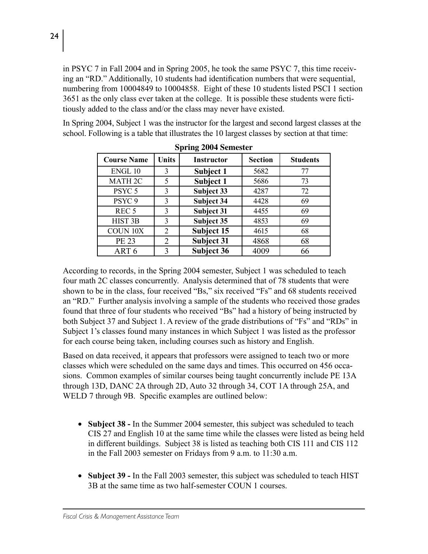in PSYC 7 in Fall 2004 and in Spring 2005, he took the same PSYC 7, this time receiving an "RD." Additionally, 10 students had identification numbers that were sequential, numbering from 10004849 to 10004858. Eight of these 10 students listed PSCI 1 section 3651 as the only class ever taken at the college. It is possible these students were fictitiously added to the class and/or the class may never have existed.

In Spring 2004, Subject 1 was the instructor for the largest and second largest classes at the school. Following is a table that illustrates the 10 largest classes by section at that time:

| <b>Course Name</b> | <b>Units</b>   | <b>Instructor</b> | <b>Section</b> | <b>Students</b> |
|--------------------|----------------|-------------------|----------------|-----------------|
| ENGL 10            | 3              | Subject 1         | 5682           | 77              |
| MATH <sub>2C</sub> | 5              | Subject 1         | 5686           | 73              |
| PSYC <sub>5</sub>  | 3              | Subject 33        | 4287           | 72              |
| PSYC <sub>9</sub>  | 3              | <b>Subject 34</b> | 4428           | 69              |
| REC <sub>5</sub>   | 3              | <b>Subject 31</b> | 4455           | 69              |
| HIST <sub>3B</sub> | 3              | Subject 35        | 4853           | 69              |
| <b>COUN 10X</b>    | $\overline{2}$ | Subject 15        | 4615           | 68              |
| PE 23              | $\overline{2}$ | <b>Subject 31</b> | 4868           | 68              |
| ART <sub>6</sub>   | 3              | Subject 36        | 4009           | 66              |

**Spring 2004 Semester**

According to records, in the Spring 2004 semester, Subject 1 was scheduled to teach four math 2C classes concurrently. Analysis determined that of 78 students that were shown to be in the class, four received "Bs," six received "Fs" and 68 students received an "RD." Further analysis involving a sample of the students who received those grades found that three of four students who received "Bs" had a history of being instructed by both Subject 37 and Subject 1. A review of the grade distributions of "Fs" and "RDs" in Subject 1's classes found many instances in which Subject 1 was listed as the professor for each course being taken, including courses such as history and English.

Based on data received, it appears that professors were assigned to teach two or more classes which were scheduled on the same days and times. This occurred on 456 occasions. Common examples of similar courses being taught concurrently include PE 13A through 13D, DANC 2A through 2D, Auto 32 through 34, COT 1A through 25A, and WELD 7 through 9B. Specific examples are outlined below:

- **Subject 38 In the Summer 2004 semester, this subject was scheduled to teach** CIS 27 and English 10 at the same time while the classes were listed as being held in different buildings. Subject 38 is listed as teaching both CIS 111 and CIS 112 in the Fall 2003 semester on Fridays from 9 a.m. to 11:30 a.m.
- Subject 39 In the Fall 2003 semester, this subject was scheduled to teach HIST 3B at the same time as two half-semester COUN 1 courses.

24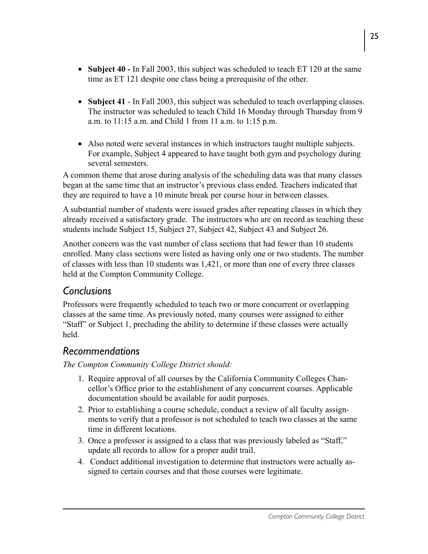- Subject 40 In Fall 2003, this subject was scheduled to teach ET 120 at the same time as ET 121 despite one class being a prerequisite of the other.
- **Subject 41** In Fall 2003, this subject was scheduled to teach overlapping classes. The instructor was scheduled to teach Child 16 Monday through Thursday from 9 a.m. to 11:15 a.m. and Child 1 from 11 a.m. to 1:15 p.m.
- Also noted were several instances in which instructors taught multiple subjects. For example, Subject 4 appeared to have taught both gym and psychology during several semesters.

A common theme that arose during analysis of the scheduling data was that many classes began at the same time that an instructor's previous class ended. Teachers indicated that they are required to have a 10 minute break per course hour in between classes.

A substantial number of students were issued grades after repeating classes in which they already received a satisfactory grade. The instructors who are on record as teaching these students include Subject 15, Subject 27, Subject 42, Subject 43 and Subject 26.

Another concern was the vast number of class sections that had fewer than 10 students enrolled. Many class sections were listed as having only one or two students. The number of classes with less than 10 students was 1,421, or more than one of every three classes held at the Compton Community College.

# *Conclusions*

Professors were frequently scheduled to teach two or more concurrent or overlapping classes at the same time. As previously noted, many courses were assigned to either "Staff" or Subject 1, precluding the ability to determine if these classes were actually held.

# *Recommendations*

*The Compton Community College District should:*

- 1. Require approval of all courses by the California Community Colleges Chancellor's Office prior to the establishment of any concurrent courses. Applicable documentation should be available for audit purposes.
- 2. Prior to establishing a course schedule, conduct a review of all faculty assignments to verify that a professor is not scheduled to teach two classes at the same time in different locations.
- 3. Once a professor is assigned to a class that was previously labeled as "Staff," update all records to allow for a proper audit trail.
- 4. Conduct additional investigation to determine that instructors were actually assigned to certain courses and that those courses were legitimate.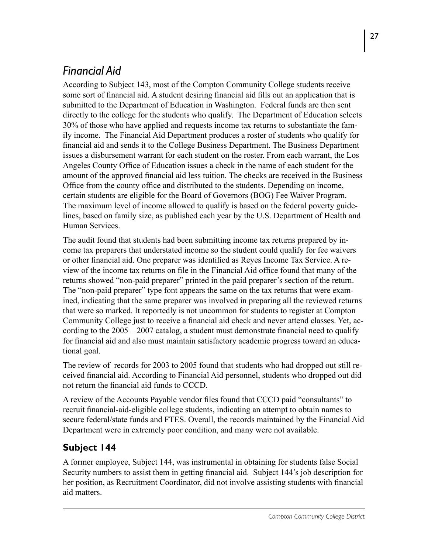# *Financial Aid*

According to Subject 143, most of the Compton Community College students receive some sort of financial aid. A student desiring financial aid fills out an application that is submitted to the Department of Education in Washington. Federal funds are then sent directly to the college for the students who qualify. The Department of Education selects 30% of those who have applied and requests income tax returns to substantiate the family income. The Financial Aid Department produces a roster of students who qualify for financial aid and sends it to the College Business Department. The Business Department issues a disbursement warrant for each student on the roster. From each warrant, the Los Angeles County Office of Education issues a check in the name of each student for the amount of the approved financial aid less tuition. The checks are received in the Business Office from the county office and distributed to the students. Depending on income, certain students are eligible for the Board of Governors (BOG) Fee Waiver Program. The maximum level of income allowed to qualify is based on the federal poverty guidelines, based on family size, as published each year by the U.S. Department of Health and Human Services.

The audit found that students had been submitting income tax returns prepared by income tax preparers that understated income so the student could qualify for fee waivers or other financial aid. One preparer was identified as Reyes Income Tax Service. A review of the income tax returns on file in the Financial Aid office found that many of the returns showed "non-paid preparer" printed in the paid preparer's section of the return. The "non-paid preparer" type font appears the same on the tax returns that were examined, indicating that the same preparer was involved in preparing all the reviewed returns that were so marked. It reportedly is not uncommon for students to register at Compton Community College just to receive a financial aid check and never attend classes. Yet, according to the 2005 – 2007 catalog, a student must demonstrate financial need to qualify for financial aid and also must maintain satisfactory academic progress toward an educational goal.

The review of records for 2003 to 2005 found that students who had dropped out still received financial aid. According to Financial Aid personnel, students who dropped out did not return the financial aid funds to CCCD.

A review of the Accounts Payable vendor files found that CCCD paid "consultants" to recruit financial-aid-eligible college students, indicating an attempt to obtain names to secure federal/state funds and FTES. Overall, the records maintained by the Financial Aid Department were in extremely poor condition, and many were not available.

# **Subject 144**

A former employee, Subject 144, was instrumental in obtaining for students false Social Security numbers to assist them in getting financial aid. Subject 144's job description for her position, as Recruitment Coordinator, did not involve assisting students with financial aid matters.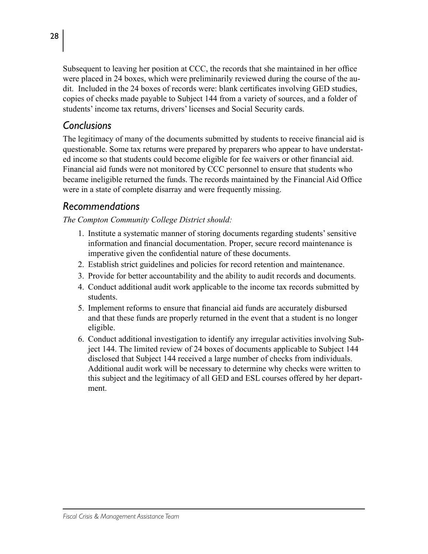Subsequent to leaving her position at CCC, the records that she maintained in her office were placed in 24 boxes, which were preliminarily reviewed during the course of the audit. Included in the 24 boxes of records were: blank certificates involving GED studies, copies of checks made payable to Subject 144 from a variety of sources, and a folder of students' income tax returns, drivers' licenses and Social Security cards.

#### *Conclusions*

The legitimacy of many of the documents submitted by students to receive financial aid is questionable. Some tax returns were prepared by preparers who appear to have understated income so that students could become eligible for fee waivers or other financial aid. Financial aid funds were not monitored by CCC personnel to ensure that students who became ineligible returned the funds. The records maintained by the Financial Aid Office were in a state of complete disarray and were frequently missing.

#### *Recommendations*

*The Compton Community College District should:*

- 1. Institute a systematic manner of storing documents regarding students' sensitive information and financial documentation. Proper, secure record maintenance is imperative given the confidential nature of these documents.
- 2. Establish strict guidelines and policies for record retention and maintenance.
- 3. Provide for better accountability and the ability to audit records and documents.
- 4. Conduct additional audit work applicable to the income tax records submitted by students.
- 5. Implement reforms to ensure that financial aid funds are accurately disbursed and that these funds are properly returned in the event that a student is no longer eligible.
- 6. Conduct additional investigation to identify any irregular activities involving Subject 144. The limited review of 24 boxes of documents applicable to Subject 144 disclosed that Subject 144 received a large number of checks from individuals. Additional audit work will be necessary to determine why checks were written to this subject and the legitimacy of all GED and ESL courses offered by her department.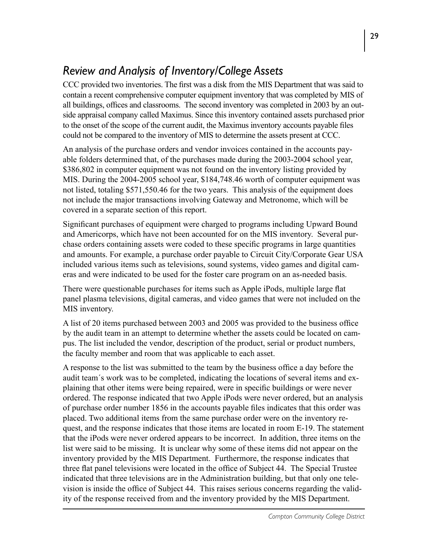# *Review and Analysis of Inventory/College Assets*

CCC provided two inventories. The first was a disk from the MIS Department that was said to contain a recent comprehensive computer equipment inventory that was completed by MIS of all buildings, offices and classrooms. The second inventory was completed in 2003 by an outside appraisal company called Maximus. Since this inventory contained assets purchased prior to the onset of the scope of the current audit, the Maximus inventory accounts payable files could not be compared to the inventory of MIS to determine the assets present at CCC.

An analysis of the purchase orders and vendor invoices contained in the accounts payable folders determined that, of the purchases made during the 2003-2004 school year, \$386,802 in computer equipment was not found on the inventory listing provided by MIS. During the 2004-2005 school year, \$184,748.46 worth of computer equipment was not listed, totaling \$571,550.46 for the two years. This analysis of the equipment does not include the major transactions involving Gateway and Metronome, which will be covered in a separate section of this report.

Significant purchases of equipment were charged to programs including Upward Bound and Americorps, which have not been accounted for on the MIS inventory. Several purchase orders containing assets were coded to these specific programs in large quantities and amounts. For example, a purchase order payable to Circuit City/Corporate Gear USA included various items such as televisions, sound systems, video games and digital cameras and were indicated to be used for the foster care program on an as-needed basis.

There were questionable purchases for items such as Apple iPods, multiple large flat panel plasma televisions, digital cameras, and video games that were not included on the MIS inventory.

A list of 20 items purchased between 2003 and 2005 was provided to the business office by the audit team in an attempt to determine whether the assets could be located on campus. The list included the vendor, description of the product, serial or product numbers, the faculty member and room that was applicable to each asset.

A response to the list was submitted to the team by the business office a day before the audit team´s work was to be completed, indicating the locations of several items and explaining that other items were being repaired, were in specific buildings or were never ordered. The response indicated that two Apple iPods were never ordered, but an analysis of purchase order number 1856 in the accounts payable files indicates that this order was placed. Two additional items from the same purchase order were on the inventory request, and the response indicates that those items are located in room E-19. The statement that the iPods were never ordered appears to be incorrect. In addition, three items on the list were said to be missing. It is unclear why some of these items did not appear on the inventory provided by the MIS Department. Furthermore, the response indicates that three flat panel televisions were located in the office of Subject 44. The Special Trustee indicated that three televisions are in the Administration building, but that only one television is inside the office of Subject 44. This raises serious concerns regarding the validity of the response received from and the inventory provided by the MIS Department.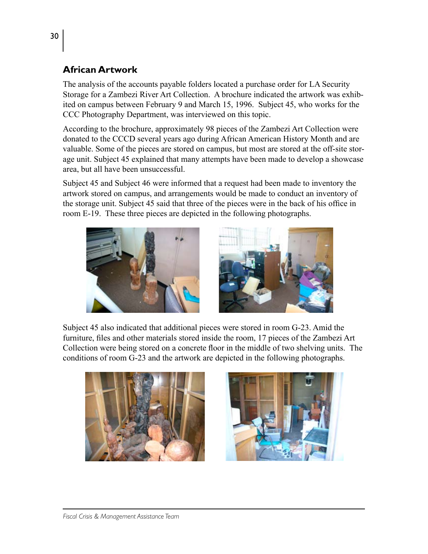#### **African Artwork**

The analysis of the accounts payable folders located a purchase order for LA Security Storage for a Zambezi River Art Collection. A brochure indicated the artwork was exhibited on campus between February 9 and March 15, 1996. Subject 45, who works for the CCC Photography Department, was interviewed on this topic.

According to the brochure, approximately 98 pieces of the Zambezi Art Collection were donated to the CCCD several years ago during African American History Month and are valuable. Some of the pieces are stored on campus, but most are stored at the off-site storage unit. Subject 45 explained that many attempts have been made to develop a showcase area, but all have been unsuccessful.

Subject 45 and Subject 46 were informed that a request had been made to inventory the artwork stored on campus, and arrangements would be made to conduct an inventory of the storage unit. Subject 45 said that three of the pieces were in the back of his office in room E-19. These three pieces are depicted in the following photographs.





Subject 45 also indicated that additional pieces were stored in room G-23. Amid the furniture, files and other materials stored inside the room, 17 pieces of the Zambezi Art Collection were being stored on a concrete floor in the middle of two shelving units. The conditions of room G-23 and the artwork are depicted in the following photographs.



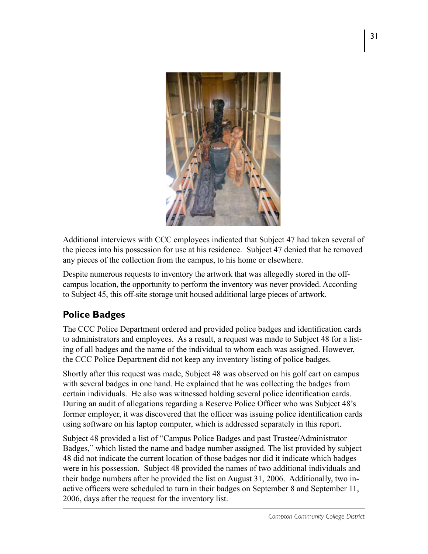

Additional interviews with CCC employees indicated that Subject 47 had taken several of the pieces into his possession for use at his residence. Subject 47 denied that he removed any pieces of the collection from the campus, to his home or elsewhere.

Despite numerous requests to inventory the artwork that was allegedly stored in the offcampus location, the opportunity to perform the inventory was never provided. According to Subject 45, this off-site storage unit housed additional large pieces of artwork.

### **Police Badges**

The CCC Police Department ordered and provided police badges and identification cards to administrators and employees. As a result, a request was made to Subject 48 for a listing of all badges and the name of the individual to whom each was assigned. However, the CCC Police Department did not keep any inventory listing of police badges.

Shortly after this request was made, Subject 48 was observed on his golf cart on campus with several badges in one hand. He explained that he was collecting the badges from certain individuals. He also was witnessed holding several police identification cards. During an audit of allegations regarding a Reserve Police Officer who was Subject 48's former employer, it was discovered that the officer was issuing police identification cards using software on his laptop computer, which is addressed separately in this report.

Subject 48 provided a list of "Campus Police Badges and past Trustee/Administrator Badges," which listed the name and badge number assigned. The list provided by subject 48 did not indicate the current location of those badges nor did it indicate which badges were in his possession. Subject 48 provided the names of two additional individuals and their badge numbers after he provided the list on August 31, 2006. Additionally, two inactive officers were scheduled to turn in their badges on September 8 and September 11, 2006, days after the request for the inventory list.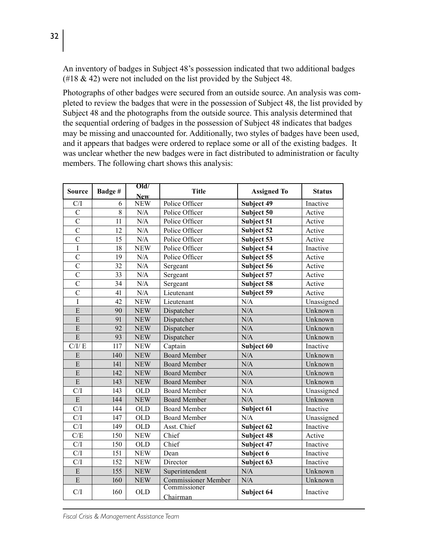An inventory of badges in Subject 48's possession indicated that two additional badges  $(418 \& 42)$  were not included on the list provided by the Subject 48.

Photographs of other badges were secured from an outside source. An analysis was completed to review the badges that were in the possession of Subject 48, the list provided by Subject 48 and the photographs from the outside source. This analysis determined that the sequential ordering of badges in the possession of Subject 48 indicates that badges may be missing and unaccounted for. Additionally, two styles of badges have been used, and it appears that badges were ordered to replace some or all of the existing badges. It was unclear whether the new badges were in fact distributed to administration or faculty members. The following chart shows this analysis:

| <b>Source</b>           | Badge#         | Old/       | <b>Title</b>               |                    | <b>Status</b> |  |
|-------------------------|----------------|------------|----------------------------|--------------------|---------------|--|
|                         |                | <b>New</b> |                            | <b>Assigned To</b> |               |  |
| C/I                     | 6              | <b>NEW</b> | Police Officer             | Subject 49         | Inactive      |  |
| $\overline{\mathrm{C}}$ | $\overline{8}$ | $\rm N/A$  | Police Officer             | Subject 50         | Active        |  |
| $\overline{\mathrm{C}}$ | 11             | N/A        | Police Officer             | Subject 51         | Active        |  |
| $\overline{\text{c}}$   | 12             | N/A        | Police Officer             | Subject 52         | Active        |  |
| $\overline{\text{c}}$   | 15             | N/A        | Police Officer             | Subject 53         | Active        |  |
| I                       | 18             | <b>NEW</b> | Police Officer             | Subject 54         | Inactive      |  |
| $\overline{C}$          | 19             | N/A        | Police Officer             | Subject 55         | Active        |  |
| $\overline{C}$          | 32             | N/A        | Sergeant                   | Subject 56         | Active        |  |
| $\overline{\text{c}}$   | 33             | N/A        | Sergeant                   | Subject 57         | Active        |  |
| $\overline{C}$          | 34             | N/A        | Sergeant                   | Subject 58         | Active        |  |
| $\overline{C}$          | 41             | N/A        | Lieutenant                 | Subject 59         | Active        |  |
| Ī                       | 42             | <b>NEW</b> | Lieutenant                 | N/A                | Unassigned    |  |
| E                       | 90             | <b>NEW</b> | Dispatcher                 | N/A                | Unknown       |  |
| E                       | 91             | <b>NEW</b> | Dispatcher                 | N/A                | Unknown       |  |
| E                       | 92             | <b>NEW</b> | Dispatcher                 | N/A                | Unknown       |  |
| $\overline{E}$          | 93             | <b>NEW</b> | Dispatcher                 | N/A                | Unknown       |  |
| C/I/E                   | 117            | <b>NEW</b> | Captain                    | Subject 60         | Inactive      |  |
| E                       | 140            | <b>NEW</b> | <b>Board Member</b>        | N/A                | Unknown       |  |
| E                       | 141            | <b>NEW</b> | <b>Board Member</b>        | N/A                | Unknown       |  |
| E                       | 142            | <b>NEW</b> | <b>Board Member</b>        | N/A                | Unknown       |  |
| E                       | 143            | <b>NEW</b> | <b>Board Member</b>        | N/A                | Unknown       |  |
| C/I                     | 143            | <b>OLD</b> | <b>Board Member</b>        | N/A                | Unassigned    |  |
| E                       | 144            | <b>NEW</b> | <b>Board Member</b>        | N/A                | Unknown       |  |
| C/I                     | 144            | <b>OLD</b> | <b>Board Member</b>        | Subject 61         | Inactive      |  |
| C/I                     | 147            | <b>OLD</b> | <b>Board Member</b>        | N/A                | Unassigned    |  |
| C/I                     | 149            | <b>OLD</b> | Asst. Chief                | Subject 62         | Inactive      |  |
| C/E                     | 150            | <b>NEW</b> | Chief                      | Subject 48         | Active        |  |
| C/I                     | 150            | <b>OLD</b> | Chief                      | Subject 47         | Inactive      |  |
| C/I                     | 151            | <b>NEW</b> | Dean                       | Subject 6          | Inactive      |  |
| C/I                     | 152            | <b>NEW</b> | Director                   | Subject 63         | Inactive      |  |
| ${\bf E}$               | 155            | <b>NEW</b> | Superintendent             | $\rm N/A$          | Unknown       |  |
| E                       | 160            | <b>NEW</b> | <b>Commissioner Member</b> | N/A                | Unknown       |  |
| C/I                     | 160            | <b>OLD</b> | Commissioner<br>Chairman   | Subject 64         | Inactive      |  |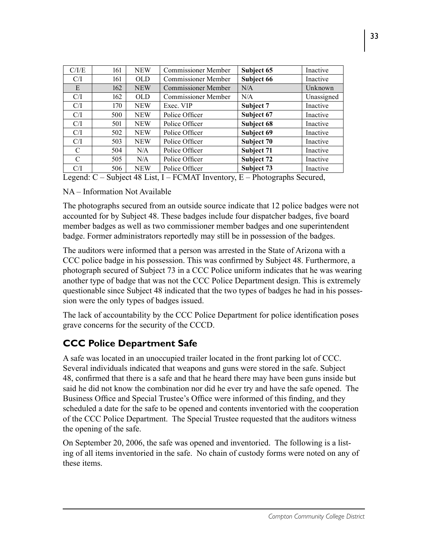| C/I/E         | 161                     | <b>NEW</b> | <b>Commissioner Member</b>                                              | Subject 65                               | Inactive     |
|---------------|-------------------------|------------|-------------------------------------------------------------------------|------------------------------------------|--------------|
| C/I           | 161                     | <b>OLD</b> | <b>Commissioner Member</b>                                              | Subject 66                               | Inactive     |
| E             | 162                     | <b>NEW</b> | <b>Commissioner Member</b>                                              | N/A                                      | Unknown      |
| C/I           | 162                     | <b>OLD</b> | <b>Commissioner Member</b>                                              | N/A                                      | Unassigned   |
| C/I           | 170                     | <b>NEW</b> | Exec. VIP                                                               | Subject 7                                | Inactive     |
| C/I           | 500                     | <b>NEW</b> | Police Officer                                                          | Subject 67                               | Inactive     |
| C/I           | 501                     | <b>NEW</b> | Police Officer                                                          | Subject 68                               | Inactive     |
| C/I           | 502                     | <b>NEW</b> | Subject 69<br>Police Officer                                            |                                          | Inactive     |
| C/I           | 503                     | <b>NEW</b> | Police Officer                                                          | Subject 70                               | Inactive     |
| C             | 504                     | N/A        | Police Officer                                                          | Subject 71                               | Inactive     |
| $\mathcal{C}$ | 505                     | N/A        | Police Officer                                                          | Subject 72                               | Inactive     |
| C/I           | 506                     | <b>NEW</b> | Police Officer                                                          | Subject 73                               | Inactive     |
| $\mathbf{r}$  | $\sim$<br>$\sim$ $\sim$ |            | $\cdots$ $\cdots$ $\cdots$ $\cdots$ $\cdots$ $\cdots$ $\cdots$ $\cdots$ | $\mathbf{r}$<br>$\sim$<br>$\blacksquare$ | $\mathbf{I}$ |

Legend: C – Subject 48 List, I – FCMAT Inventory, E – Photographs Secured,

#### NA – Information Not Available

The photographs secured from an outside source indicate that 12 police badges were not accounted for by Subject 48. These badges include four dispatcher badges, five board member badges as well as two commissioner member badges and one superintendent badge. Former administrators reportedly may still be in possession of the badges.

The auditors were informed that a person was arrested in the State of Arizona with a CCC police badge in his possession. This was confirmed by Subject 48. Furthermore, a photograph secured of Subject 73 in a CCC Police uniform indicates that he was wearing another type of badge that was not the CCC Police Department design. This is extremely questionable since Subject 48 indicated that the two types of badges he had in his possession were the only types of badges issued.

The lack of accountability by the CCC Police Department for police identification poses grave concerns for the security of the CCCD.

### **CCC Police Department Safe**

A safe was located in an unoccupied trailer located in the front parking lot of CCC. Several individuals indicated that weapons and guns were stored in the safe. Subject 48, confirmed that there is a safe and that he heard there may have been guns inside but said he did not know the combination nor did he ever try and have the safe opened. The Business Office and Special Trustee's Office were informed of this finding, and they scheduled a date for the safe to be opened and contents inventoried with the cooperation of the CCC Police Department. The Special Trustee requested that the auditors witness the opening of the safe.

On September 20, 2006, the safe was opened and inventoried. The following is a listing of all items inventoried in the safe. No chain of custody forms were noted on any of these items.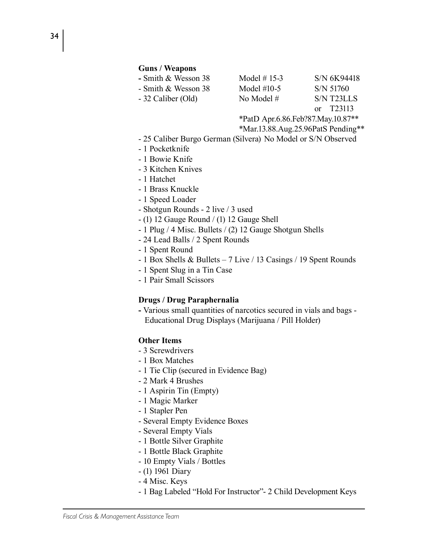#### **Guns / Weapons**

| - Smith & Wesson 38 | Model $#$ 15-3 | S/N 6K94418 |
|---------------------|----------------|-------------|
| - Smith & Wesson 38 | Model $#10-5$  | S/N 51760   |
| - 32 Caliber (Old)  | No Model $#$   | S/N T23LLS  |
|                     |                | or T23113   |

\*PatD Apr.6.86.Feb?87.May.10.87\*\*

\*Mar.13.88.Aug.25.96PatS Pending\*\*

- 25 Caliber Burgo German (Silvera) No Model or S/N Observed
- 1 Pocketknife
- 1 Bowie Knife
- 3 Kitchen Knives
- 1 Hatchet
- 1 Brass Knuckle
- 1 Speed Loader
- Shotgun Rounds 2 live / 3 used
- (1) 12 Gauge Round / (1) 12 Gauge Shell
- 1 Plug / 4 Misc. Bullets / (2) 12 Gauge Shotgun Shells
- 24 Lead Balls / 2 Spent Rounds
- 1 Spent Round
- 1 Box Shells & Bullets 7 Live / 13 Casings / 19 Spent Rounds
- 1 Spent Slug in a Tin Case
- 1 Pair Small Scissors

#### **Drugs / Drug Paraphernalia**

**-** Various small quantities of narcotics secured in vials and bags - Educational Drug Displays (Marijuana / Pill Holder)

#### **Other Items**

- 3 Screwdrivers
- 1 Box Matches
- 1 Tie Clip (secured in Evidence Bag)
- 2 Mark 4 Brushes
- 1 Aspirin Tin (Empty)
- 1 Magic Marker
- 1 Stapler Pen
- Several Empty Evidence Boxes
- Several Empty Vials
- 1 Bottle Silver Graphite
- 1 Bottle Black Graphite
- 10 Empty Vials / Bottles
- (1) 1961 Diary
- 4 Misc. Keys
- 1 Bag Labeled "Hold For Instructor"- 2 Child Development Keys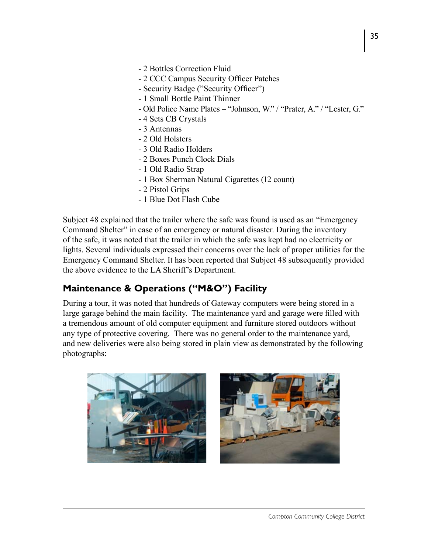- 2 Bottles Correction Fluid
- 2 CCC Campus Security Officer Patches
- Security Badge ("Security Officer")
- 1 Small Bottle Paint Thinner
- Old Police Name Plates "Johnson, W." / "Prater, A." / "Lester, G."
- 4 Sets CB Crystals
- 3 Antennas
- 2 Old Holsters
- 3 Old Radio Holders
- 2 Boxes Punch Clock Dials
- 1 Old Radio Strap
- 1 Box Sherman Natural Cigarettes (12 count)
- 2 Pistol Grips
- 1 Blue Dot Flash Cube

Subject 48 explained that the trailer where the safe was found is used as an "Emergency Command Shelter" in case of an emergency or natural disaster. During the inventory of the safe, it was noted that the trailer in which the safe was kept had no electricity or lights. Several individuals expressed their concerns over the lack of proper utilities for the Emergency Command Shelter. It has been reported that Subject 48 subsequently provided the above evidence to the LA Sheriff's Department.

### **Maintenance & Operations ("M&O") Facility**

During a tour, it was noted that hundreds of Gateway computers were being stored in a large garage behind the main facility. The maintenance yard and garage were filled with a tremendous amount of old computer equipment and furniture stored outdoors without any type of protective covering. There was no general order to the maintenance yard, and new deliveries were also being stored in plain view as demonstrated by the following photographs:

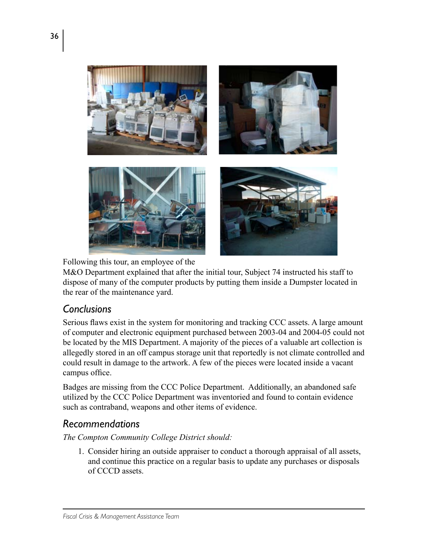

Following this tour, an employee of the

M&O Department explained that after the initial tour, Subject 74 instructed his staff to dispose of many of the computer products by putting them inside a Dumpster located in the rear of the maintenance yard.

### *Conclusions*

Serious flaws exist in the system for monitoring and tracking CCC assets. A large amount of computer and electronic equipment purchased between 2003-04 and 2004-05 could not be located by the MIS Department. A majority of the pieces of a valuable art collection is allegedly stored in an off campus storage unit that reportedly is not climate controlled and could result in damage to the artwork. A few of the pieces were located inside a vacant campus office.

Badges are missing from the CCC Police Department. Additionally, an abandoned safe utilized by the CCC Police Department was inventoried and found to contain evidence such as contraband, weapons and other items of evidence.

### *Recommendations*

*The Compton Community College District should:*

1. Consider hiring an outside appraiser to conduct a thorough appraisal of all assets, and continue this practice on a regular basis to update any purchases or disposals of CCCD assets.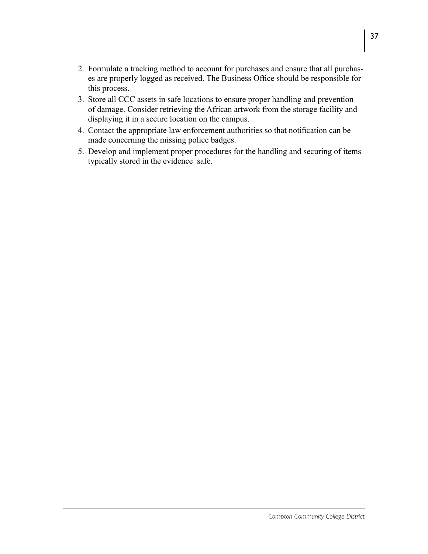- 2. Formulate a tracking method to account for purchases and ensure that all purchases are properly logged as received. The Business Office should be responsible for this process.
- 3. Store all CCC assets in safe locations to ensure proper handling and prevention of damage. Consider retrieving the African artwork from the storage facility and displaying it in a secure location on the campus.
- 4. Contact the appropriate law enforcement authorities so that notification can be made concerning the missing police badges.
- 5. Develop and implement proper procedures for the handling and securing of items typically stored in the evidence safe.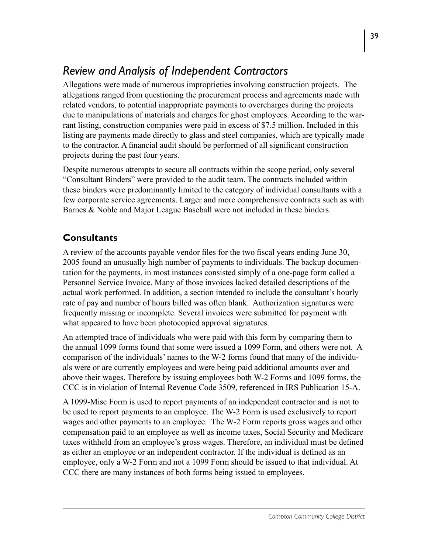## *Review and Analysis of Independent Contractors*

Allegations were made of numerous improprieties involving construction projects. The allegations ranged from questioning the procurement process and agreements made with related vendors, to potential inappropriate payments to overcharges during the projects due to manipulations of materials and charges for ghost employees. According to the warrant listing, construction companies were paid in excess of \$7.5 million. Included in this listing are payments made directly to glass and steel companies, which are typically made to the contractor. A financial audit should be performed of all significant construction projects during the past four years.

Despite numerous attempts to secure all contracts within the scope period, only several "Consultant Binders" were provided to the audit team. The contracts included within these binders were predominantly limited to the category of individual consultants with a few corporate service agreements. Larger and more comprehensive contracts such as with Barnes & Noble and Major League Baseball were not included in these binders.

### **Consultants**

A review of the accounts payable vendor files for the two fiscal years ending June 30, 2005 found an unusually high number of payments to individuals. The backup documentation for the payments, in most instances consisted simply of a one-page form called a Personnel Service Invoice. Many of those invoices lacked detailed descriptions of the actual work performed. In addition, a section intended to include the consultant's hourly rate of pay and number of hours billed was often blank. Authorization signatures were frequently missing or incomplete. Several invoices were submitted for payment with what appeared to have been photocopied approval signatures.

An attempted trace of individuals who were paid with this form by comparing them to the annual 1099 forms found that some were issued a 1099 Form, and others were not. A comparison of the individuals' names to the W-2 forms found that many of the individuals were or are currently employees and were being paid additional amounts over and above their wages. Therefore by issuing employees both W-2 Forms and 1099 forms, the CCC is in violation of Internal Revenue Code 3509, referenced in IRS Publication 15-A.

A 1099-Misc Form is used to report payments of an independent contractor and is not to be used to report payments to an employee. The W-2 Form is used exclusively to report wages and other payments to an employee. The W-2 Form reports gross wages and other compensation paid to an employee as well as income taxes, Social Security and Medicare taxes withheld from an employee's gross wages. Therefore, an individual must be defined as either an employee or an independent contractor. If the individual is defined as an employee, only a W-2 Form and not a 1099 Form should be issued to that individual. At CCC there are many instances of both forms being issued to employees.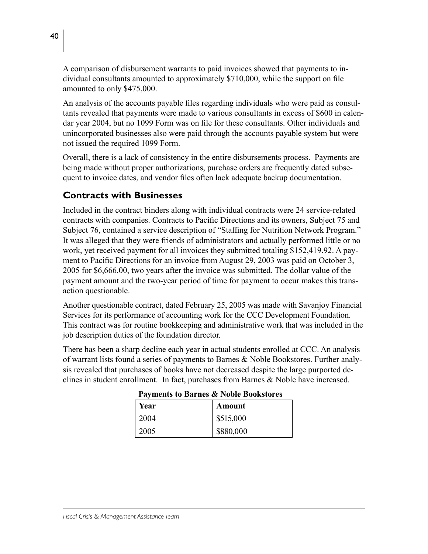A comparison of disbursement warrants to paid invoices showed that payments to individual consultants amounted to approximately \$710,000, while the support on file amounted to only \$475,000.

An analysis of the accounts payable files regarding individuals who were paid as consultants revealed that payments were made to various consultants in excess of \$600 in calendar year 2004, but no 1099 Form was on file for these consultants. Other individuals and unincorporated businesses also were paid through the accounts payable system but were not issued the required 1099 Form.

Overall, there is a lack of consistency in the entire disbursements process. Payments are being made without proper authorizations, purchase orders are frequently dated subsequent to invoice dates, and vendor files often lack adequate backup documentation.

### **Contracts with Businesses**

Included in the contract binders along with individual contracts were 24 service-related contracts with companies. Contracts to Pacific Directions and its owners, Subject 75 and Subject 76, contained a service description of "Staffing for Nutrition Network Program." It was alleged that they were friends of administrators and actually performed little or no work, yet received payment for all invoices they submitted totaling \$152,419.92. A payment to Pacific Directions for an invoice from August 29, 2003 was paid on October 3, 2005 for \$6,666.00, two years after the invoice was submitted. The dollar value of the payment amount and the two-year period of time for payment to occur makes this transaction questionable.

Another questionable contract, dated February 25, 2005 was made with Savanjoy Financial Services for its performance of accounting work for the CCC Development Foundation. This contract was for routine bookkeeping and administrative work that was included in the job description duties of the foundation director.

There has been a sharp decline each year in actual students enrolled at CCC. An analysis of warrant lists found a series of payments to Barnes & Noble Bookstores. Further analysis revealed that purchases of books have not decreased despite the large purported declines in student enrollment. In fact, purchases from Barnes & Noble have increased.

| Year | Amount    |
|------|-----------|
| 2004 | \$515,000 |
| 2005 | \$880,000 |

**Payments to Barnes & Noble Bookstores**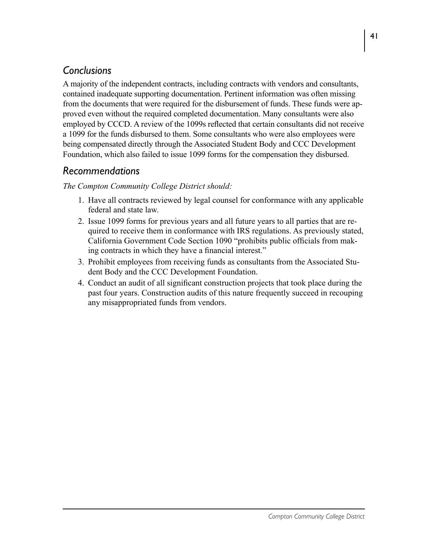## *Conclusions*

A majority of the independent contracts, including contracts with vendors and consultants, contained inadequate supporting documentation. Pertinent information was often missing from the documents that were required for the disbursement of funds. These funds were approved even without the required completed documentation. Many consultants were also employed by CCCD. A review of the 1099s reflected that certain consultants did not receive a 1099 for the funds disbursed to them. Some consultants who were also employees were being compensated directly through the Associated Student Body and CCC Development Foundation, which also failed to issue 1099 forms for the compensation they disbursed.

### *Recommendations*

- 1. Have all contracts reviewed by legal counsel for conformance with any applicable federal and state law.
- 2. Issue 1099 forms for previous years and all future years to all parties that are required to receive them in conformance with IRS regulations. As previously stated, California Government Code Section 1090 "prohibits public officials from making contracts in which they have a financial interest."
- 3. Prohibit employees from receiving funds as consultants from the Associated Student Body and the CCC Development Foundation.
- 4. Conduct an audit of all significant construction projects that took place during the past four years. Construction audits of this nature frequently succeed in recouping any misappropriated funds from vendors.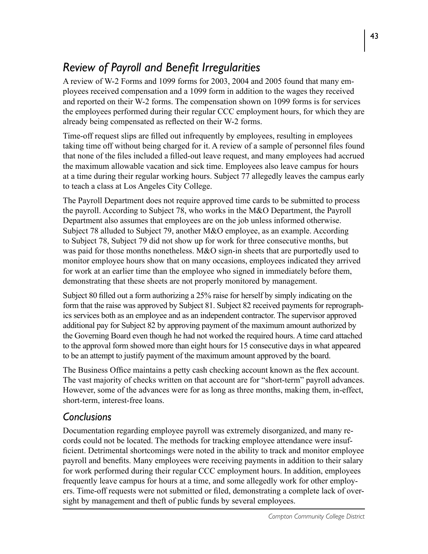## *Review of Payroll and Benefit Irregularities*

A review of W-2 Forms and 1099 forms for 2003, 2004 and 2005 found that many employees received compensation and a 1099 form in addition to the wages they received and reported on their W-2 forms. The compensation shown on 1099 forms is for services the employees performed during their regular CCC employment hours, for which they are already being compensated as reflected on their W-2 forms.

Time-off request slips are filled out infrequently by employees, resulting in employees taking time off without being charged for it. A review of a sample of personnel files found that none of the files included a filled-out leave request, and many employees had accrued the maximum allowable vacation and sick time. Employees also leave campus for hours at a time during their regular working hours. Subject 77 allegedly leaves the campus early to teach a class at Los Angeles City College.

The Payroll Department does not require approved time cards to be submitted to process the payroll. According to Subject 78, who works in the M&O Department, the Payroll Department also assumes that employees are on the job unless informed otherwise. Subject 78 alluded to Subject 79, another M&O employee, as an example. According to Subject 78, Subject 79 did not show up for work for three consecutive months, but was paid for those months nonetheless. M&O sign-in sheets that are purportedly used to monitor employee hours show that on many occasions, employees indicated they arrived for work at an earlier time than the employee who signed in immediately before them, demonstrating that these sheets are not properly monitored by management.

Subject 80 filled out a form authorizing a 25% raise for herself by simply indicating on the form that the raise was approved by Subject 81. Subject 82 received payments for reprographics services both as an employee and as an independent contractor. The supervisor approved additional pay for Subject 82 by approving payment of the maximum amount authorized by the Governing Board even though he had not worked the required hours. A time card attached to the approval form showed more than eight hours for 15 consecutive days in what appeared to be an attempt to justify payment of the maximum amount approved by the board.

The Business Office maintains a petty cash checking account known as the flex account. The vast majority of checks written on that account are for "short-term" payroll advances. However, some of the advances were for as long as three months, making them, in-effect, short-term, interest-free loans.

### *Conclusions*

Documentation regarding employee payroll was extremely disorganized, and many records could not be located. The methods for tracking employee attendance were insufficient. Detrimental shortcomings were noted in the ability to track and monitor employee payroll and benefits. Many employees were receiving payments in addition to their salary for work performed during their regular CCC employment hours. In addition, employees frequently leave campus for hours at a time, and some allegedly work for other employers. Time-off requests were not submitted or filed, demonstrating a complete lack of oversight by management and theft of public funds by several employees.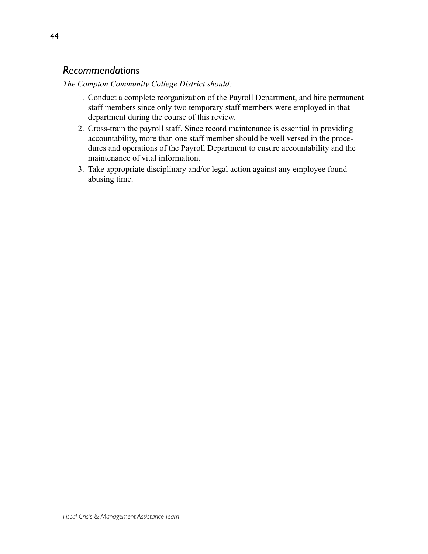### *Recommendations*

- 1. Conduct a complete reorganization of the Payroll Department, and hire permanent staff members since only two temporary staff members were employed in that department during the course of this review.
- 2. Cross-train the payroll staff. Since record maintenance is essential in providing accountability, more than one staff member should be well versed in the procedures and operations of the Payroll Department to ensure accountability and the maintenance of vital information.
- 3. Take appropriate disciplinary and/or legal action against any employee found abusing time.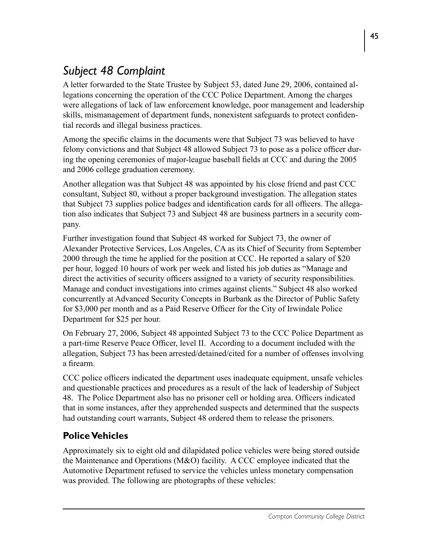# *Subject 48 Complaint*

A letter forwarded to the State Trustee by Subject 53, dated June 29, 2006, contained allegations concerning the operation of the CCC Police Department. Among the charges were allegations of lack of law enforcement knowledge, poor management and leadership skills, mismanagement of department funds, nonexistent safeguards to protect confidential records and illegal business practices.

Among the specific claims in the documents were that Subject 73 was believed to have felony convictions and that Subject 48 allowed Subject 73 to pose as a police officer during the opening ceremonies of major-league baseball fields at CCC and during the 2005 and 2006 college graduation ceremony.

Another allegation was that Subject 48 was appointed by his close friend and past CCC consultant, Subject 80, without a proper background investigation. The allegation states that Subject 73 supplies police badges and identification cards for all officers. The allegation also indicates that Subject 73 and Subject 48 are business partners in a security company.

Further investigation found that Subject 48 worked for Subject 73, the owner of Alexander Protective Services, Los Angeles, CA as its Chief of Security from September 2000 through the time he applied for the position at CCC. He reported a salary of \$20 per hour, logged 10 hours of work per week and listed his job duties as "Manage and direct the activities of security officers assigned to a variety of security responsibilities. Manage and conduct investigations into crimes against clients." Subject 48 also worked concurrently at Advanced Security Concepts in Burbank as the Director of Public Safety for \$3,000 per month and as a Paid Reserve Officer for the City of Irwindale Police Department for \$25 per hour.

On February 27, 2006, Subject 48 appointed Subject 73 to the CCC Police Department as a part-time Reserve Peace Officer, level II. According to a document included with the allegation, Subject 73 has been arrested/detained/cited for a number of offenses involving a firearm.

CCC police officers indicated the department uses inadequate equipment, unsafe vehicles and questionable practices and procedures as a result of the lack of leadership of Subject 48. The Police Department also has no prisoner cell or holding area. Officers indicated that in some instances, after they apprehended suspects and determined that the suspects had outstanding court warrants, Subject 48 ordered them to release the prisoners.

## **Police Vehicles**

Approximately six to eight old and dilapidated police vehicles were being stored outside the Maintenance and Operations (M&O) facility. A CCC employee indicated that the Automotive Department refused to service the vehicles unless monetary compensation was provided. The following are photographs of these vehicles: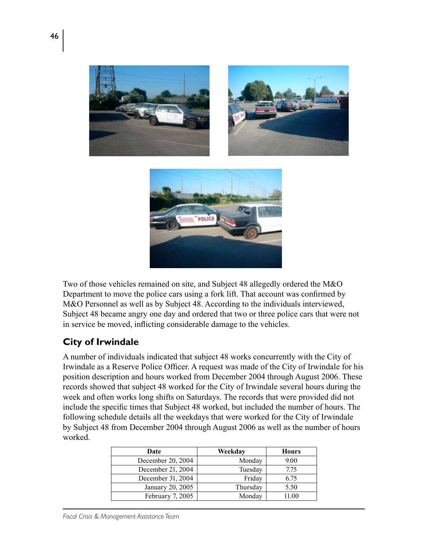

Two of those vehicles remained on site, and Subject 48 allegedly ordered the M&O Department to move the police cars using a fork lift. That account was confirmed by M&O Personnel as well as by Subject 48. According to the individuals interviewed, Subject 48 became angry one day and ordered that two or three police cars that were not in service be moved, inflicting considerable damage to the vehicles.

### **City of Irwindale**

A number of individuals indicated that subject 48 works concurrently with the City of Irwindale as a Reserve Police Officer. A request was made of the City of Irwindale for his position description and hours worked from December 2004 through August 2006. These records showed that subject 48 worked for the City of Irwindale several hours during the week and often works long shifts on Saturdays. The records that were provided did not include the specific times that Subject 48 worked, but included the number of hours. The following schedule details all the weekdays that were worked for the City of Irwindale by Subject 48 from December 2004 through August 2006 as well as the number of hours worked.

| Date              | Weekday  | <b>Hours</b> |
|-------------------|----------|--------------|
| December 20, 2004 | Monday   | 9.00         |
| December 21, 2004 | Tuesday  | 7.75         |
| December 31, 2004 | Friday   | 6.75         |
| January 20, 2005  | Thursday | 5.50         |
| February 7, 2005  | Monday   | 11.00        |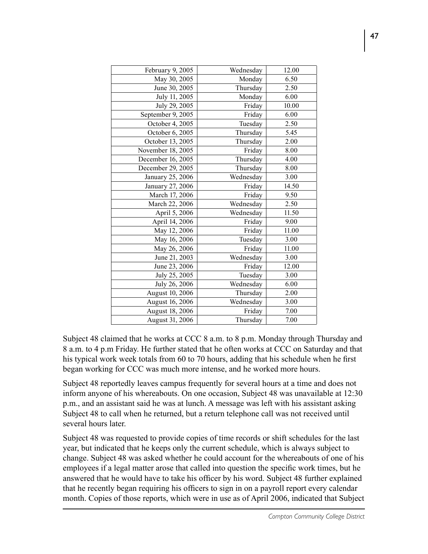| February 9, 2005  | Wednesday | 12.00 |
|-------------------|-----------|-------|
| May 30, 2005      | Monday    | 6.50  |
| June 30, 2005     | Thursday  | 2.50  |
| July 11, 2005     | Monday    | 6.00  |
| July 29, 2005     | Friday    | 10.00 |
| September 9, 2005 | Friday    | 6.00  |
| October 4, 2005   | Tuesday   | 2.50  |
| October 6, 2005   | Thursday  | 5.45  |
| October 13, 2005  | Thursday  | 2.00  |
| November 18, 2005 | Friday    | 8.00  |
| December 16, 2005 | Thursday  | 4.00  |
| December 29, 2005 | Thursday  | 8.00  |
| January 25, 2006  | Wednesday | 3.00  |
| January 27, 2006  | Friday    | 14.50 |
| March 17, 2006    | Friday    | 9.50  |
| March 22, 2006    | Wednesday | 2.50  |
| April 5, 2006     | Wednesday | 11.50 |
| April 14, 2006    | Friday    | 9.00  |
| May 12, 2006      | Friday    | 11.00 |
| May 16, 2006      | Tuesday   | 3.00  |
| May 26, 2006      | Friday    | 11.00 |
| June 21, 2003     | Wednesday | 3.00  |
| June 23, 2006     | Friday    | 12.00 |
| July 25, 2005     | Tuesday   | 3.00  |
| July 26, 2006     | Wednesday | 6.00  |
| August 10, 2006   | Thursday  | 2.00  |
| August 16, 2006   | Wednesday | 3.00  |
| August 18, 2006   | Friday    | 7.00  |
| August 31, 2006   | Thursday  | 7.00  |
|                   |           |       |

Subject 48 claimed that he works at CCC 8 a.m. to 8 p.m. Monday through Thursday and 8 a.m. to 4 p.m Friday. He further stated that he often works at CCC on Saturday and that his typical work week totals from 60 to 70 hours, adding that his schedule when he first began working for CCC was much more intense, and he worked more hours.

Subject 48 reportedly leaves campus frequently for several hours at a time and does not inform anyone of his whereabouts. On one occasion, Subject 48 was unavailable at 12:30 p.m., and an assistant said he was at lunch. A message was left with his assistant asking Subject 48 to call when he returned, but a return telephone call was not received until several hours later.

Subject 48 was requested to provide copies of time records or shift schedules for the last year, but indicated that he keeps only the current schedule, which is always subject to change. Subject 48 was asked whether he could account for the whereabouts of one of his employees if a legal matter arose that called into question the specific work times, but he answered that he would have to take his officer by his word. Subject 48 further explained that he recently began requiring his officers to sign in on a payroll report every calendar month. Copies of those reports, which were in use as of April 2006, indicated that Subject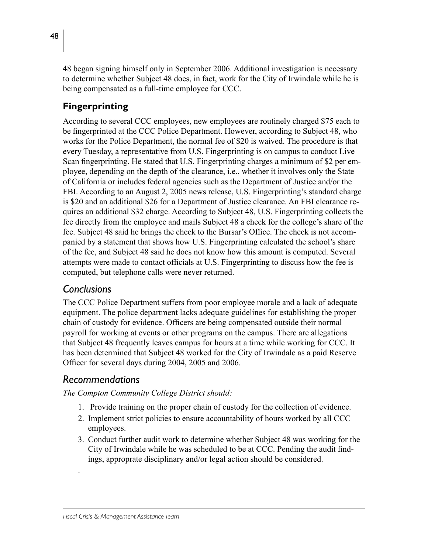48 began signing himself only in September 2006. Additional investigation is necessary to determine whether Subject 48 does, in fact, work for the City of Irwindale while he is being compensated as a full-time employee for CCC.

## **Fingerprinting**

According to several CCC employees, new employees are routinely charged \$75 each to be fingerprinted at the CCC Police Department. However, according to Subject 48, who works for the Police Department, the normal fee of \$20 is waived. The procedure is that every Tuesday, a representative from U.S. Fingerprinting is on campus to conduct Live Scan fingerprinting. He stated that U.S. Fingerprinting charges a minimum of \$2 per employee, depending on the depth of the clearance, i.e., whether it involves only the State of California or includes federal agencies such as the Department of Justice and/or the FBI. According to an August 2, 2005 news release, U.S. Fingerprinting's standard charge is \$20 and an additional \$26 for a Department of Justice clearance. An FBI clearance requires an additional \$32 charge. According to Subject 48, U.S. Fingerprinting collects the fee directly from the employee and mails Subject 48 a check for the college's share of the fee. Subject 48 said he brings the check to the Bursar's Office. The check is not accompanied by a statement that shows how U.S. Fingerprinting calculated the school's share of the fee, and Subject 48 said he does not know how this amount is computed. Several attempts were made to contact officials at U.S. Fingerprinting to discuss how the fee is computed, but telephone calls were never returned.

## *Conclusions*

The CCC Police Department suffers from poor employee morale and a lack of adequate equipment. The police department lacks adequate guidelines for establishing the proper chain of custody for evidence. Officers are being compensated outside their normal payroll for working at events or other programs on the campus. There are allegations that Subject 48 frequently leaves campus for hours at a time while working for CCC. It has been determined that Subject 48 worked for the City of Irwindale as a paid Reserve Officer for several days during 2004, 2005 and 2006.

### *Recommendations*

.

- 1. Provide training on the proper chain of custody for the collection of evidence.
- 2. Implement strict policies to ensure accountability of hours worked by all CCC employees.
- 3. Conduct further audit work to determine whether Subject 48 was working for the City of Irwindale while he was scheduled to be at CCC. Pending the audit findings, approprate disciplinary and/or legal action should be considered.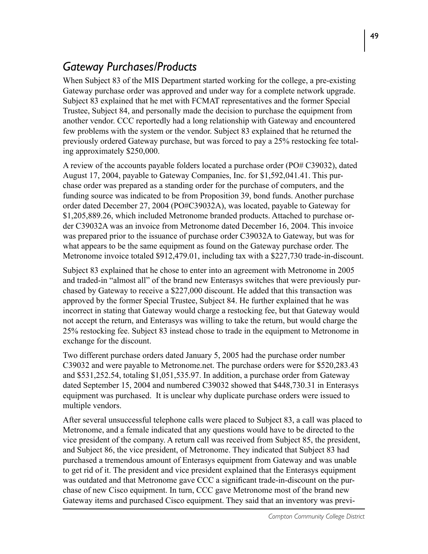## *Gateway Purchases/Products*

When Subject 83 of the MIS Department started working for the college, a pre-existing Gateway purchase order was approved and under way for a complete network upgrade. Subject 83 explained that he met with FCMAT representatives and the former Special Trustee, Subject 84, and personally made the decision to purchase the equipment from another vendor. CCC reportedly had a long relationship with Gateway and encountered few problems with the system or the vendor. Subject 83 explained that he returned the previously ordered Gateway purchase, but was forced to pay a 25% restocking fee totaling approximately \$250,000.

A review of the accounts payable folders located a purchase order (PO# C39032), dated August 17, 2004, payable to Gateway Companies, Inc. for \$1,592,041.41. This purchase order was prepared as a standing order for the purchase of computers, and the funding source was indicated to be from Proposition 39, bond funds. Another purchase order dated December 27, 2004 (PO#C39032A), was located, payable to Gateway for \$1,205,889.26, which included Metronome branded products. Attached to purchase order C39032A was an invoice from Metronome dated December 16, 2004. This invoice was prepared prior to the issuance of purchase order C39032A to Gateway, but was for what appears to be the same equipment as found on the Gateway purchase order. The Metronome invoice totaled \$912,479.01, including tax with a \$227,730 trade-in-discount.

Subject 83 explained that he chose to enter into an agreement with Metronome in 2005 and traded-in "almost all" of the brand new Enterasys switches that were previously purchased by Gateway to receive a \$227,000 discount. He added that this transaction was approved by the former Special Trustee, Subject 84. He further explained that he was incorrect in stating that Gateway would charge a restocking fee, but that Gateway would not accept the return, and Enterasys was willing to take the return, but would charge the 25% restocking fee. Subject 83 instead chose to trade in the equipment to Metronome in exchange for the discount.

Two different purchase orders dated January 5, 2005 had the purchase order number C39032 and were payable to Metronome.net. The purchase orders were for \$520,283.43 and \$531,252.54, totaling \$1,051,535.97. In addition, a purchase order from Gateway dated September 15, 2004 and numbered C39032 showed that \$448,730.31 in Enterasys equipment was purchased. It is unclear why duplicate purchase orders were issued to multiple vendors.

After several unsuccessful telephone calls were placed to Subject 83, a call was placed to Metronome, and a female indicated that any questions would have to be directed to the vice president of the company. A return call was received from Subject 85, the president, and Subject 86, the vice president, of Metronome. They indicated that Subject 83 had purchased a tremendous amount of Enterasys equipment from Gateway and was unable to get rid of it. The president and vice president explained that the Enterasys equipment was outdated and that Metronome gave CCC a significant trade-in-discount on the purchase of new Cisco equipment. In turn, CCC gave Metronome most of the brand new Gateway items and purchased Cisco equipment. They said that an inventory was previ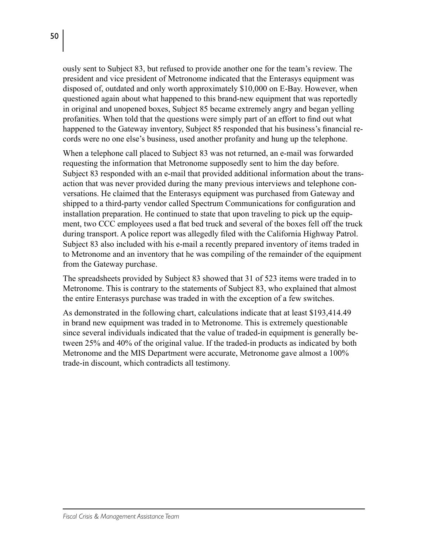ously sent to Subject 83, but refused to provide another one for the team's review. The president and vice president of Metronome indicated that the Enterasys equipment was disposed of, outdated and only worth approximately \$10,000 on E-Bay. However, when questioned again about what happened to this brand-new equipment that was reportedly in original and unopened boxes, Subject 85 became extremely angry and began yelling profanities. When told that the questions were simply part of an effort to find out what happened to the Gateway inventory, Subject 85 responded that his business's financial records were no one else's business, used another profanity and hung up the telephone.

When a telephone call placed to Subject 83 was not returned, an e-mail was forwarded requesting the information that Metronome supposedly sent to him the day before. Subject 83 responded with an e-mail that provided additional information about the transaction that was never provided during the many previous interviews and telephone conversations. He claimed that the Enterasys equipment was purchased from Gateway and shipped to a third-party vendor called Spectrum Communications for configuration and installation preparation. He continued to state that upon traveling to pick up the equipment, two CCC employees used a flat bed truck and several of the boxes fell off the truck during transport. A police report was allegedly filed with the California Highway Patrol. Subject 83 also included with his e-mail a recently prepared inventory of items traded in to Metronome and an inventory that he was compiling of the remainder of the equipment from the Gateway purchase.

The spreadsheets provided by Subject 83 showed that 31 of 523 items were traded in to Metronome. This is contrary to the statements of Subject 83, who explained that almost the entire Enterasys purchase was traded in with the exception of a few switches.

As demonstrated in the following chart, calculations indicate that at least \$193,414.49 in brand new equipment was traded in to Metronome. This is extremely questionable since several individuals indicated that the value of traded-in equipment is generally between 25% and 40% of the original value. If the traded-in products as indicated by both Metronome and the MIS Department were accurate, Metronome gave almost a 100% trade-in discount, which contradicts all testimony.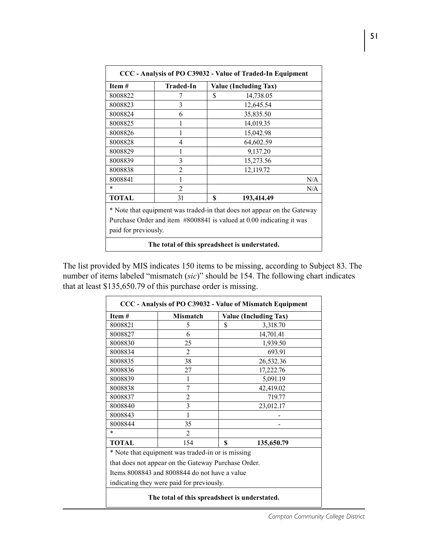| CCC - Analysis of PO C39032 - Value of Traded-In Equipment                                                                                      |                  |                              |  |  |  |  |
|-------------------------------------------------------------------------------------------------------------------------------------------------|------------------|------------------------------|--|--|--|--|
| Item#                                                                                                                                           | <b>Traded-In</b> | <b>Value (Including Tax)</b> |  |  |  |  |
| 8008822                                                                                                                                         | 7                | \$<br>14,738.05              |  |  |  |  |
| 8008823                                                                                                                                         | 3                | 12,645.54                    |  |  |  |  |
| 8008824                                                                                                                                         | 6                | 35,835.50                    |  |  |  |  |
| 8008825                                                                                                                                         | 1                | 14,019.35                    |  |  |  |  |
| 8008826                                                                                                                                         | 1                | 15,042.98                    |  |  |  |  |
| 8008828                                                                                                                                         | 4                | 64,602.59                    |  |  |  |  |
| 8008829                                                                                                                                         | 1                | 9,137.20                     |  |  |  |  |
| 8008839                                                                                                                                         | 3                | 15,273.56                    |  |  |  |  |
| 8008838                                                                                                                                         | $\overline{2}$   | 12,119.72                    |  |  |  |  |
| 8008841                                                                                                                                         | 1                | N/A                          |  |  |  |  |
| $\ast$                                                                                                                                          | $\mathfrak{D}$   | N/A                          |  |  |  |  |
| TOTAL                                                                                                                                           | 31               | 193,414.49<br>\$             |  |  |  |  |
| * Note that equipment was traded-in that does not appear on the Gateway<br>Purchase Order and item #8008841 is valued at 0.00 indicating it was |                  |                              |  |  |  |  |
| paid for previously.                                                                                                                            |                  |                              |  |  |  |  |
| The total of this spreadsheet is understated.                                                                                                   |                  |                              |  |  |  |  |

The list provided by MIS indicates 150 items to be missing, according to Subject 83. The number of items labeled "mismatch (*sic*)" should be 154. The following chart indicates that at least \$135,650.79 of this purchase order is missing.

| Item#        | <b>Mismatch</b>                                     | <b>Value (Including Tax)</b> |
|--------------|-----------------------------------------------------|------------------------------|
| 8008821      | 5                                                   | \$<br>3,318.70               |
| 8008827      | 6                                                   | 14,701.41                    |
| 8008830      | 25                                                  | 1,939.50                     |
| 8008834      | 2                                                   | 693.91                       |
| 8008835      | 38                                                  | 26,532.36                    |
| 8008836      | 27                                                  | 17,222.76                    |
| 8008839      |                                                     | 5,091.19                     |
| 8008838      | 7                                                   | 42,419.02                    |
| 8008837      | $\overline{2}$                                      | 719.77                       |
| 8008840      | 3                                                   | 23,012.17                    |
| 8008843      |                                                     |                              |
| 8008844      | 35                                                  |                              |
| *            | 2                                                   |                              |
| <b>TOTAL</b> | 154                                                 | \$<br>135,650.79             |
|              | * Note that equipment was traded-in or is missing   |                              |
|              | that does not appear on the Gateway Purchase Order. |                              |
|              | Items 8008843 and 8008844 do not have a value       |                              |
|              | indicating they were paid for previously.           |                              |
|              |                                                     |                              |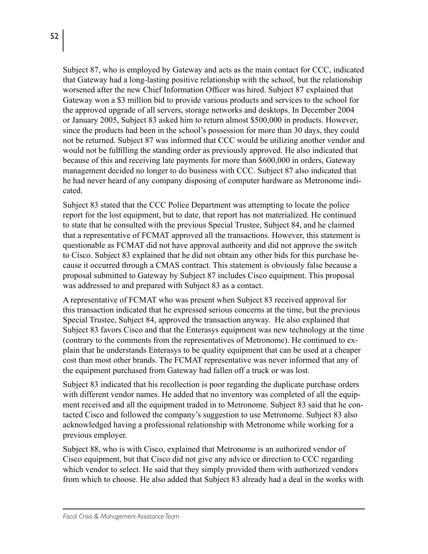Subject 87, who is employed by Gateway and acts as the main contact for CCC, indicated that Gateway had a long-lasting positive relationship with the school, but the relationship worsened after the new Chief Information Officer was hired. Subject 87 explained that Gateway won a \$3 million bid to provide various products and services to the school for the approved upgrade of all servers, storage networks and desktops. In December 2004 or January 2005, Subject 83 asked him to return almost \$500,000 in products. However, since the products had been in the school's possession for more than 30 days, they could not be returned. Subject 87 was informed that CCC would be utilizing another vendor and would not be fulfilling the standing order as previously approved. He also indicated that because of this and receiving late payments for more than \$600,000 in orders, Gateway management decided no longer to do business with CCC. Subject 87 also indicated that he had never heard of any company disposing of computer hardware as Metronome indicated.

Subject 83 stated that the CCC Police Department was attempting to locate the police report for the lost equipment, but to date, that report has not materialized. He continued to state that he consulted with the previous Special Trustee, Subject 84, and he claimed that a representative of FCMAT approved all the transactions. However, this statement is questionable as FCMAT did not have approval authority and did not approve the switch to Cisco. Subject 83 explained that he did not obtain any other bids for this purchase because it occurred through a CMAS contract. This statement is obviously false because a proposal submitted to Gateway by Subject 87 includes Cisco equipment. This proposal was addressed to and prepared with Subject 83 as a contact.

A representative of FCMAT who was present when Subject 83 received approval for this transaction indicated that he expressed serious concerns at the time, but the previous Special Trustee, Subject 84, approved the transaction anyway. He also explained that Subject 83 favors Cisco and that the Enterasys equipment was new technology at the time (contrary to the comments from the representatives of Metronome). He continued to explain that he understands Enterasys to be quality equipment that can be used at a cheaper cost than most other brands. The FCMAT representative was never informed that any of the equipment purchased from Gateway had fallen off a truck or was lost.

Subject 83 indicated that his recollection is poor regarding the duplicate purchase orders with different vendor names. He added that no inventory was completed of all the equipment received and all the equipment traded in to Metronome. Subject 83 said that he contacted Cisco and followed the company's suggestion to use Metronome. Subject 83 also acknowledged having a professional relationship with Metronome while working for a previous employer.

Subject 88, who is with Cisco, explained that Metronome is an authorized vendor of Cisco equipment, but that Cisco did not give any advice or direction to CCC regarding which vendor to select. He said that they simply provided them with authorized vendors from which to choose. He also added that Subject 83 already had a deal in the works with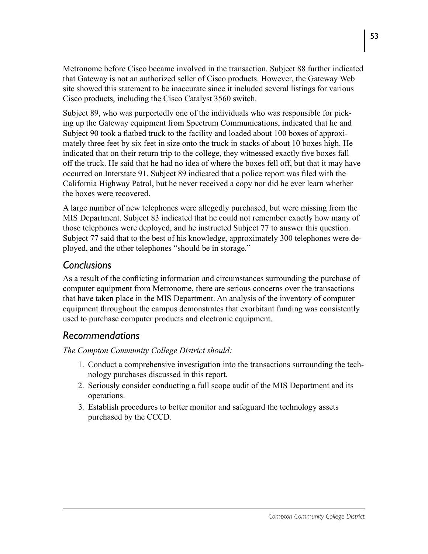Metronome before Cisco became involved in the transaction. Subject 88 further indicated that Gateway is not an authorized seller of Cisco products. However, the Gateway Web site showed this statement to be inaccurate since it included several listings for various Cisco products, including the Cisco Catalyst 3560 switch.

Subject 89, who was purportedly one of the individuals who was responsible for picking up the Gateway equipment from Spectrum Communications, indicated that he and Subject 90 took a flatbed truck to the facility and loaded about 100 boxes of approximately three feet by six feet in size onto the truck in stacks of about 10 boxes high. He indicated that on their return trip to the college, they witnessed exactly five boxes fall off the truck. He said that he had no idea of where the boxes fell off, but that it may have occurred on Interstate 91. Subject 89 indicated that a police report was filed with the California Highway Patrol, but he never received a copy nor did he ever learn whether the boxes were recovered.

A large number of new telephones were allegedly purchased, but were missing from the MIS Department. Subject 83 indicated that he could not remember exactly how many of those telephones were deployed, and he instructed Subject 77 to answer this question. Subject 77 said that to the best of his knowledge, approximately 300 telephones were deployed, and the other telephones "should be in storage."

### *Conclusions*

As a result of the conflicting information and circumstances surrounding the purchase of computer equipment from Metronome, there are serious concerns over the transactions that have taken place in the MIS Department. An analysis of the inventory of computer equipment throughout the campus demonstrates that exorbitant funding was consistently used to purchase computer products and electronic equipment.

### *Recommendations*

- 1. Conduct a comprehensive investigation into the transactions surrounding the technology purchases discussed in this report.
- 2. Seriously consider conducting a full scope audit of the MIS Department and its operations.
- 3. Establish procedures to better monitor and safeguard the technology assets purchased by the CCCD.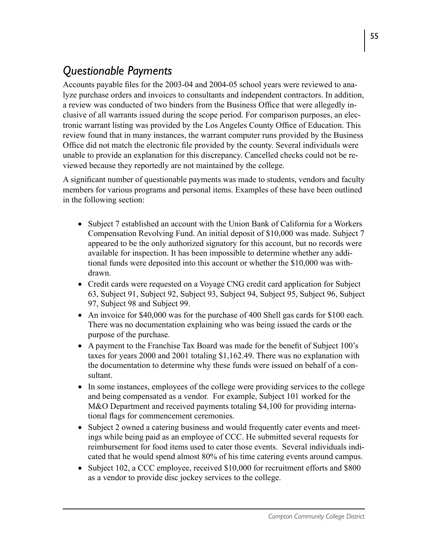# *Questionable Payments*

Accounts payable files for the 2003-04 and 2004-05 school years were reviewed to analyze purchase orders and invoices to consultants and independent contractors. In addition, a review was conducted of two binders from the Business Office that were allegedly inclusive of all warrants issued during the scope period. For comparison purposes, an electronic warrant listing was provided by the Los Angeles County Office of Education. This review found that in many instances, the warrant computer runs provided by the Business Office did not match the electronic file provided by the county. Several individuals were unable to provide an explanation for this discrepancy. Cancelled checks could not be reviewed because they reportedly are not maintained by the college.

A significant number of questionable payments was made to students, vendors and faculty members for various programs and personal items. Examples of these have been outlined in the following section:

- Subject 7 established an account with the Union Bank of California for a Workers Compensation Revolving Fund. An initial deposit of \$10,000 was made. Subject 7 appeared to be the only authorized signatory for this account, but no records were available for inspection. It has been impossible to determine whether any additional funds were deposited into this account or whether the \$10,000 was withdrawn.
- Credit cards were requested on a Voyage CNG credit card application for Subject 63, Subject 91, Subject 92, Subject 93, Subject 94, Subject 95, Subject 96, Subject 97, Subject 98 and Subject 99.
- An invoice for \$40,000 was for the purchase of 400 Shell gas cards for \$100 each. There was no documentation explaining who was being issued the cards or the purpose of the purchase.
- A payment to the Franchise Tax Board was made for the benefit of Subject 100's taxes for years 2000 and 2001 totaling \$1,162.49. There was no explanation with the documentation to determine why these funds were issued on behalf of a consultant.
- In some instances, employees of the college were providing services to the college and being compensated as a vendor. For example, Subject 101 worked for the M&O Department and received payments totaling \$4,100 for providing international flags for commencement ceremonies.
- Subject 2 owned a catering business and would frequently cater events and meetings while being paid as an employee of CCC. He submitted several requests for reimbursement for food items used to cater those events. Several individuals indicated that he would spend almost 80% of his time catering events around campus.
- Subject 102, a CCC employee, received \$10,000 for recruitment efforts and \$800 as a vendor to provide disc jockey services to the college.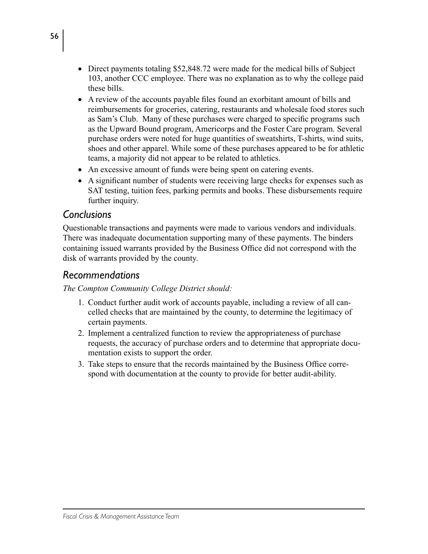- Direct payments totaling \$52,848.72 were made for the medical bills of Subject 103, another CCC employee. There was no explanation as to why the college paid these bills.
- A review of the accounts payable files found an exorbitant amount of bills and reimbursements for groceries, catering, restaurants and wholesale food stores such as Sam's Club. Many of these purchases were charged to specific programs such as the Upward Bound program, Americorps and the Foster Care program. Several purchase orders were noted for huge quantities of sweatshirts, T-shirts, wind suits, shoes and other apparel. While some of these purchases appeared to be for athletic teams, a majority did not appear to be related to athletics.
- An excessive amount of funds were being spent on catering events.
- A significant number of students were receiving large checks for expenses such as SAT testing, tuition fees, parking permits and books. These disbursements require further inquiry.

#### *Conclusions*

Questionable transactions and payments were made to various vendors and individuals. There was inadequate documentation supporting many of these payments. The binders containing issued warrants provided by the Business Office did not correspond with the disk of warrants provided by the county.

#### *Recommendations*

- 1. Conduct further audit work of accounts payable, including a review of all cancelled checks that are maintained by the county, to determine the legitimacy of certain payments.
- 2. Implement a centralized function to review the appropriateness of purchase requests, the accuracy of purchase orders and to determine that appropriate documentation exists to support the order.
- 3. Take steps to ensure that the records maintained by the Business Office correspond with documentation at the county to provide for better audit-ability.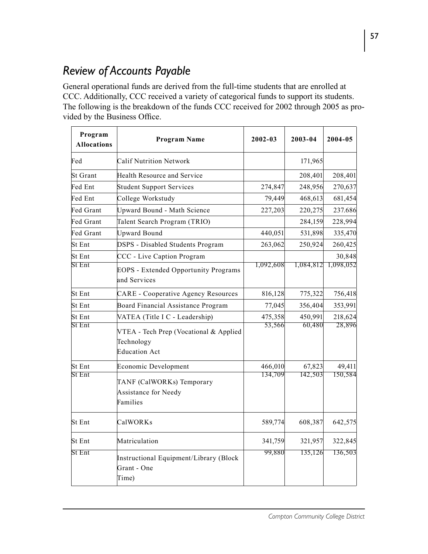## *Review of Accounts Payable*

General operational funds are derived from the full-time students that are enrolled at CCC. Additionally, CCC received a variety of categorical funds to support its students. The following is the breakdown of the funds CCC received for 2002 through 2005 as provided by the Business Office.

| Program<br><b>Allocations</b>                                                   | <b>Program Name</b>                                                          | $2002 - 03$ | 2003-04   | $2004 - 05$ |
|---------------------------------------------------------------------------------|------------------------------------------------------------------------------|-------------|-----------|-------------|
| Fed                                                                             | <b>Calif Nutrition Network</b>                                               |             | 171,965   |             |
| <b>St Grant</b>                                                                 | <b>Health Resource and Service</b>                                           |             | 208,401   | 208,401     |
| Fed Ent                                                                         | <b>Student Support Services</b>                                              | 274,847     | 248,956   | 270,637     |
| Fed Ent                                                                         | College Workstudy                                                            | 79,449      | 468,613   | 681,454     |
| Fed Grant                                                                       | <b>Upward Bound - Math Science</b>                                           | 227,203     | 220,275   | 237.686     |
| Fed Grant                                                                       | Talent Search Program (TRIO)                                                 |             | 284,159   | 228,994     |
| Fed Grant                                                                       | <b>Upward Bound</b>                                                          | 440,051     | 531,898   | 335,470     |
| St Ent                                                                          | DSPS - Disabled Students Program                                             | 263,062     | 250,924   | 260,425     |
| St Ent                                                                          | CCC - Live Caption Program                                                   |             |           | 30,848      |
| St Ent                                                                          | <b>EOPS</b> - Extended Opportunity Programs<br>and Services                  | 1,092,608   | 1,084,812 | 1,098,052   |
| St Ent                                                                          | <b>CARE</b> - Cooperative Agency Resources                                   | 816,128     | 775,322   | 756,418     |
| St Ent                                                                          | Board Financial Assistance Program                                           | 77,045      | 356,404   | 353,991     |
| St Ent                                                                          | VATEA (Title I C - Leadership)                                               | 475,358     | 450,991   | 218,624     |
| <b>St Ent</b>                                                                   | VTEA - Tech Prep (Vocational & Applied<br>Technology<br><b>Education Act</b> | 53,566      | 60,480    | 28,896      |
| St Ent                                                                          | Economic Development                                                         | 466,010     | 67,823    | 49,411      |
| St Ent<br>TANF (CalWORKs) Temporary<br>Assistance for Needy<br>Families         |                                                                              | 134,709     | 142,503   | 150,584     |
| St Ent                                                                          | CalWORKs                                                                     | 589,774     | 608,387   | 642,575     |
| St Ent                                                                          | Matriculation                                                                | 341,759     | 321,957   | 322,845     |
| <b>St Ent</b><br>Instructional Equipment/Library (Block<br>Grant - One<br>Time) |                                                                              | 99,880      | 135,126   | 136,503     |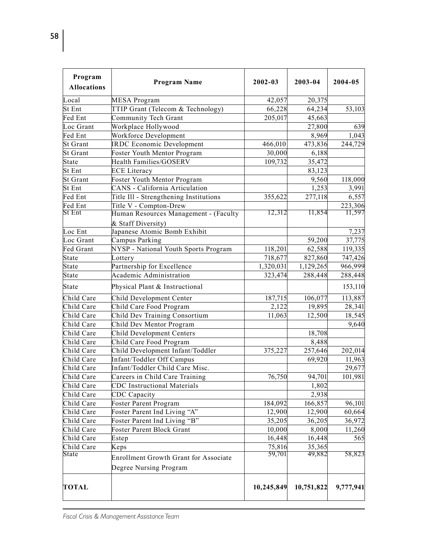| Program<br><b>Allocations</b> | <b>Program Name</b>                                                    | $2002 - 03$ | 2003-04    | 2004-05   |
|-------------------------------|------------------------------------------------------------------------|-------------|------------|-----------|
| Local                         | MESA Program                                                           | 42,057      | 20,375     |           |
| St Ent                        | TTIP Grant (Telecom & Technology)                                      | 66,228      | 64,234     | 53,103    |
| Fed Ent                       | Community Tech Grant                                                   | 205,017     | 45,663     |           |
| Loc Grant                     | Workplace Hollywood                                                    |             | 27,800     | 639       |
| Fed Ent                       | Workforce Development                                                  |             | 8,969      | 1,043     |
| <b>St Grant</b>               | <b>IRDC</b> Economic Development                                       | 466,010     | 473,836    | 244,729   |
| <b>St Grant</b>               | Foster Youth Mentor Program                                            | 30,000      | 6,188      |           |
| State                         | <b>Health Families/GOSERV</b>                                          | 109,732     | 35,472     |           |
| St Ent                        | <b>ECE</b> Literacy                                                    |             | 83,123     |           |
| St Grant                      | Foster Youth Mentor Program                                            |             | 9,560      | 118,000   |
| St Ent                        | CANS - California Articulation                                         |             | 1,253      | 3,991     |
| Fed Ent                       | Title Ill - Strengthening Institutions                                 | 355,622     | 277,118    | 6,557     |
| Fed Ent                       | Title V - Compton-Drew                                                 |             |            | 223,306   |
| St Ent                        | Human Resources Management - (Faculty<br>& Staff Diversity)            | 12,312      | 11,854     | 11,597    |
| Loc Ent                       | Japanese Atomic Bomb Exhibit                                           |             |            | 7,237     |
| Loc Grant                     | Campus Parking                                                         |             | 59,200     | 37,775    |
| Fed Grant                     | NYSP - National Youth Sports Program                                   | 118,201     | 62,588     | 119,335   |
| State                         | Lottery                                                                | 718,677     | 827,860    | 747,426   |
| State                         | Partnership for Excellence                                             | 1,320,031   | 1,129,265  | 966,999   |
| State                         | Academic Administration                                                | 323,474     | 288,448    | 288,448   |
| State                         | Physical Plant & Instructional                                         |             |            | 153,110   |
| Child Care                    | Child Development Center                                               | 187,715     | 106,077    | 113,887   |
| Child Care                    | Child Care Food Program                                                | 2,122       | 19,895     | 28,341    |
| Child Care                    | Child Dev Training Consortium                                          | 11,063      | 12,500     | 18,545    |
| Child Care                    | Child Dev Mentor Program                                               |             |            | 9,640     |
| Child Care                    | Child Development Centers                                              |             | 18,708     |           |
| Child Care                    | Child Care Food Program                                                |             | 8,488      |           |
| Child Care                    | Child Development Infant/Toddler                                       | 375,227     | 257,646    | 202,014   |
| Child Care                    | Infant/Toddler Off Campus                                              |             | 69,920     | 11,963    |
| Child Care                    | Infant/Toddler Child Care Misc.                                        |             |            | 29,677    |
| Child Care                    | Careers in Child Care Training                                         | 76,750      | 94,701     | 101,981   |
| Child Care                    | <b>CDC</b> Instructional Materials                                     |             | 1,802      |           |
| Child Care                    | CDC Capacity                                                           |             | 2,938      |           |
| Child Care                    | Foster Parent Program                                                  | 184,092     | 166,857    | 96,101    |
| Child Care                    | Foster Parent Ind Living "A"                                           | 12,900      | 12,900     | 60,664    |
| Child Care                    | Foster Parent Ind Living "B"                                           | 35,205      | 36,205     | 36,972    |
| Child Care                    | Foster Parent Block Grant                                              | 10,000      | 8,000      | 11,260    |
| Child Care                    | Estep                                                                  | 16,448      | 16,448     | 565       |
| Child Care                    | Keps                                                                   | 75,816      | 35,365     |           |
| State                         | <b>Enrollment Growth Grant for Associate</b><br>Degree Nursing Program | 59,701      | 49,882     | 58,823    |
| TOTAL                         |                                                                        | 10,245,849  | 10,751,822 | 9,777,941 |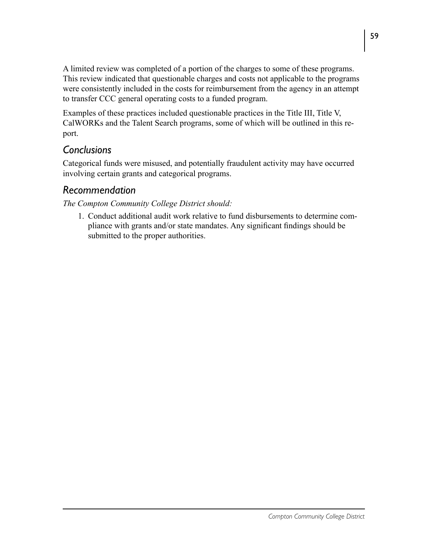A limited review was completed of a portion of the charges to some of these programs. This review indicated that questionable charges and costs not applicable to the programs were consistently included in the costs for reimbursement from the agency in an attempt to transfer CCC general operating costs to a funded program.

Examples of these practices included questionable practices in the Title III, Title V, CalWORKs and the Talent Search programs, some of which will be outlined in this report.

### *Conclusions*

Categorical funds were misused, and potentially fraudulent activity may have occurred involving certain grants and categorical programs.

### *Recommendation*

*The Compton Community College District should:*

1. Conduct additional audit work relative to fund disbursements to determine compliance with grants and/or state mandates. Any significant findings should be submitted to the proper authorities.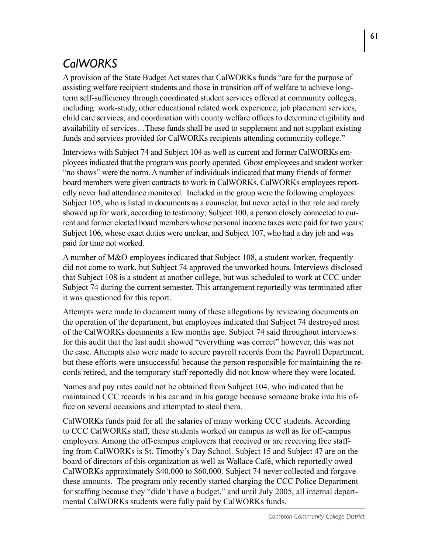# *CalWORKS*

A provision of the State Budget Act states that CalWORKs funds "are for the purpose of assisting welfare recipient students and those in transition off of welfare to achieve longterm self-sufficiency through coordinated student services offered at community colleges, including: work-study, other educational related work experience, job placement services, child care services, and coordination with county welfare offices to determine eligibility and availability of services…These funds shall be used to supplement and not supplant existing funds and services provided for CalWORKs recipients attending community college."

Interviews with Subject 74 and Subject 104 as well as current and former CalWORKs employees indicated that the program was poorly operated. Ghost employees and student worker "no shows" were the norm. A number of individuals indicated that many friends of former board members were given contracts to work in CalWORKs. CalWORKs employees reportedly never had attendance monitored. Included in the group were the following employees: Subject 105, who is listed in documents as a counselor, but never acted in that role and rarely showed up for work, according to testimony; Subject 100, a person closely connected to current and former elected board members whose personal income taxes were paid for two years; Subject 106, whose exact duties were unclear, and Subject 107, who had a day job and was paid for time not worked.

A number of M&O employees indicated that Subject 108, a student worker, frequently did not come to work, but Subject 74 approved the unworked hours. Interviews disclosed that Subject 108 is a student at another college, but was scheduled to work at CCC under Subject 74 during the current semester. This arrangement reportedly was terminated after it was questioned for this report.

Attempts were made to document many of these allegations by reviewing documents on the operation of the department, but employees indicated that Subject 74 destroyed most of the CalWORKs documents a few months ago. Subject 74 said throughout interviews for this audit that the last audit showed "everything was correct" however, this was not the case. Attempts also were made to secure payroll records from the Payroll Department, but these efforts were unsuccessful because the person responsible for maintaining the records retired, and the temporary staff reportedly did not know where they were located.

Names and pay rates could not be obtained from Subject 104, who indicated that he maintained CCC records in his car and in his garage because someone broke into his office on several occasions and attempted to steal them.

CalWORKs funds paid for all the salaries of many working CCC students. According to CCC CalWORKs staff, these students worked on campus as well as for off-campus employers. Among the off-campus employers that received or are receiving free staffing from CalWORKs is St. Timothy's Day School. Subject 15 and Subject 47 are on the board of directors of this organization as well as Wallace Café, which reportedly owed CalWORKs approximately \$40,000 to \$60,000. Subject 74 never collected and forgave these amounts. The program only recently started charging the CCC Police Department for staffing because they "didn't have a budget," and until July 2005, all internal departmental CalWORKs students were fully paid by CalWORKs funds.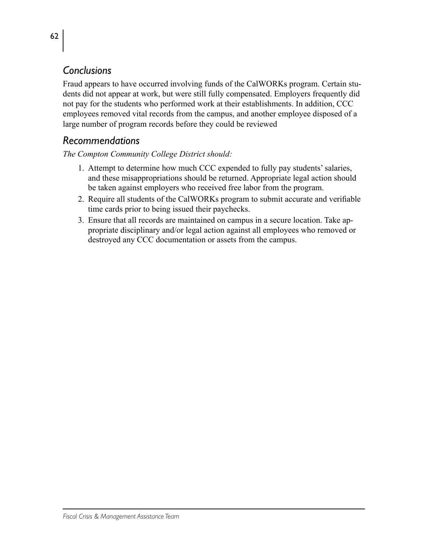### *Conclusions*

Fraud appears to have occurred involving funds of the CalWORKs program. Certain students did not appear at work, but were still fully compensated. Employers frequently did not pay for the students who performed work at their establishments. In addition, CCC employees removed vital records from the campus, and another employee disposed of a large number of program records before they could be reviewed

### *Recommendations*

- 1. Attempt to determine how much CCC expended to fully pay students' salaries, and these misappropriations should be returned. Appropriate legal action should be taken against employers who received free labor from the program.
- 2. Require all students of the CalWORKs program to submit accurate and verifiable time cards prior to being issued their paychecks.
- 3. Ensure that all records are maintained on campus in a secure location. Take appropriate disciplinary and/or legal action against all employees who removed or destroyed any CCC documentation or assets from the campus.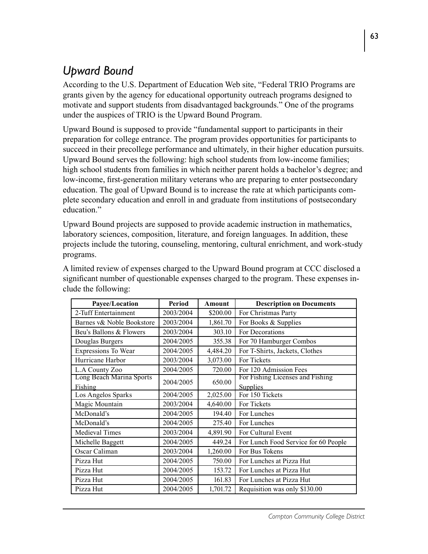# *Upward Bound*

According to the U.S. Department of Education Web site, "Federal TRIO Programs are grants given by the agency for educational opportunity outreach programs designed to motivate and support students from disadvantaged backgrounds." One of the programs under the auspices of TRIO is the Upward Bound Program.

Upward Bound is supposed to provide "fundamental support to participants in their preparation for college entrance. The program provides opportunities for participants to succeed in their precollege performance and ultimately, in their higher education pursuits. Upward Bound serves the following: high school students from low-income families; high school students from families in which neither parent holds a bachelor's degree; and low-income, first-generation military veterans who are preparing to enter postsecondary education. The goal of Upward Bound is to increase the rate at which participants complete secondary education and enroll in and graduate from institutions of postsecondary education"

Upward Bound projects are supposed to provide academic instruction in mathematics, laboratory sciences, composition, literature, and foreign languages. In addition, these projects include the tutoring, counseling, mentoring, cultural enrichment, and work-study programs.

|                                                                                        | $\mathbf{n}$ , $\mathbf{r}$ , $\mathbf{r}$ , $\mathbf{r}$ , $\mathbf{r}$ , $\mathbf{r}$ , $\mathbf{r}$ , $\mathbf{r}$ , $\mathbf{r}$ , $\mathbf{r}$ , $\mathbf{r}$ , $\mathbf{r}$ , $\mathbf{r}$ , $\mathbf{r}$ , $\mathbf{r}$ , $\mathbf{r}$ , $\mathbf{r}$ , $\mathbf{r}$ , $\mathbf{r}$ , $\mathbf{r}$ , $\mathbf{r}$ , $\mathbf{r}$ , $\$ |  | $\mathbf{D}$ and $\mathbf{D}$ and $\mathbf{D}$ and $\mathbf{D}$ | $\mathbf{D}$ and $\mathbf{D}$ and $\mathbf{D}$ and $\mathbf{D}$ |  |  |  |  |
|----------------------------------------------------------------------------------------|-----------------------------------------------------------------------------------------------------------------------------------------------------------------------------------------------------------------------------------------------------------------------------------------------------------------------------------------------|--|-----------------------------------------------------------------|-----------------------------------------------------------------|--|--|--|--|
|                                                                                        | clude the following:                                                                                                                                                                                                                                                                                                                          |  |                                                                 |                                                                 |  |  |  |  |
| significant number of questionable expenses charged to the program. These expenses in- |                                                                                                                                                                                                                                                                                                                                               |  |                                                                 |                                                                 |  |  |  |  |
|                                                                                        | A limited review of expenses charged to the Upward Bound program at CCC disclosed a                                                                                                                                                                                                                                                           |  |                                                                 |                                                                 |  |  |  |  |

| Payee/Location            | Period    | <b>Amount</b> | <b>Description on Documents</b>      |
|---------------------------|-----------|---------------|--------------------------------------|
| 2-Tuff Entertainment      | 2003/2004 | \$200.00      | For Christmas Party                  |
| Barnes v& Noble Bookstore | 2003/2004 | 1,861.70      | For Books & Supplies                 |
| Beu's Ballons & Flowers   | 2003/2004 | 303.10        | For Decorations                      |
| Douglas Burgers           | 2004/2005 | 355.38        | For 70 Hamburger Combos              |
| Expressions To Wear       | 2004/2005 | 4,484.20      | For T-Shirts, Jackets, Clothes       |
| Hurricane Harbor          | 2003/2004 | 3,073.00      | For Tickets                          |
| L.A County Zoo            | 2004/2005 | 720.00        | For 120 Admission Fees               |
| Long Beach Marina Sports  | 2004/2005 | 650.00        | For Fishing Licenses and Fishing     |
| Fishing                   |           |               | Supplies                             |
| Los Angelos Sparks        | 2004/2005 | 2,025.00      | For 150 Tickets                      |
| Magic Mountain            | 2003/2004 | 4,640.00      | For Tickets                          |
| McDonald's                | 2004/2005 | 194.40        | For Lunches                          |
| McDonald's                | 2004/2005 | 275.40        | For Lunches                          |
| Medieval Times            | 2003/2004 | 4,891.90      | For Cultural Event                   |
| Michelle Baggett          | 2004/2005 | 449.24        | For Lunch Food Service for 60 People |
| Oscar Caliman             | 2003/2004 | 1,260.00      | For Bus Tokens                       |
| Pizza Hut                 | 2004/2005 | 750.00        | For Lunches at Pizza Hut             |
| Pizza Hut                 | 2004/2005 | 153.72        | For Lunches at Pizza Hut             |
| Pizza Hut                 | 2004/2005 | 161.83        | For Lunches at Pizza Hut             |
| Pizza Hut                 | 2004/2005 | 1,701.72      | Requisition was only \$130.00        |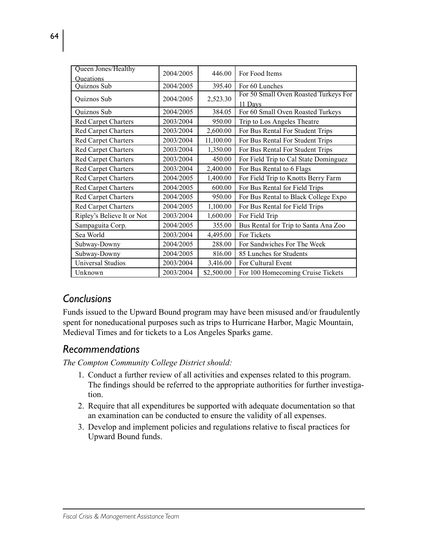| Queen Jones/Healthy        | 2004/2005 | 446.00     | For Food Items                                   |  |
|----------------------------|-----------|------------|--------------------------------------------------|--|
| <b>Oueations</b>           |           |            |                                                  |  |
| Quiznos Sub                | 2004/2005 | 395.40     | For 60 Lunches                                   |  |
| Quiznos Sub                | 2004/2005 | 2,523.30   | For 50 Small Oven Roasted Turkeys For<br>11 Days |  |
| Quiznos Sub                | 2004/2005 | 384.05     | For 60 Small Oven Roasted Turkeys                |  |
| Red Carpet Charters        | 2003/2004 | 950.00     | Trip to Los Angeles Theatre                      |  |
| <b>Red Carpet Charters</b> | 2003/2004 | 2,600.00   | For Bus Rental For Student Trips                 |  |
| <b>Red Carpet Charters</b> | 2003/2004 | 11,100.00  | For Bus Rental For Student Trips                 |  |
| <b>Red Carpet Charters</b> | 2003/2004 | 1,350.00   | For Bus Rental For Student Trips                 |  |
| <b>Red Carpet Charters</b> | 2003/2004 | 450.00     | For Field Trip to Cal State Dominguez            |  |
| Red Carpet Charters        | 2003/2004 | 2,400.00   | For Bus Rental to 6 Flags                        |  |
| Red Carpet Charters        | 2004/2005 | 1,400.00   | For Field Trip to Knotts Berry Farm              |  |
| <b>Red Carpet Charters</b> | 2004/2005 | 600.00     | For Bus Rental for Field Trips                   |  |
| <b>Red Carpet Charters</b> | 2004/2005 | 950.00     | For Bus Rental to Black College Expo             |  |
| Red Carpet Charters        | 2004/2005 | 1,100.00   | For Bus Rental for Field Trips                   |  |
| Ripley's Believe It or Not | 2003/2004 | 1,600.00   | For Field Trip                                   |  |
| Sampaguita Corp.           | 2004/2005 | 355.00     | Bus Rental for Trip to Santa Ana Zoo             |  |
| Sea World                  | 2003/2004 | 4,495.00   | For Tickets                                      |  |
| Subway-Downy               | 2004/2005 | 288.00     | For Sandwiches For The Week                      |  |
| Subway-Downy               | 2004/2005 | 816.00     | 85 Lunches for Students                          |  |
| <b>Universal Studios</b>   | 2003/2004 | 3,416.00   | For Cultural Event                               |  |
| Unknown                    | 2003/2004 | \$2,500.00 | For 100 Homecoming Cruise Tickets                |  |

### *Conclusions*

Funds issued to the Upward Bound program may have been misused and/or fraudulently spent for noneducational purposes such as trips to Hurricane Harbor, Magic Mountain, Medieval Times and for tickets to a Los Angeles Sparks game.

### *Recommendations*

- 1. Conduct a further review of all activities and expenses related to this program. The findings should be referred to the appropriate authorities for further investigation.
- 2. Require that all expenditures be supported with adequate documentation so that an examination can be conducted to ensure the validity of all expenses.
- 3. Develop and implement policies and regulations relative to fiscal practices for Upward Bound funds.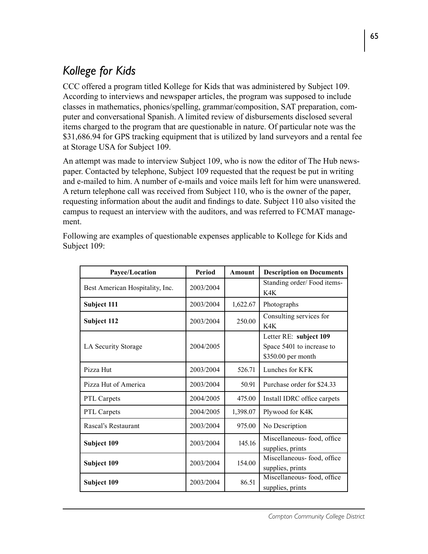# *Kollege for Kids*

CCC offered a program titled Kollege for Kids that was administered by Subject 109. According to interviews and newspaper articles, the program was supposed to include classes in mathematics, phonics/spelling, grammar/composition, SAT preparation, computer and conversational Spanish. A limited review of disbursements disclosed several items charged to the program that are questionable in nature. Of particular note was the \$31,686.94 for GPS tracking equipment that is utilized by land surveyors and a rental fee at Storage USA for Subject 109.

An attempt was made to interview Subject 109, who is now the editor of The Hub newspaper. Contacted by telephone, Subject 109 requested that the request be put in writing and e-mailed to him. A number of e-mails and voice mails left for him were unanswered. A return telephone call was received from Subject 110, who is the owner of the paper, requesting information about the audit and findings to date. Subject 110 also visited the campus to request an interview with the auditors, and was referred to FCMAT management.

| Payee/Location                  | Period    | Amount   | <b>Description on Documents</b> |
|---------------------------------|-----------|----------|---------------------------------|
| Best American Hospitality, Inc. | 2003/2004 |          | Standing order/Food items-      |
|                                 |           |          | K4K                             |
| Subject 111                     | 2003/2004 | 1,622.67 | Photographs                     |
| Subject 112                     | 2003/2004 | 250.00   | Consulting services for         |
|                                 |           |          | K4K                             |
|                                 |           |          | Letter RE: subject 109          |
| LA Security Storage             | 2004/2005 |          | Space 5401 to increase to       |
|                                 |           |          | \$350.00 per month              |
| Pizza Hut                       | 2003/2004 | 526.71   | Lunches for KFK                 |
| Pizza Hut of America            | 2003/2004 | 50.91    | Purchase order for \$24.33      |
| PTL Carpets                     | 2004/2005 | 475.00   | Install IDRC office carpets     |
| PTL Carpets                     | 2004/2005 | 1,398.07 | Plywood for K4K                 |
| Rascal's Restaurant             | 2003/2004 | 975.00   | No Description                  |
|                                 | 2003/2004 | 145.16   | Miscellaneous-food, office      |
| Subject 109                     |           |          | supplies, prints                |
| Subject 109                     | 2003/2004 | 154.00   | Miscellaneous-food, office      |
|                                 |           |          | supplies, prints                |
| Subject 109                     | 2003/2004 | 86.51    | Miscellaneous-food, office      |
|                                 |           |          | supplies, prints                |

Following are examples of questionable expenses applicable to Kollege for Kids and Subject 109: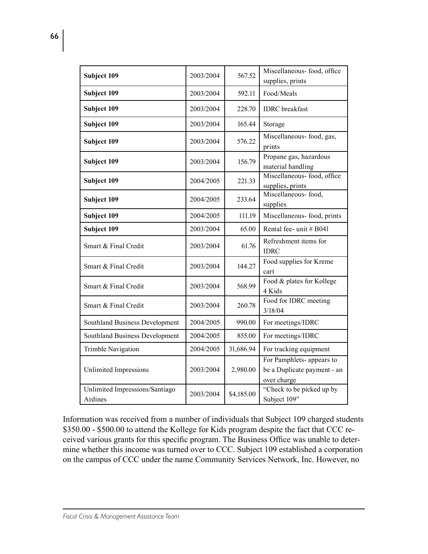| Subject 109                               | 2003/2004 | 567.52     | Miscellaneous-food, office<br>supplies, prints                          |
|-------------------------------------------|-----------|------------|-------------------------------------------------------------------------|
| Subject 109                               | 2003/2004 | 592.11     | Food/Meals                                                              |
| Subject 109                               | 2003/2004 | 228.70     | <b>IDRC</b> breakfast                                                   |
| Subject 109                               | 2003/2004 | 165.44     | Storage                                                                 |
| Subject 109                               | 2003/2004 | 576.22     | Miscellaneous-food, gas,<br>prints                                      |
| Subject 109                               | 2003/2004 | 156.79     | Propane gas, hazardous<br>material handling                             |
| Subject 109                               | 2004/2005 | 221.33     | Miscellaneous- food, office<br>supplies, prints                         |
| Subject 109                               | 2004/2005 | 233.64     | Miscellaneous-food,<br>supplies                                         |
| Subject 109                               | 2004/2005 | 111.19     | Miscellaneous-food, prints                                              |
| Subject 109                               | 2003/2004 | 65.00      | Rental fee- unit # B041                                                 |
| Smart & Final Credit                      | 2003/2004 | 61.76      | Refreshment items for<br><b>IDRC</b>                                    |
| Smart & Final Credit                      | 2003/2004 | 144.27     | Food supplies for Kreme<br>cart                                         |
| Smart & Final Credit                      | 2003/2004 | 568.99     | Food & plates for Kollege<br>4 Kids                                     |
| Smart & Final Credit                      | 2003/2004 | 260.78     | Food for IDRC meeting<br>3/18/04                                        |
| <b>Southland Business Development</b>     | 2004/2005 | 990.00     | For meetings/IDRC                                                       |
| <b>Southland Business Development</b>     | 2004/2005 | 855.00     | For meetings/IDRC                                                       |
| Trimble Navigation                        | 2004/2005 | 31,686.94  | For tracking equipment                                                  |
| <b>Unlimited Impressions</b>              | 2003/2004 | 2,980.00   | For Pamphlets- appears to<br>be a Duplicate payment - an<br>over charge |
| Unlimited Impressions/Santiago<br>Ardines | 2003/2004 | \$4,185.00 | "Check to be picked up by<br>Subject 109"                               |

Information was received from a number of individuals that Subject 109 charged students \$350.00 - \$500.00 to attend the Kollege for Kids program despite the fact that CCC received various grants for this specific program. The Business Office was unable to determine whether this income was turned over to CCC. Subject 109 established a corporation on the campus of CCC under the name Community Services Network, Inc. However, no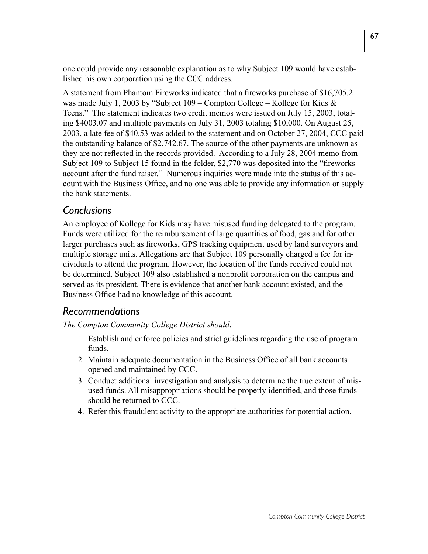one could provide any reasonable explanation as to why Subject 109 would have established his own corporation using the CCC address.

A statement from Phantom Fireworks indicated that a fireworks purchase of \$16,705.21 was made July 1, 2003 by "Subject  $109 -$ Compton College – Kollege for Kids & Teens." The statement indicates two credit memos were issued on July 15, 2003, totaling \$4003.07 and multiple payments on July 31, 2003 totaling \$10,000. On August 25, 2003, a late fee of \$40.53 was added to the statement and on October 27, 2004, CCC paid the outstanding balance of \$2,742.67. The source of the other payments are unknown as they are not reflected in the records provided. According to a July 28, 2004 memo from Subject 109 to Subject 15 found in the folder, \$2,770 was deposited into the "fireworks account after the fund raiser." Numerous inquiries were made into the status of this account with the Business Office, and no one was able to provide any information or supply the bank statements.

### *Conclusions*

An employee of Kollege for Kids may have misused funding delegated to the program. Funds were utilized for the reimbursement of large quantities of food, gas and for other larger purchases such as fireworks, GPS tracking equipment used by land surveyors and multiple storage units. Allegations are that Subject 109 personally charged a fee for individuals to attend the program. However, the location of the funds received could not be determined. Subject 109 also established a nonprofit corporation on the campus and served as its president. There is evidence that another bank account existed, and the Business Office had no knowledge of this account.

## *Recommendations*

- 1. Establish and enforce policies and strict guidelines regarding the use of program funds.
- 2. Maintain adequate documentation in the Business Office of all bank accounts opened and maintained by CCC.
- 3. Conduct additional investigation and analysis to determine the true extent of misused funds. All misappropriations should be properly identified, and those funds should be returned to CCC.
- 4. Refer this fraudulent activity to the appropriate authorities for potential action.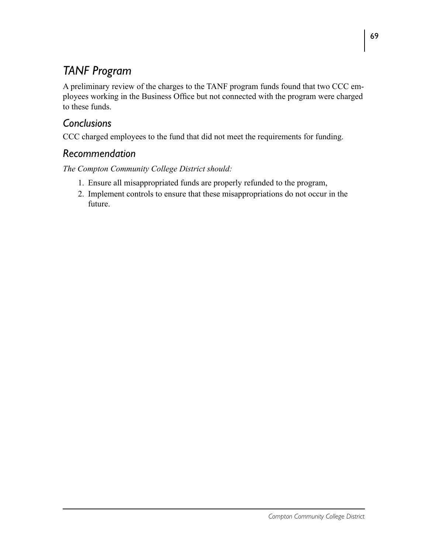# *TANF Program*

A preliminary review of the charges to the TANF program funds found that two CCC employees working in the Business Office but not connected with the program were charged to these funds.

# *Conclusions*

CCC charged employees to the fund that did not meet the requirements for funding.

# *Recommendation*

- 1. Ensure all misappropriated funds are properly refunded to the program,
- 2. Implement controls to ensure that these misappropriations do not occur in the future.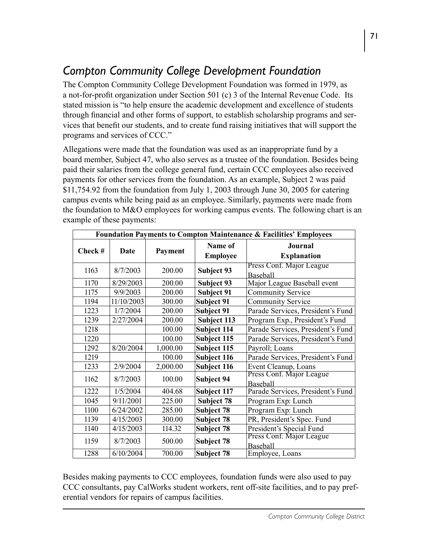# *Compton Community College Development Foundation*

The Compton Community College Development Foundation was formed in 1979, as a not-for-profit organization under Section 501 (c) 3 of the Internal Revenue Code. Its stated mission is "to help ensure the academic development and excellence of students through financial and other forms of support, to establish scholarship programs and services that benefit our students, and to create fund raising initiatives that will support the programs and services of CCC."

Allegations were made that the foundation was used as an inappropriate fund by a board member, Subject 47, who also serves as a trustee of the foundation. Besides being paid their salaries from the college general fund, certain CCC employees also received payments for other services from the foundation. As an example, Subject 2 was paid \$11,754.92 from the foundation from July 1, 2003 through June 30, 2005 for catering campus events while being paid as an employee. Similarly, payments were made from the foundation to M&O employees for working campus events. The following chart is an example of these payments:

| Foundation Payments to Compton Maintenance & Facilities' Employees |             |          |                                                  |                                   |  |
|--------------------------------------------------------------------|-------------|----------|--------------------------------------------------|-----------------------------------|--|
| Check #                                                            | <b>Date</b> | Payment  | Name of                                          | Journal                           |  |
|                                                                    |             |          | <b>Employee</b>                                  | <b>Explanation</b>                |  |
| 1163                                                               | 8/7/2003    | 200.00   | Subject 93                                       | Press Conf. Major League          |  |
|                                                                    |             |          |                                                  | Baseball                          |  |
| 1170                                                               | 8/29/2003   | 200.00   | Subject 93                                       | Major League Baseball event       |  |
| 1175                                                               | 9/9/2003    | 200.00   | <b>Subject 91</b>                                | <b>Community Service</b>          |  |
| 1194                                                               | 11/10/2003  | 300.00   | <b>Subject 91</b>                                | <b>Community Service</b>          |  |
| 1223                                                               | 1/7/2004    | 200.00   | <b>Subject 91</b>                                | Parade Services, President's Fund |  |
| 1239                                                               | 2/27/2004   | 200.00   | Subject 113                                      | Program Exp., President's Fund    |  |
| 1218                                                               |             | 100.00   | Subject 114                                      | Parade Services, President's Fund |  |
| 1220                                                               |             | 100.00   | Subject 115                                      | Parade Services, President's Fund |  |
| 1292                                                               | 8/20/2004   | 1,000.00 | Subject 115<br>Payroll; Loans                    |                                   |  |
| 1219                                                               |             | 100.00   | Subject 116<br>Parade Services, President's Fund |                                   |  |
| 1233                                                               | 2/9/2004    | 2,000.00 | Event Cleanup, Loans<br>Subject 116              |                                   |  |
| 1162                                                               | 8/7/2003    | 100.00   | Subject 94                                       | Press Conf. Major League          |  |
|                                                                    |             |          |                                                  | Baseball                          |  |
| 1222                                                               | 1/5/2004    | 404.68   | Parade Services, President's Fund<br>Subject 117 |                                   |  |
| 1045                                                               | 9/11/2001   | 225.00   | Subject 78                                       | Program Exp: Lunch                |  |
| 1100                                                               | 6/24/2002   | 285.00   | Subject 78                                       | Program Exp: Lunch                |  |
| 1139                                                               | 4/15/2003   | 300.00   | Subject 78                                       | PR, President's Spec. Fund        |  |
| 1140                                                               | 4/15/2003   | 114.32   | Subject 78                                       | President's Special Fund          |  |
| 1159                                                               | 8/7/2003    | 500.00   | Subject 78                                       | Press Conf. Major League          |  |
|                                                                    |             |          |                                                  | <b>Baseball</b>                   |  |
| 1288                                                               | 6/10/2004   | 700.00   | Subject 78                                       | Employee, Loans                   |  |

Besides making payments to CCC employees, foundation funds were also used to pay CCC consultants, pay CalWorks student workers, rent off-site facilities, and to pay preferential vendors for repairs of campus facilities.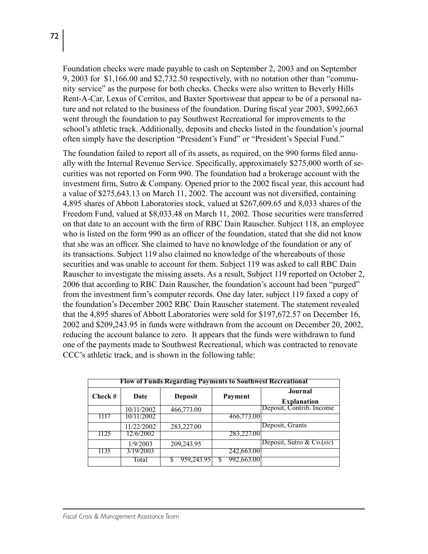Foundation checks were made payable to cash on September 2, 2003 and on September 9, 2003 for \$1,166.00 and \$2,732.50 respectively, with no notation other than "community service" as the purpose for both checks. Checks were also written to Beverly Hills Rent-A-Car, Lexus of Cerritos, and Baxter Sportswear that appear to be of a personal nature and not related to the business of the foundation. During fiscal year 2003, \$992,663 went through the foundation to pay Southwest Recreational for improvements to the school's athletic track. Additionally, deposits and checks listed in the foundation's journal often simply have the description "President's Fund" or "President's Special Fund."

The foundation failed to report all of its assets, as required, on the 990 forms filed annually with the Internal Revenue Service. Specifically, approximately \$275,000 worth of securities was not reported on Form 990. The foundation had a brokerage account with the investment firm, Sutro & Company. Opened prior to the 2002 fiscal year, this account had a value of \$275,643.13 on March 11, 2002. The account was not diversified, containing 4,895 shares of Abbott Laboratories stock, valued at \$267,609.65 and 8,033 shares of the Freedom Fund, valued at \$8,033.48 on March 11, 2002. Those securities were transferred on that date to an account with the firm of RBC Dain Rauscher. Subject 118, an employee who is listed on the form 990 as an officer of the foundation, stated that she did not know that she was an officer. She claimed to have no knowledge of the foundation or any of its transactions. Subject 119 also claimed no knowledge of the whereabouts of those securities and was unable to account for them. Subject 119 was asked to call RBC Dain Rauscher to investigate the missing assets. As a result, Subject 119 reported on October 2, 2006 that according to RBC Dain Rauscher, the foundation's account had been "purged" from the investment firm's computer records. One day later, subject 119 faxed a copy of the foundation's December 2002 RBC Dain Rauscher statement. The statement revealed that the 4,895 shares of Abbott Laboratories were sold for \$197,672.57 on December 16, 2002 and \$209,243.95 in funds were withdrawn from the account on December 20, 2002, reducing the account balance to zero. It appears that the funds were withdrawn to fund one of the payments made to Southwest Recreational, which was contracted to renovate CCC's athletic track, and is shown in the following table:

|         | <b>Flow of Funds Regarding Payments to Southwest Recreational</b> |                |            |                               |  |
|---------|-------------------------------------------------------------------|----------------|------------|-------------------------------|--|
| Check # | Date                                                              | <b>Deposit</b> | Payment    | Journal<br><b>Explanation</b> |  |
|         | 10/11/2002                                                        | 466,773.00     |            | Deposit, Contrib. Income      |  |
| 1117    | 10/11/2002                                                        |                | 466,773.00 |                               |  |
|         | 11/22/2002                                                        | 283,227.00     |            | Deposit, Grants               |  |
| 1125    | 12/6/2002                                                         |                | 283,227.00 |                               |  |
|         | 1/9/2003                                                          | 209,243.95     |            | Deposit, Sutro & Co.(sic)     |  |
| 1135    | 3/19/2003                                                         |                | 242,663.00 |                               |  |
|         | Total                                                             | 959,243.95     | 992,663.00 |                               |  |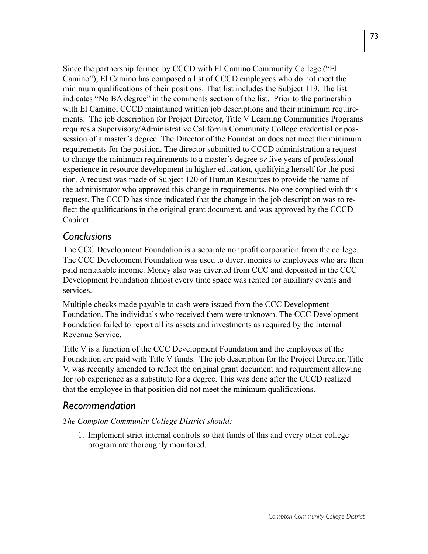Since the partnership formed by CCCD with El Camino Community College ("El Camino"), El Camino has composed a list of CCCD employees who do not meet the minimum qualifications of their positions. That list includes the Subject 119. The list indicates "No BA degree" in the comments section of the list. Prior to the partnership with El Camino, CCCD maintained written job descriptions and their minimum requirements. The job description for Project Director, Title V Learning Communities Programs requires a Supervisory/Administrative California Community College credential or possession of a master's degree. The Director of the Foundation does not meet the minimum requirements for the position. The director submitted to CCCD administration a request to change the minimum requirements to a master's degree *or* five years of professional experience in resource development in higher education, qualifying herself for the position. A request was made of Subject 120 of Human Resources to provide the name of the administrator who approved this change in requirements. No one complied with this request. The CCCD has since indicated that the change in the job description was to reflect the qualifications in the original grant document, and was approved by the CCCD Cabinet.

### *Conclusions*

The CCC Development Foundation is a separate nonprofit corporation from the college. The CCC Development Foundation was used to divert monies to employees who are then paid nontaxable income. Money also was diverted from CCC and deposited in the CCC Development Foundation almost every time space was rented for auxiliary events and services.

Multiple checks made payable to cash were issued from the CCC Development Foundation. The individuals who received them were unknown. The CCC Development Foundation failed to report all its assets and investments as required by the Internal Revenue Service.

Title V is a function of the CCC Development Foundation and the employees of the Foundation are paid with Title V funds. The job description for the Project Director, Title V, was recently amended to reflect the original grant document and requirement allowing for job experience as a substitute for a degree. This was done after the CCCD realized that the employee in that position did not meet the minimum qualifications.

### *Recommendation*

*The Compton Community College District should:*

1. Implement strict internal controls so that funds of this and every other college program are thoroughly monitored.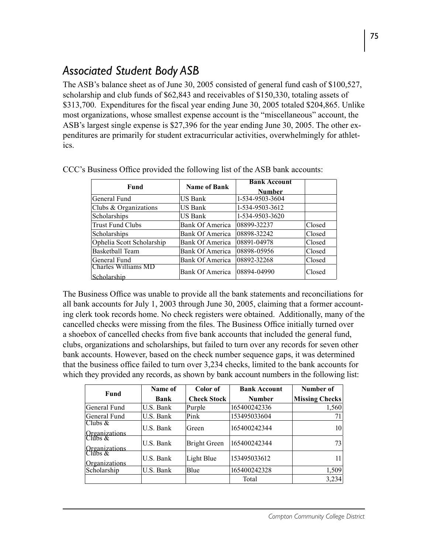# *Associated Student Body ASB*

The ASB's balance sheet as of June 30, 2005 consisted of general fund cash of \$100,527, scholarship and club funds of \$62,843 and receivables of \$150,330, totaling assets of \$313,700. Expenditures for the fiscal year ending June 30, 2005 totaled \$204,865. Unlike most organizations, whose smallest expense account is the "miscellaneous" account, the ASB's largest single expense is \$27,396 for the year ending June 30, 2005. The other expenditures are primarily for student extracurricular activities, overwhelmingly for athletics.

| Fund                               | <b>Name of Bank</b>    | <b>Bank Account</b><br><b>Number</b> |        |
|------------------------------------|------------------------|--------------------------------------|--------|
| General Fund                       | US Bank                | 1-534-9503-3604                      |        |
| Clubs & Organizations              | US Bank                | 1-534-9503-3612                      |        |
| Scholarships                       | US Bank                | 1-534-9503-3620                      |        |
| <b>Trust Fund Clubs</b>            | <b>Bank Of America</b> | 08899-32237                          | Closed |
| Scholarships                       | Bank Of America        | 08898-32242                          | Closed |
| Ophelia Scott Scholarship          | <b>Bank Of America</b> | 08891-04978                          | Closed |
| Basketball Team                    | <b>Bank Of America</b> | 08898-05956                          | Closed |
| General Fund                       | Bank Of America        | 08892-32268                          | Closed |
| Charles Williams MD<br>Scholarship | Bank Of America        | 08894-04990                          | Closed |

CCC's Business Office provided the following list of the ASB bank accounts:

The Business Office was unable to provide all the bank statements and reconciliations for all bank accounts for July 1, 2003 through June 30, 2005, claiming that a former accounting clerk took records home. No check registers were obtained. Additionally, many of the cancelled checks were missing from the files. The Business Office initially turned over a shoebox of cancelled checks from five bank accounts that included the general fund, clubs, organizations and scholarships, but failed to turn over any records for seven other bank accounts. However, based on the check number sequence gaps, it was determined that the business office failed to turn over 3,234 checks, limited to the bank accounts for which they provided any records, as shown by bank account numbers in the following list:

| Fund                                   | Name of   | Color of           | <b>Bank Account</b> | Number of             |
|----------------------------------------|-----------|--------------------|---------------------|-----------------------|
|                                        | Bank      | <b>Check Stock</b> | <b>Number</b>       | <b>Missing Checks</b> |
| General Fund                           | U.S. Bank | Purple             | 165400242336        | 1,560                 |
| General Fund                           | U.S. Bank | Pink               | 153495033604        | 71                    |
| Clubs $\&$<br>Organizations<br>Clubs & | U.S. Bank | Green              | 165400242344        | 10 <sup>1</sup>       |
| Organizations<br>Clubs &               | U.S. Bank | Bright Green       | 165400242344        | 73                    |
| Organizations                          | U.S. Bank | Light Blue         | 153495033612        | 11                    |
| Scholarship                            | U.S. Bank | Blue               | 165400242328        | 1,509                 |
|                                        |           |                    | Total               | 3,234                 |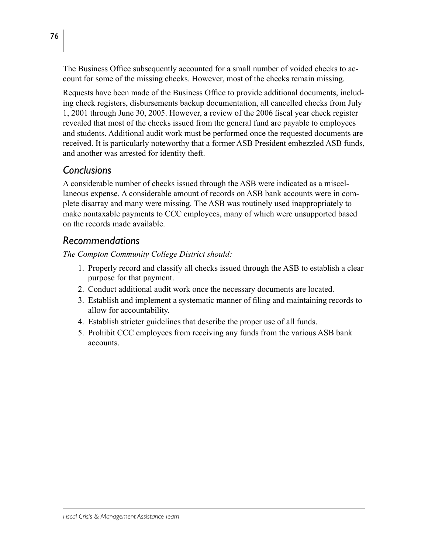The Business Office subsequently accounted for a small number of voided checks to account for some of the missing checks. However, most of the checks remain missing.

Requests have been made of the Business Office to provide additional documents, including check registers, disbursements backup documentation, all cancelled checks from July 1, 2001 through June 30, 2005. However, a review of the 2006 fiscal year check register revealed that most of the checks issued from the general fund are payable to employees and students. Additional audit work must be performed once the requested documents are received. It is particularly noteworthy that a former ASB President embezzled ASB funds, and another was arrested for identity theft.

### *Conclusions*

A considerable number of checks issued through the ASB were indicated as a miscellaneous expense. A considerable amount of records on ASB bank accounts were in complete disarray and many were missing. The ASB was routinely used inappropriately to make nontaxable payments to CCC employees, many of which were unsupported based on the records made available.

### *Recommendations*

- 1. Properly record and classify all checks issued through the ASB to establish a clear purpose for that payment.
- 2. Conduct additional audit work once the necessary documents are located.
- 3. Establish and implement a systematic manner of filing and maintaining records to allow for accountability.
- 4. Establish stricter guidelines that describe the proper use of all funds.
- 5. Prohibit CCC employees from receiving any funds from the various ASB bank accounts.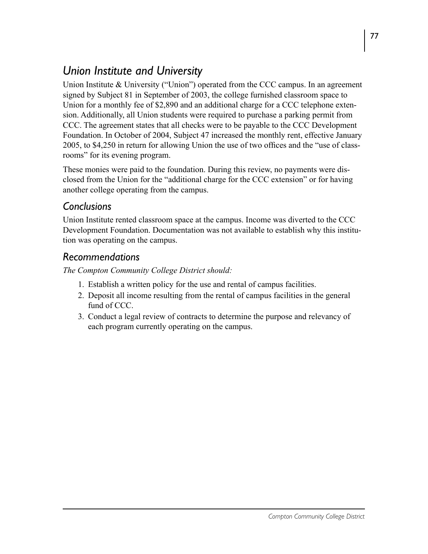# *Union Institute and University*

Union Institute  $&$  University ("Union") operated from the CCC campus. In an agreement signed by Subject 81 in September of 2003, the college furnished classroom space to Union for a monthly fee of \$2,890 and an additional charge for a CCC telephone extension. Additionally, all Union students were required to purchase a parking permit from CCC. The agreement states that all checks were to be payable to the CCC Development Foundation. In October of 2004, Subject 47 increased the monthly rent, effective January 2005, to \$4,250 in return for allowing Union the use of two offices and the "use of classrooms" for its evening program.

These monies were paid to the foundation. During this review, no payments were disclosed from the Union for the "additional charge for the CCC extension" or for having another college operating from the campus.

### *Conclusions*

Union Institute rented classroom space at the campus. Income was diverted to the CCC Development Foundation. Documentation was not available to establish why this institution was operating on the campus.

### *Recommendations*

- 1. Establish a written policy for the use and rental of campus facilities.
- 2. Deposit all income resulting from the rental of campus facilities in the general fund of CCC.
- 3. Conduct a legal review of contracts to determine the purpose and relevancy of each program currently operating on the campus.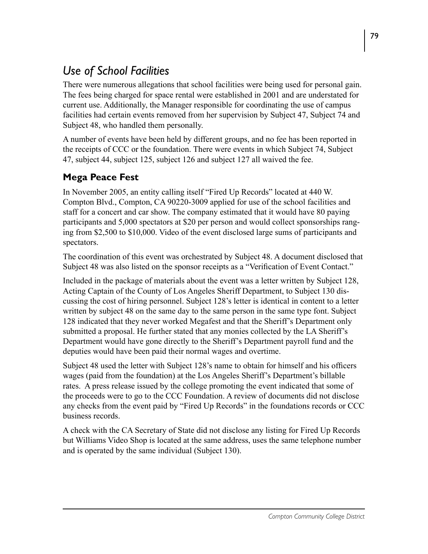# *Use of School Facilities*

There were numerous allegations that school facilities were being used for personal gain. The fees being charged for space rental were established in 2001 and are understated for current use. Additionally, the Manager responsible for coordinating the use of campus facilities had certain events removed from her supervision by Subject 47, Subject 74 and Subject 48, who handled them personally.

A number of events have been held by different groups, and no fee has been reported in the receipts of CCC or the foundation. There were events in which Subject 74, Subject 47, subject 44, subject 125, subject 126 and subject 127 all waived the fee.

## **Mega Peace Fest**

In November 2005, an entity calling itself "Fired Up Records" located at 440 W. Compton Blvd., Compton, CA 90220-3009 applied for use of the school facilities and staff for a concert and car show. The company estimated that it would have 80 paying participants and 5,000 spectators at \$20 per person and would collect sponsorships ranging from \$2,500 to \$10,000. Video of the event disclosed large sums of participants and spectators.

The coordination of this event was orchestrated by Subject 48. A document disclosed that Subject 48 was also listed on the sponsor receipts as a "Verification of Event Contact."

Included in the package of materials about the event was a letter written by Subject 128, Acting Captain of the County of Los Angeles Sheriff Department, to Subject 130 discussing the cost of hiring personnel. Subject 128's letter is identical in content to a letter written by subject 48 on the same day to the same person in the same type font. Subject 128 indicated that they never worked Megafest and that the Sheriff's Department only submitted a proposal. He further stated that any monies collected by the LA Sheriff's Department would have gone directly to the Sheriff's Department payroll fund and the deputies would have been paid their normal wages and overtime.

Subject 48 used the letter with Subject 128's name to obtain for himself and his officers wages (paid from the foundation) at the Los Angeles Sheriff's Department's billable rates. A press release issued by the college promoting the event indicated that some of the proceeds were to go to the CCC Foundation. A review of documents did not disclose any checks from the event paid by "Fired Up Records" in the foundations records or CCC business records.

A check with the CA Secretary of State did not disclose any listing for Fired Up Records but Williams Video Shop is located at the same address, uses the same telephone number and is operated by the same individual (Subject 130).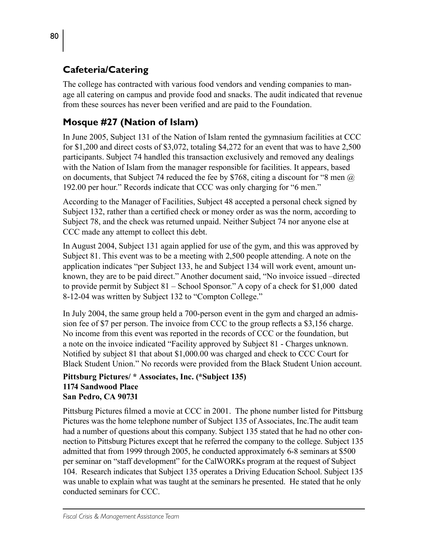## **Cafeteria/Catering**

The college has contracted with various food vendors and vending companies to manage all catering on campus and provide food and snacks. The audit indicated that revenue from these sources has never been verified and are paid to the Foundation.

# **Mosque #27 (Nation of Islam)**

In June 2005, Subject 131 of the Nation of Islam rented the gymnasium facilities at CCC for \$1,200 and direct costs of \$3,072, totaling \$4,272 for an event that was to have 2,500 participants. Subject 74 handled this transaction exclusively and removed any dealings with the Nation of Islam from the manager responsible for facilities. It appears, based on documents, that Subject 74 reduced the fee by \$768, citing a discount for "8 men  $\omega$ 192.00 per hour." Records indicate that CCC was only charging for "6 men."

According to the Manager of Facilities, Subject 48 accepted a personal check signed by Subject 132, rather than a certified check or money order as was the norm, according to Subject 78, and the check was returned unpaid. Neither Subject 74 nor anyone else at CCC made any attempt to collect this debt.

In August 2004, Subject 131 again applied for use of the gym, and this was approved by Subject 81. This event was to be a meeting with 2,500 people attending. A note on the application indicates "per Subject 133, he and Subject 134 will work event, amount unknown, they are to be paid direct." Another document said, "No invoice issued –directed to provide permit by Subject 81 – School Sponsor." A copy of a check for \$1,000 dated 8-12-04 was written by Subject 132 to "Compton College."

In July 2004, the same group held a 700-person event in the gym and charged an admission fee of \$7 per person. The invoice from CCC to the group reflects a \$3,156 charge. No income from this event was reported in the records of CCC or the foundation, but a note on the invoice indicated "Facility approved by Subject 81 - Charges unknown. Notified by subject 81 that about \$1,000.00 was charged and check to CCC Court for Black Student Union." No records were provided from the Black Student Union account.

#### **Pittsburg Pictures/ \* Associates, Inc. (\*Subject 135) 1174 Sandwood Place San Pedro, CA 90731**

Pittsburg Pictures filmed a movie at CCC in 2001. The phone number listed for Pittsburg Pictures was the home telephone number of Subject 135 of Associates, Inc.The audit team had a number of questions about this company. Subject 135 stated that he had no other connection to Pittsburg Pictures except that he referred the company to the college. Subject 135 admitted that from 1999 through 2005, he conducted approximately 6-8 seminars at \$500 per seminar on "staff development" for the CalWORKs program at the request of Subject 104. Research indicates that Subject 135 operates a Driving Education School. Subject 135 was unable to explain what was taught at the seminars he presented. He stated that he only conducted seminars for CCC.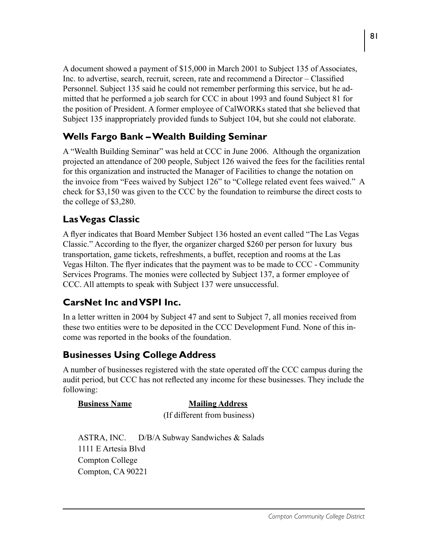A document showed a payment of \$15,000 in March 2001 to Subject 135 of Associates, Inc. to advertise, search, recruit, screen, rate and recommend a Director – Classified Personnel. Subject 135 said he could not remember performing this service, but he admitted that he performed a job search for CCC in about 1993 and found Subject 81 for the position of President. A former employee of CalWORKs stated that she believed that Subject 135 inappropriately provided funds to Subject 104, but she could not elaborate.

### **Wells Fargo Bank – Wealth Building Seminar**

A "Wealth Building Seminar" was held at CCC in June 2006. Although the organization projected an attendance of 200 people, Subject 126 waived the fees for the facilities rental for this organization and instructed the Manager of Facilities to change the notation on the invoice from "Fees waived by Subject 126" to "College related event fees waived." A check for \$3,150 was given to the CCC by the foundation to reimburse the direct costs to the college of \$3,280.

### **Las Vegas Classic**

A flyer indicates that Board Member Subject 136 hosted an event called "The Las Vegas Classic." According to the flyer, the organizer charged \$260 per person for luxury bus transportation, game tickets, refreshments, a buffet, reception and rooms at the Las Vegas Hilton. The flyer indicates that the payment was to be made to CCC - Community Services Programs. The monies were collected by Subject 137, a former employee of CCC. All attempts to speak with Subject 137 were unsuccessful.

### **CarsNet Inc and VSPI Inc.**

In a letter written in 2004 by Subject 47 and sent to Subject 7, all monies received from these two entities were to be deposited in the CCC Development Fund. None of this income was reported in the books of the foundation.

### **Businesses Using College Address**

A number of businesses registered with the state operated off the CCC campus during the audit period, but CCC has not reflected any income for these businesses. They include the following:

### **Business Name Mailing Address** (If different from business)

ASTRA, INC. D/B/A Subway Sandwiches & Salads 1111 E Artesia Blvd Compton College Compton, CA 90221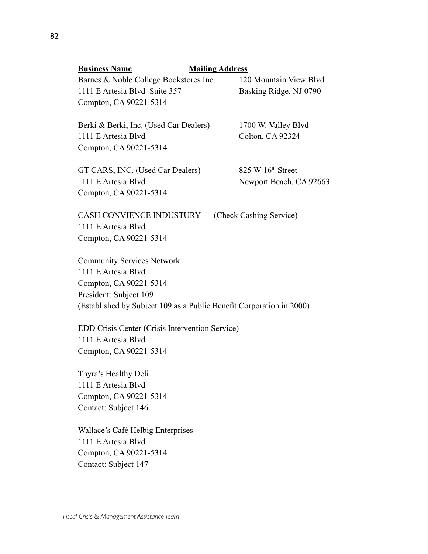| Compton, CA 90221-5314                                                                                      |
|-------------------------------------------------------------------------------------------------------------|
| <b>CASH CONVIENCE INDUSTURY</b><br>(Check Cashing Service)<br>1111 E Artesia Blyd<br>Compton, CA 90221-5314 |
| <b>Community Services Network</b>                                                                           |
| 1111 E Artesia Blyd                                                                                         |
| Compton, CA 90221-5314                                                                                      |
| President: Subject 109                                                                                      |
| (Established by Subject 109 as a Public Benefit Corporation in 2000)                                        |
| EDD Crisis Center (Crisis Intervention Service)                                                             |
| 1111 E Artesia Blvd                                                                                         |
| Compton, CA 90221-5314                                                                                      |
| Thyra's Healthy Deli                                                                                        |
| 1111 E Artesia Blyd                                                                                         |
| Compton, CA 90221-5314                                                                                      |
| Contact: Subject 146                                                                                        |
| Wallace's Café Helbig Enterprises                                                                           |
| 1111 E Artesia Blvd                                                                                         |
| Compton, CA 90221-5314                                                                                      |
| Contact: Subject 147                                                                                        |

GT CARS, INC. (Used Car Dealers) 825 W 16<sup>th</sup> Street

1111 E Artesia Blvd Newport Beach. CA 92663

1111 E Artesia Blvd Suite 357 Basking Ridge, NJ 0790 Compton, CA 90221-5314

**Business Name Mailing Address**

Compton, CA 90221-5314

Berki & Berki, Inc. (Used Car Dealers) 1700 W. Valley Blvd

1111 E Artesia Blvd Colton, CA 92324

Barnes & Noble College Bookstores Inc. 120 Mountain View Blvd

82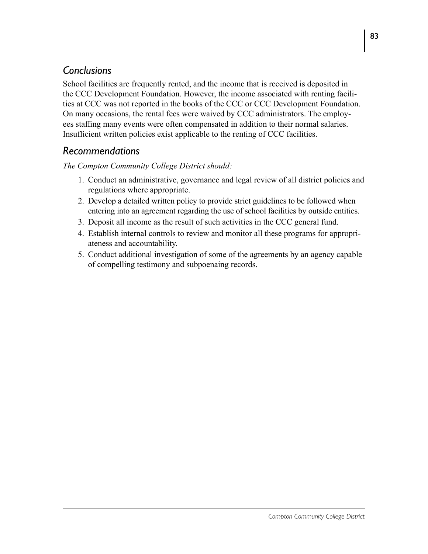# *Conclusions*

School facilities are frequently rented, and the income that is received is deposited in the CCC Development Foundation. However, the income associated with renting facilities at CCC was not reported in the books of the CCC or CCC Development Foundation. On many occasions, the rental fees were waived by CCC administrators. The employees staffing many events were often compensated in addition to their normal salaries. Insufficient written policies exist applicable to the renting of CCC facilities.

# *Recommendations*

- 1. Conduct an administrative, governance and legal review of all district policies and regulations where appropriate.
- 2. Develop a detailed written policy to provide strict guidelines to be followed when entering into an agreement regarding the use of school facilities by outside entities.
- 3. Deposit all income as the result of such activities in the CCC general fund.
- 4. Establish internal controls to review and monitor all these programs for appropriateness and accountability.
- 5. Conduct additional investigation of some of the agreements by an agency capable of compelling testimony and subpoenaing records.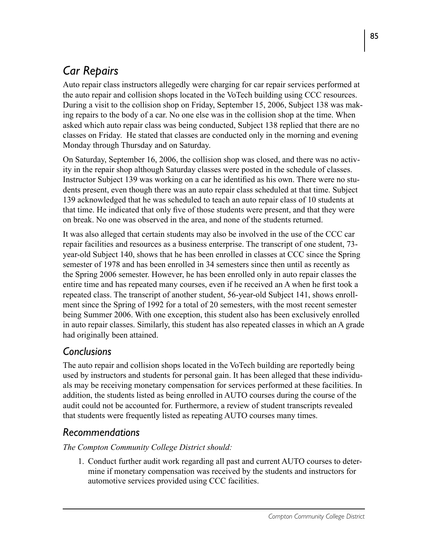# *Car Repairs*

Auto repair class instructors allegedly were charging for car repair services performed at the auto repair and collision shops located in the VoTech building using CCC resources. During a visit to the collision shop on Friday, September 15, 2006, Subject 138 was making repairs to the body of a car. No one else was in the collision shop at the time. When asked which auto repair class was being conducted, Subject 138 replied that there are no classes on Friday. He stated that classes are conducted only in the morning and evening Monday through Thursday and on Saturday.

On Saturday, September 16, 2006, the collision shop was closed, and there was no activity in the repair shop although Saturday classes were posted in the schedule of classes. Instructor Subject 139 was working on a car he identified as his own. There were no students present, even though there was an auto repair class scheduled at that time. Subject 139 acknowledged that he was scheduled to teach an auto repair class of 10 students at that time. He indicated that only five of those students were present, and that they were on break. No one was observed in the area, and none of the students returned.

It was also alleged that certain students may also be involved in the use of the CCC car repair facilities and resources as a business enterprise. The transcript of one student, 73 year-old Subject 140, shows that he has been enrolled in classes at CCC since the Spring semester of 1978 and has been enrolled in 34 semesters since then until as recently as the Spring 2006 semester. However, he has been enrolled only in auto repair classes the entire time and has repeated many courses, even if he received an A when he first took a repeated class. The transcript of another student, 56-year-old Subject 141, shows enrollment since the Spring of 1992 for a total of 20 semesters, with the most recent semester being Summer 2006. With one exception, this student also has been exclusively enrolled in auto repair classes. Similarly, this student has also repeated classes in which an A grade had originally been attained.

## *Conclusions*

The auto repair and collision shops located in the VoTech building are reportedly being used by instructors and students for personal gain. It has been alleged that these individuals may be receiving monetary compensation for services performed at these facilities. In addition, the students listed as being enrolled in AUTO courses during the course of the audit could not be accounted for. Furthermore, a review of student transcripts revealed that students were frequently listed as repeating AUTO courses many times.

# *Recommendations*

*The Compton Community College District should:*

1. Conduct further audit work regarding all past and current AUTO courses to determine if monetary compensation was received by the students and instructors for automotive services provided using CCC facilities.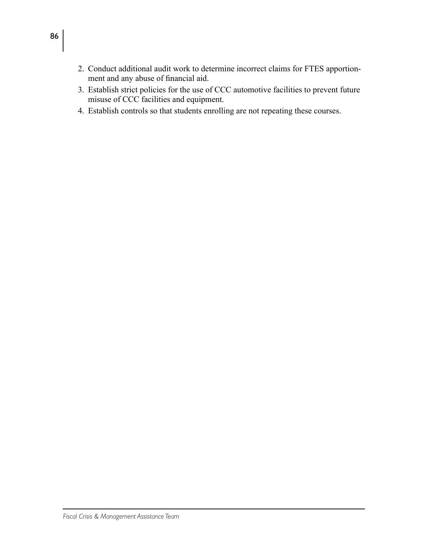- 2. Conduct additional audit work to determine incorrect claims for FTES apportionment and any abuse of financial aid.
- 3. Establish strict policies for the use of CCC automotive facilities to prevent future misuse of CCC facilities and equipment.
- 4. Establish controls so that students enrolling are not repeating these courses.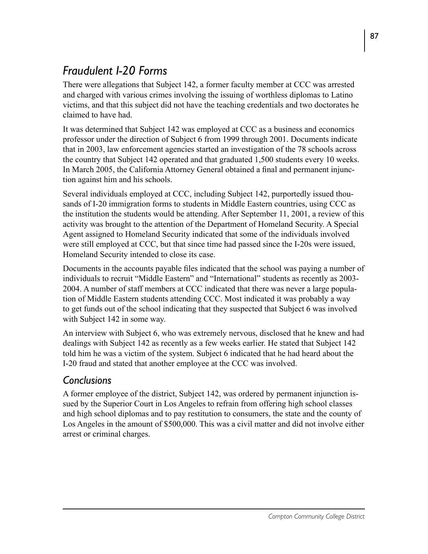# *Fraudulent I-20 Forms*

There were allegations that Subject 142, a former faculty member at CCC was arrested and charged with various crimes involving the issuing of worthless diplomas to Latino victims, and that this subject did not have the teaching credentials and two doctorates he claimed to have had.

It was determined that Subject 142 was employed at CCC as a business and economics professor under the direction of Subject 6 from 1999 through 2001. Documents indicate that in 2003, law enforcement agencies started an investigation of the 78 schools across the country that Subject 142 operated and that graduated 1,500 students every 10 weeks. In March 2005, the California Attorney General obtained a final and permanent injunction against him and his schools.

Several individuals employed at CCC, including Subject 142, purportedly issued thousands of I-20 immigration forms to students in Middle Eastern countries, using CCC as the institution the students would be attending. After September 11, 2001, a review of this activity was brought to the attention of the Department of Homeland Security. A Special Agent assigned to Homeland Security indicated that some of the individuals involved were still employed at CCC, but that since time had passed since the I-20s were issued, Homeland Security intended to close its case.

Documents in the accounts payable files indicated that the school was paying a number of individuals to recruit "Middle Eastern" and "International" students as recently as 2003- 2004. A number of staff members at CCC indicated that there was never a large population of Middle Eastern students attending CCC. Most indicated it was probably a way to get funds out of the school indicating that they suspected that Subject 6 was involved with Subject 142 in some way.

An interview with Subject 6, who was extremely nervous, disclosed that he knew and had dealings with Subject 142 as recently as a few weeks earlier. He stated that Subject 142 told him he was a victim of the system. Subject 6 indicated that he had heard about the I-20 fraud and stated that another employee at the CCC was involved.

# *Conclusions*

A former employee of the district, Subject 142, was ordered by permanent injunction issued by the Superior Court in Los Angeles to refrain from offering high school classes and high school diplomas and to pay restitution to consumers, the state and the county of Los Angeles in the amount of \$500,000. This was a civil matter and did not involve either arrest or criminal charges.